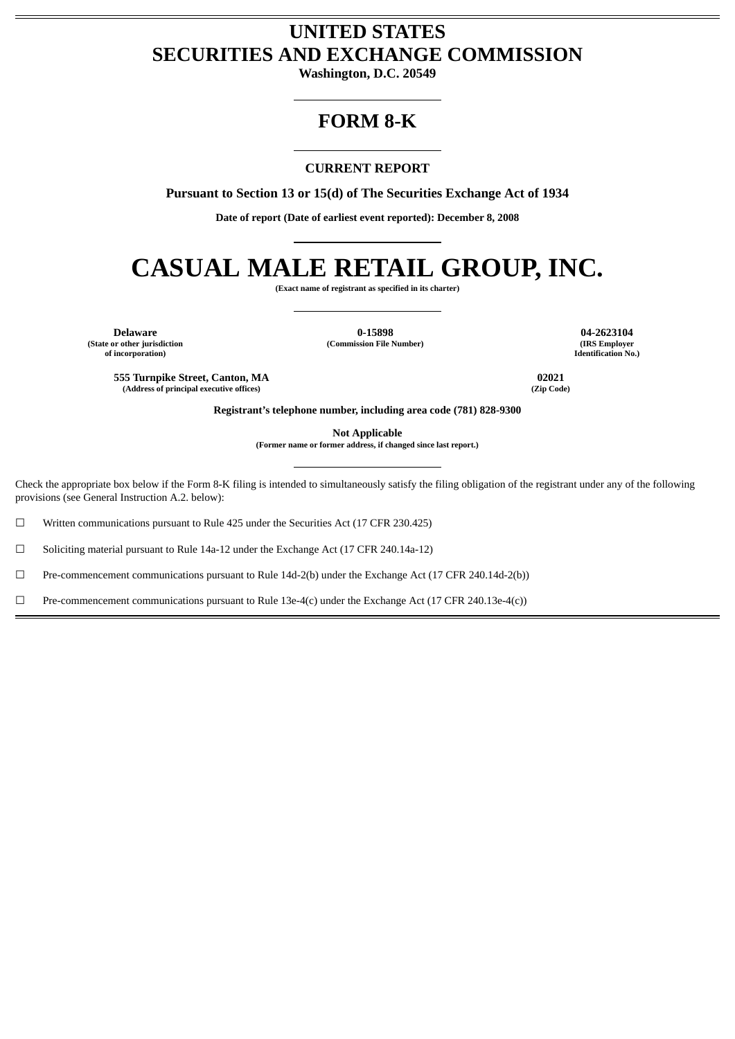# **UNITED STATES SECURITIES AND EXCHANGE COMMISSION**

**Washington, D.C. 20549**

# **FORM 8-K**

# **CURRENT REPORT**

**Pursuant to Section 13 or 15(d) of The Securities Exchange Act of 1934**

**Date of report (Date of earliest event reported): December 8, 2008**

# **CASUAL MALE RETAIL GROUP, INC.**

**(Exact name of registrant as specified in its charter)**

**(State or other jurisdiction of incorporation)**

**Delaware 0-15898 04-2623104 (Commission File Number) (IRS Employer**

**Identification No.)**

**555 Turnpike Street, Canton, MA 02021 (Address of principal executive offices) (Zip Code)**

**Registrant's telephone number, including area code (781) 828-9300**

**Not Applicable**

**(Former name or former address, if changed since last report.)**

Check the appropriate box below if the Form 8-K filing is intended to simultaneously satisfy the filing obligation of the registrant under any of the following provisions (see General Instruction A.2. below):

☐ Written communications pursuant to Rule 425 under the Securities Act (17 CFR 230.425)

☐ Soliciting material pursuant to Rule 14a-12 under the Exchange Act (17 CFR 240.14a-12)

☐ Pre-commencement communications pursuant to Rule 14d-2(b) under the Exchange Act (17 CFR 240.14d-2(b))

☐ Pre-commencement communications pursuant to Rule 13e-4(c) under the Exchange Act (17 CFR 240.13e-4(c))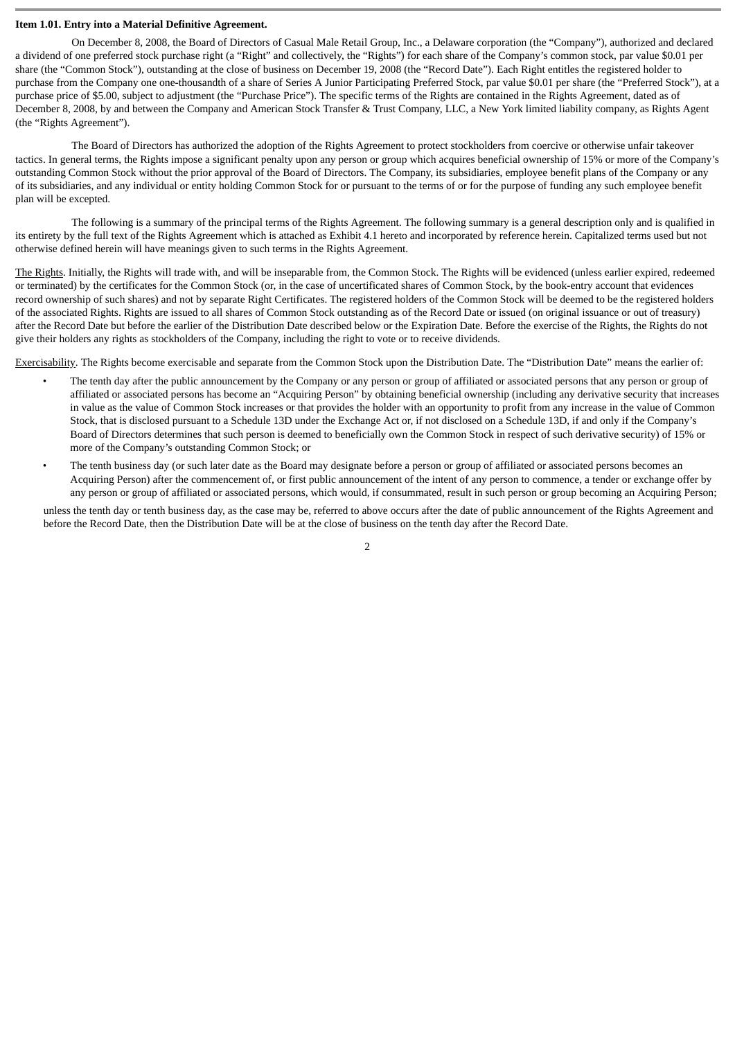#### **Item 1.01. Entry into a Material Definitive Agreement.**

On December 8, 2008, the Board of Directors of Casual Male Retail Group, Inc., a Delaware corporation (the "Company"), authorized and declared a dividend of one preferred stock purchase right (a "Right" and collectively, the "Rights") for each share of the Company's common stock, par value \$0.01 per share (the "Common Stock"), outstanding at the close of business on December 19, 2008 (the "Record Date"). Each Right entitles the registered holder to purchase from the Company one one-thousandth of a share of Series A Junior Participating Preferred Stock, par value \$0.01 per share (the "Preferred Stock"), at a purchase price of \$5.00, subject to adjustment (the "Purchase Price"). The specific terms of the Rights are contained in the Rights Agreement, dated as of December 8, 2008, by and between the Company and American Stock Transfer & Trust Company, LLC, a New York limited liability company, as Rights Agent (the "Rights Agreement").

The Board of Directors has authorized the adoption of the Rights Agreement to protect stockholders from coercive or otherwise unfair takeover tactics. In general terms, the Rights impose a significant penalty upon any person or group which acquires beneficial ownership of 15% or more of the Company's outstanding Common Stock without the prior approval of the Board of Directors. The Company, its subsidiaries, employee benefit plans of the Company or any of its subsidiaries, and any individual or entity holding Common Stock for or pursuant to the terms of or for the purpose of funding any such employee benefit plan will be excepted.

The following is a summary of the principal terms of the Rights Agreement. The following summary is a general description only and is qualified in its entirety by the full text of the Rights Agreement which is attached as Exhibit 4.1 hereto and incorporated by reference herein. Capitalized terms used but not otherwise defined herein will have meanings given to such terms in the Rights Agreement.

The Rights. Initially, the Rights will trade with, and will be inseparable from, the Common Stock. The Rights will be evidenced (unless earlier expired, redeemed or terminated) by the certificates for the Common Stock (or, in the case of uncertificated shares of Common Stock, by the book-entry account that evidences record ownership of such shares) and not by separate Right Certificates. The registered holders of the Common Stock will be deemed to be the registered holders of the associated Rights. Rights are issued to all shares of Common Stock outstanding as of the Record Date or issued (on original issuance or out of treasury) after the Record Date but before the earlier of the Distribution Date described below or the Expiration Date. Before the exercise of the Rights, the Rights do not give their holders any rights as stockholders of the Company, including the right to vote or to receive dividends.

Exercisability. The Rights become exercisable and separate from the Common Stock upon the Distribution Date. The "Distribution Date" means the earlier of:

- The tenth day after the public announcement by the Company or any person or group of affiliated or associated persons that any person or group of affiliated or associated persons has become an "Acquiring Person" by obtaining beneficial ownership (including any derivative security that increases in value as the value of Common Stock increases or that provides the holder with an opportunity to profit from any increase in the value of Common Stock, that is disclosed pursuant to a Schedule 13D under the Exchange Act or, if not disclosed on a Schedule 13D, if and only if the Company's Board of Directors determines that such person is deemed to beneficially own the Common Stock in respect of such derivative security) of 15% or more of the Company's outstanding Common Stock; or
- The tenth business day (or such later date as the Board may designate before a person or group of affiliated or associated persons becomes an Acquiring Person) after the commencement of, or first public announcement of the intent of any person to commence, a tender or exchange offer by any person or group of affiliated or associated persons, which would, if consummated, result in such person or group becoming an Acquiring Person;

unless the tenth day or tenth business day, as the case may be, referred to above occurs after the date of public announcement of the Rights Agreement and before the Record Date, then the Distribution Date will be at the close of business on the tenth day after the Record Date.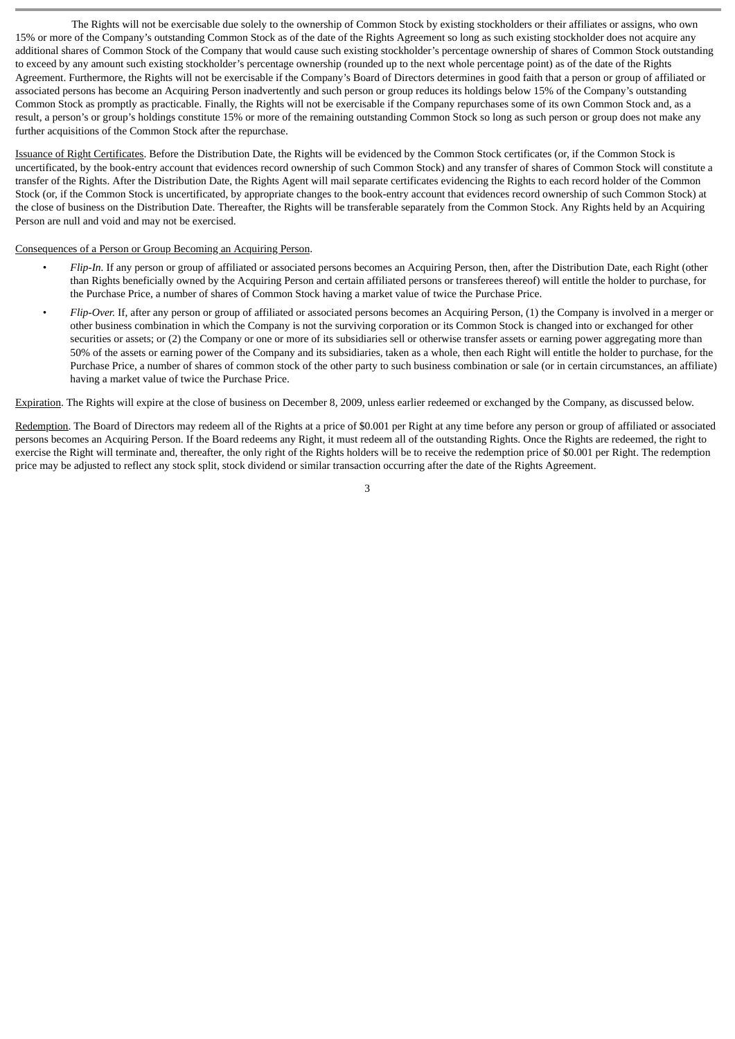The Rights will not be exercisable due solely to the ownership of Common Stock by existing stockholders or their affiliates or assigns, who own 15% or more of the Company's outstanding Common Stock as of the date of the Rights Agreement so long as such existing stockholder does not acquire any additional shares of Common Stock of the Company that would cause such existing stockholder's percentage ownership of shares of Common Stock outstanding to exceed by any amount such existing stockholder's percentage ownership (rounded up to the next whole percentage point) as of the date of the Rights Agreement. Furthermore, the Rights will not be exercisable if the Company's Board of Directors determines in good faith that a person or group of affiliated or associated persons has become an Acquiring Person inadvertently and such person or group reduces its holdings below 15% of the Company's outstanding Common Stock as promptly as practicable. Finally, the Rights will not be exercisable if the Company repurchases some of its own Common Stock and, as a result, a person's or group's holdings constitute 15% or more of the remaining outstanding Common Stock so long as such person or group does not make any further acquisitions of the Common Stock after the repurchase.

Issuance of Right Certificates. Before the Distribution Date, the Rights will be evidenced by the Common Stock certificates (or, if the Common Stock is uncertificated, by the book-entry account that evidences record ownership of such Common Stock) and any transfer of shares of Common Stock will constitute a transfer of the Rights. After the Distribution Date, the Rights Agent will mail separate certificates evidencing the Rights to each record holder of the Common Stock (or, if the Common Stock is uncertificated, by appropriate changes to the book-entry account that evidences record ownership of such Common Stock) at the close of business on the Distribution Date. Thereafter, the Rights will be transferable separately from the Common Stock. Any Rights held by an Acquiring Person are null and void and may not be exercised.

#### Consequences of a Person or Group Becoming an Acquiring Person.

- *Flip-In.* If any person or group of affiliated or associated persons becomes an Acquiring Person, then, after the Distribution Date, each Right (other than Rights beneficially owned by the Acquiring Person and certain affiliated persons or transferees thereof) will entitle the holder to purchase, for the Purchase Price, a number of shares of Common Stock having a market value of twice the Purchase Price.
- *Flip-Over.* If, after any person or group of affiliated or associated persons becomes an Acquiring Person, (1) the Company is involved in a merger or other business combination in which the Company is not the surviving corporation or its Common Stock is changed into or exchanged for other securities or assets; or (2) the Company or one or more of its subsidiaries sell or otherwise transfer assets or earning power aggregating more than 50% of the assets or earning power of the Company and its subsidiaries, taken as a whole, then each Right will entitle the holder to purchase, for the Purchase Price, a number of shares of common stock of the other party to such business combination or sale (or in certain circumstances, an affiliate) having a market value of twice the Purchase Price.

Expiration. The Rights will expire at the close of business on December 8, 2009, unless earlier redeemed or exchanged by the Company, as discussed below.

Redemption. The Board of Directors may redeem all of the Rights at a price of \$0.001 per Right at any time before any person or group of affiliated or associated persons becomes an Acquiring Person. If the Board redeems any Right, it must redeem all of the outstanding Rights. Once the Rights are redeemed, the right to exercise the Right will terminate and, thereafter, the only right of the Rights holders will be to receive the redemption price of \$0.001 per Right. The redemption price may be adjusted to reflect any stock split, stock dividend or similar transaction occurring after the date of the Rights Agreement.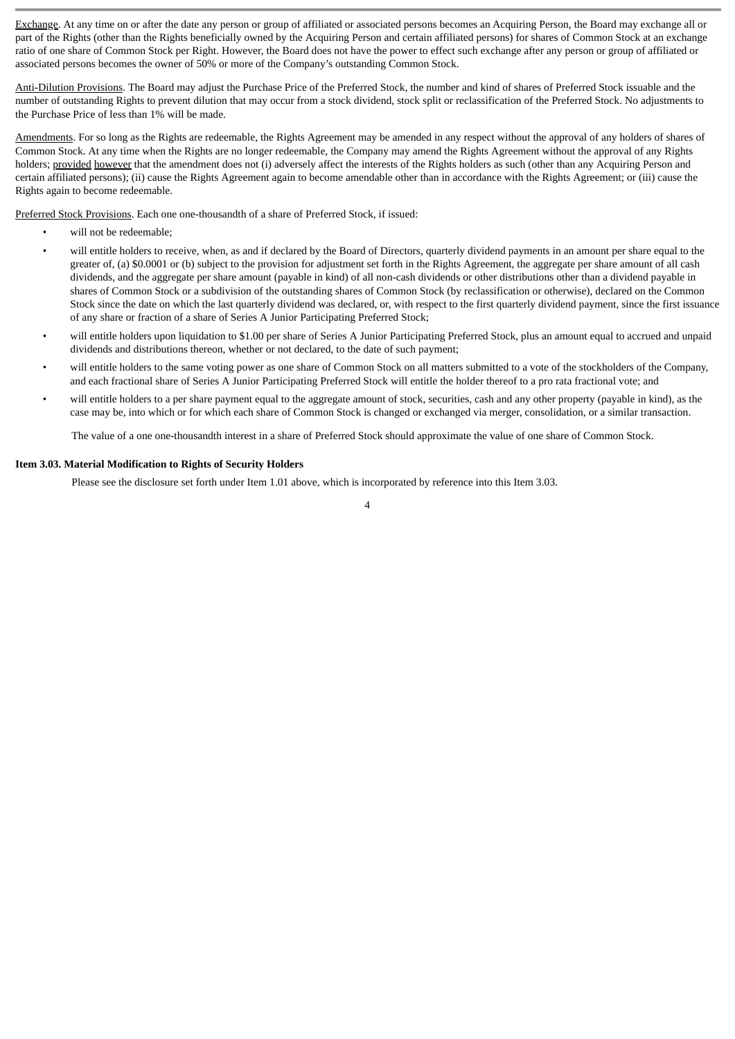Exchange. At any time on or after the date any person or group of affiliated or associated persons becomes an Acquiring Person, the Board may exchange all or part of the Rights (other than the Rights beneficially owned by the Acquiring Person and certain affiliated persons) for shares of Common Stock at an exchange ratio of one share of Common Stock per Right. However, the Board does not have the power to effect such exchange after any person or group of affiliated or associated persons becomes the owner of 50% or more of the Company's outstanding Common Stock.

Anti-Dilution Provisions. The Board may adjust the Purchase Price of the Preferred Stock, the number and kind of shares of Preferred Stock issuable and the number of outstanding Rights to prevent dilution that may occur from a stock dividend, stock split or reclassification of the Preferred Stock. No adjustments to the Purchase Price of less than 1% will be made.

Amendments. For so long as the Rights are redeemable, the Rights Agreement may be amended in any respect without the approval of any holders of shares of Common Stock. At any time when the Rights are no longer redeemable, the Company may amend the Rights Agreement without the approval of any Rights holders; provided however that the amendment does not (i) adversely affect the interests of the Rights holders as such (other than any Acquiring Person and certain affiliated persons); (ii) cause the Rights Agreement again to become amendable other than in accordance with the Rights Agreement; or (iii) cause the Rights again to become redeemable.

Preferred Stock Provisions. Each one one-thousandth of a share of Preferred Stock, if issued:

- will not be redeemable;
- will entitle holders to receive, when, as and if declared by the Board of Directors, quarterly dividend payments in an amount per share equal to the greater of, (a) \$0.0001 or (b) subject to the provision for adjustment set forth in the Rights Agreement, the aggregate per share amount of all cash dividends, and the aggregate per share amount (payable in kind) of all non-cash dividends or other distributions other than a dividend payable in shares of Common Stock or a subdivision of the outstanding shares of Common Stock (by reclassification or otherwise), declared on the Common Stock since the date on which the last quarterly dividend was declared, or, with respect to the first quarterly dividend payment, since the first issuance of any share or fraction of a share of Series A Junior Participating Preferred Stock;
- will entitle holders upon liquidation to \$1.00 per share of Series A Junior Participating Preferred Stock, plus an amount equal to accrued and unpaid dividends and distributions thereon, whether or not declared, to the date of such payment;
- will entitle holders to the same voting power as one share of Common Stock on all matters submitted to a vote of the stockholders of the Company, and each fractional share of Series A Junior Participating Preferred Stock will entitle the holder thereof to a pro rata fractional vote; and
- will entitle holders to a per share payment equal to the aggregate amount of stock, securities, cash and any other property (payable in kind), as the case may be, into which or for which each share of Common Stock is changed or exchanged via merger, consolidation, or a similar transaction.

The value of a one one-thousandth interest in a share of Preferred Stock should approximate the value of one share of Common Stock.

#### **Item 3.03. Material Modification to Rights of Security Holders**

Please see the disclosure set forth under Item 1.01 above, which is incorporated by reference into this Item 3.03.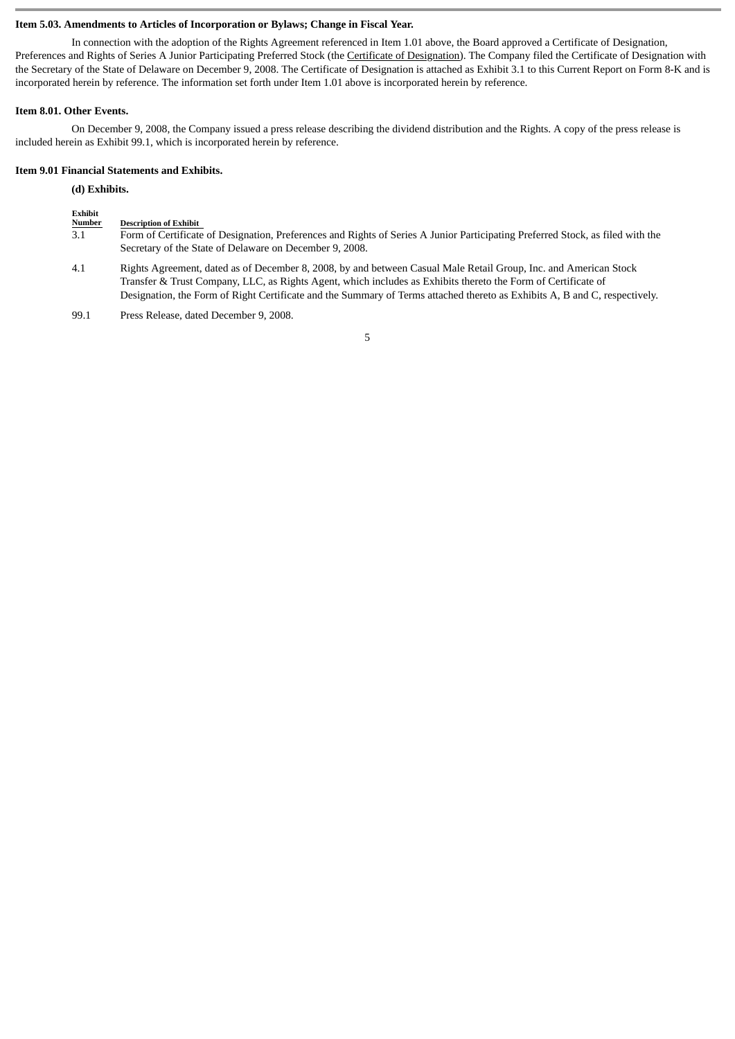#### **Item 5.03. Amendments to Articles of Incorporation or Bylaws; Change in Fiscal Year.**

In connection with the adoption of the Rights Agreement referenced in Item 1.01 above, the Board approved a Certificate of Designation, Preferences and Rights of Series A Junior Participating Preferred Stock (the Certificate of Designation). The Company filed the Certificate of Designation with the Secretary of the State of Delaware on December 9, 2008. The Certificate of Designation is attached as Exhibit 3.1 to this Current Report on Form 8-K and is incorporated herein by reference. The information set forth under Item 1.01 above is incorporated herein by reference.

#### **Item 8.01. Other Events.**

On December 9, 2008, the Company issued a press release describing the dividend distribution and the Rights. A copy of the press release is included herein as Exhibit 99.1, which is incorporated herein by reference.

# **Item 9.01 Financial Statements and Exhibits.**

#### **(d) Exhibits.**

| Exhibit<br>Number<br>3.1 | <b>Description of Exhibit</b><br>Form of Certificate of Designation, Preferences and Rights of Series A Junior Participating Preferred Stock, as filed with the |
|--------------------------|-----------------------------------------------------------------------------------------------------------------------------------------------------------------|
|                          | Secretary of the State of Delaware on December 9, 2008.                                                                                                         |
| 4.1                      | Rights Agreement, dated as of December 8, 2008, by and between Casual Male Retail Group, Inc. and American Stock                                                |
|                          | Transfer & Trust Company, LLC, as Rights Agent, which includes as Exhibits thereto the Form of Certificate of                                                   |
|                          | Designation, the Form of Right Certificate and the Summary of Terms attached thereto as Exhibits A, B and C, respectively.                                      |

99.1 Press Release, dated December 9, 2008.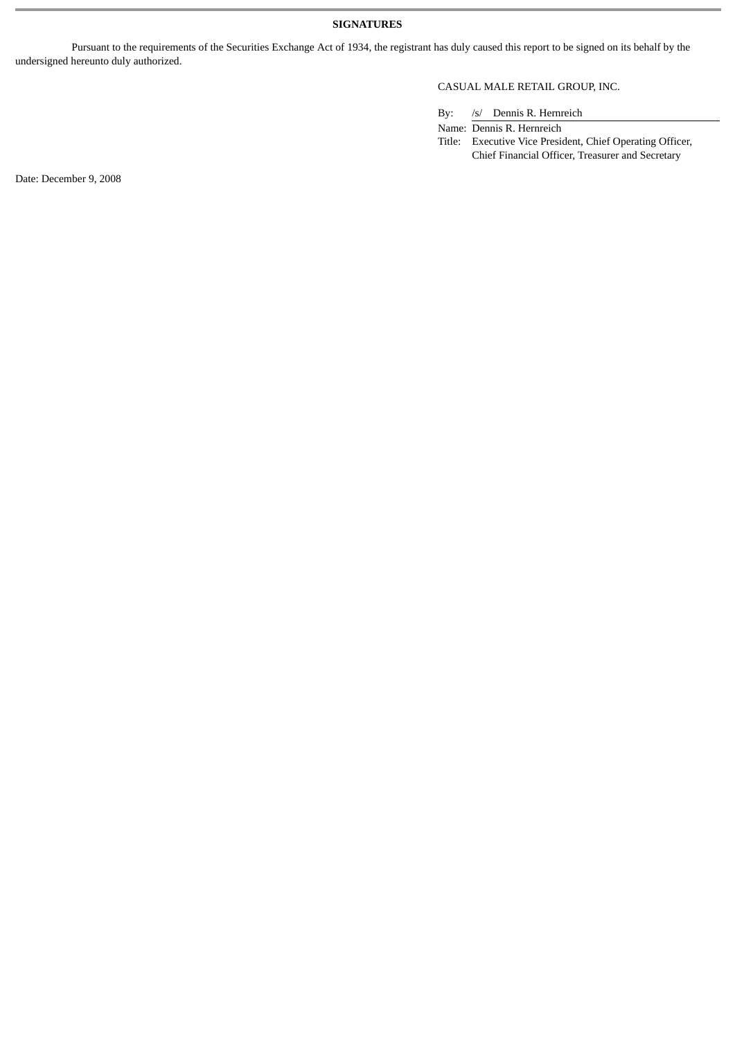# **SIGNATURES**

Pursuant to the requirements of the Securities Exchange Act of 1934, the registrant has duly caused this report to be signed on its behalf by the undersigned hereunto duly authorized.

# CASUAL MALE RETAIL GROUP, INC.

By: /s/ Dennis R. Hernreich

Name: Dennis R. Hernreich

Title: Executive Vice President, Chief Operating Officer, Chief Financial Officer, Treasurer and Secretary

Date: December 9, 2008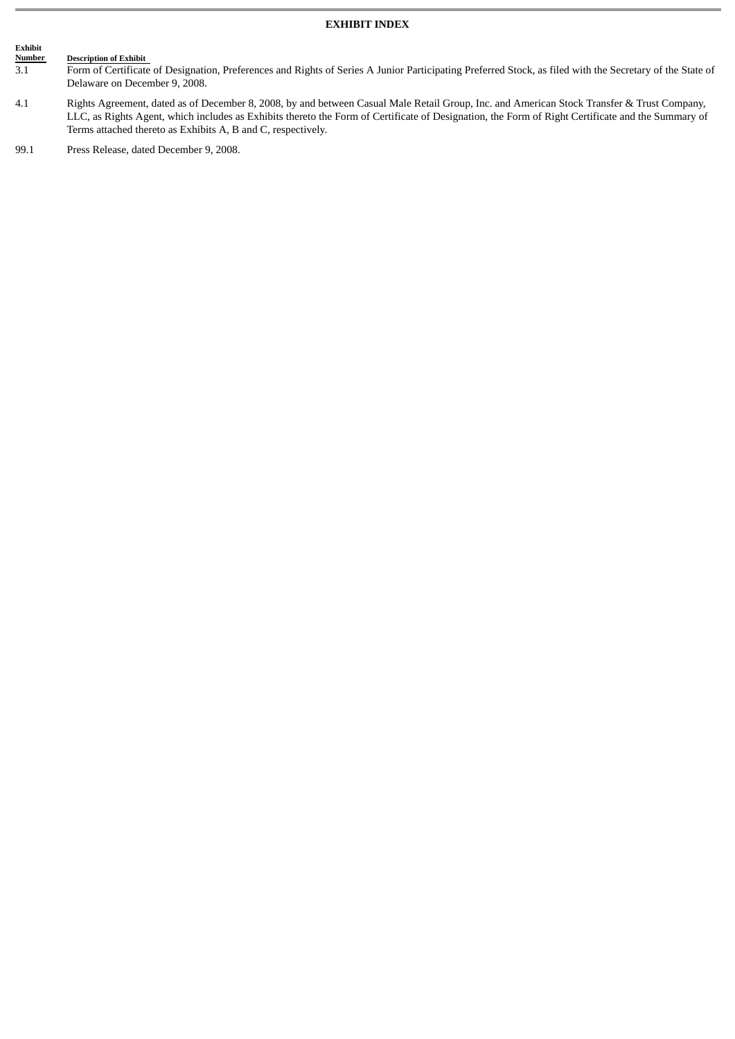# **EXHIBIT INDEX**

#### **Exhibit Description of Exhibit**

- 3.1 Form of Certificate of Designation, Preferences and Rights of Series A Junior Participating Preferred Stock, as filed with the Secretary of the State of Delaware on December 9, 2008.
- 4.1 Rights Agreement, dated as of December 8, 2008, by and between Casual Male Retail Group, Inc. and American Stock Transfer & Trust Company, LLC, as Rights Agent, which includes as Exhibits thereto the Form of Certificate of Designation, the Form of Right Certificate and the Summary of Terms attached thereto as Exhibits A, B and C, respectively.
- 99.1 Press Release, dated December 9, 2008.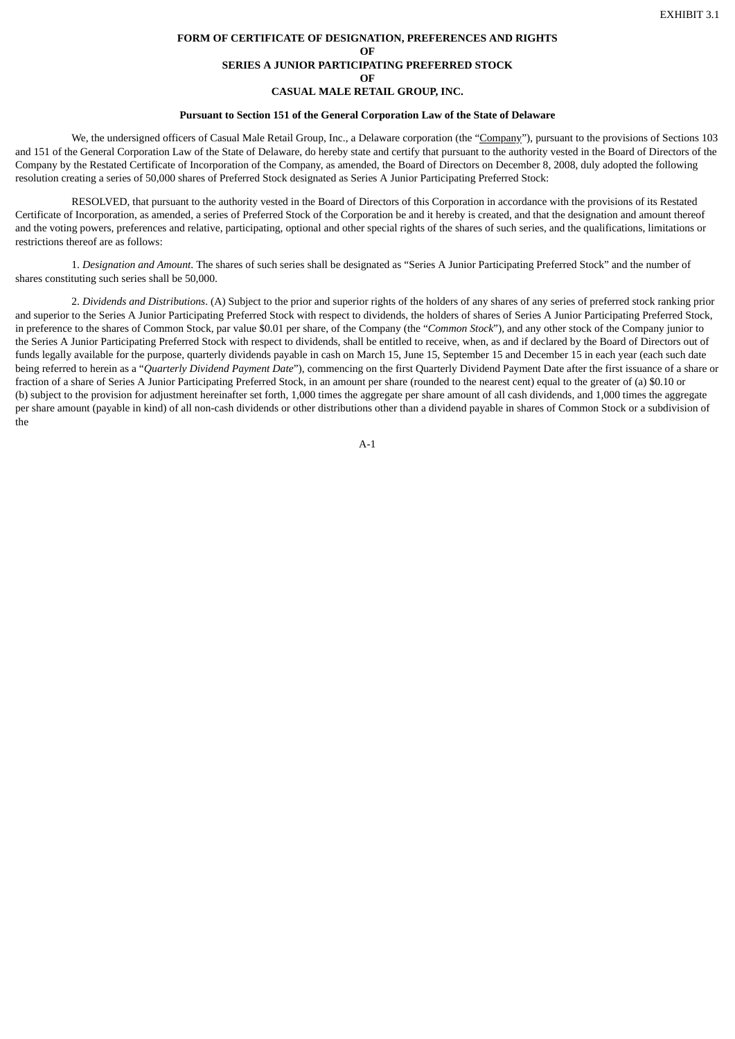## **FORM OF CERTIFICATE OF DESIGNATION, PREFERENCES AND RIGHTS OF SERIES A JUNIOR PARTICIPATING PREFERRED STOCK OF CASUAL MALE RETAIL GROUP, INC.**

## **Pursuant to Section 151 of the General Corporation Law of the State of Delaware**

We, the undersigned officers of Casual Male Retail Group, Inc., a Delaware corporation (the "Company"), pursuant to the provisions of Sections 103 and 151 of the General Corporation Law of the State of Delaware, do hereby state and certify that pursuant to the authority vested in the Board of Directors of the Company by the Restated Certificate of Incorporation of the Company, as amended, the Board of Directors on December 8, 2008, duly adopted the following resolution creating a series of 50,000 shares of Preferred Stock designated as Series A Junior Participating Preferred Stock:

RESOLVED, that pursuant to the authority vested in the Board of Directors of this Corporation in accordance with the provisions of its Restated Certificate of Incorporation, as amended, a series of Preferred Stock of the Corporation be and it hereby is created, and that the designation and amount thereof and the voting powers, preferences and relative, participating, optional and other special rights of the shares of such series, and the qualifications, limitations or restrictions thereof are as follows:

1. *Designation and Amount*. The shares of such series shall be designated as "Series A Junior Participating Preferred Stock" and the number of shares constituting such series shall be 50,000.

2. *Dividends and Distributions*. (A) Subject to the prior and superior rights of the holders of any shares of any series of preferred stock ranking prior and superior to the Series A Junior Participating Preferred Stock with respect to dividends, the holders of shares of Series A Junior Participating Preferred Stock, in preference to the shares of Common Stock, par value \$0.01 per share, of the Company (the "*Common Stock*"), and any other stock of the Company junior to the Series A Junior Participating Preferred Stock with respect to dividends, shall be entitled to receive, when, as and if declared by the Board of Directors out of funds legally available for the purpose, quarterly dividends payable in cash on March 15, June 15, September 15 and December 15 in each year (each such date being referred to herein as a "*Quarterly Dividend Payment Date*"), commencing on the first Quarterly Dividend Payment Date after the first issuance of a share or fraction of a share of Series A Junior Participating Preferred Stock, in an amount per share (rounded to the nearest cent) equal to the greater of (a) \$0.10 or (b) subject to the provision for adjustment hereinafter set forth, 1,000 times the aggregate per share amount of all cash dividends, and 1,000 times the aggregate per share amount (payable in kind) of all non-cash dividends or other distributions other than a dividend payable in shares of Common Stock or a subdivision of the

A-1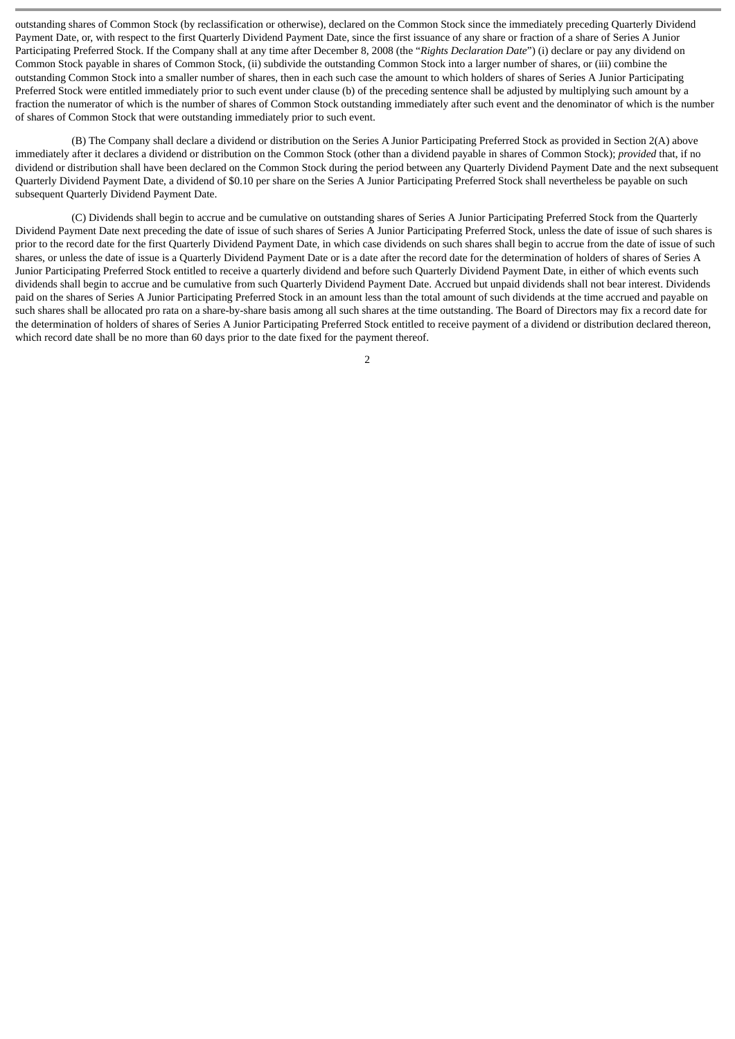outstanding shares of Common Stock (by reclassification or otherwise), declared on the Common Stock since the immediately preceding Quarterly Dividend Payment Date, or, with respect to the first Quarterly Dividend Payment Date, since the first issuance of any share or fraction of a share of Series A Junior Participating Preferred Stock. If the Company shall at any time after December 8, 2008 (the "*Rights Declaration Date*") (i) declare or pay any dividend on Common Stock payable in shares of Common Stock, (ii) subdivide the outstanding Common Stock into a larger number of shares, or (iii) combine the outstanding Common Stock into a smaller number of shares, then in each such case the amount to which holders of shares of Series A Junior Participating Preferred Stock were entitled immediately prior to such event under clause (b) of the preceding sentence shall be adjusted by multiplying such amount by a fraction the numerator of which is the number of shares of Common Stock outstanding immediately after such event and the denominator of which is the number of shares of Common Stock that were outstanding immediately prior to such event.

(B) The Company shall declare a dividend or distribution on the Series A Junior Participating Preferred Stock as provided in Section 2(A) above immediately after it declares a dividend or distribution on the Common Stock (other than a dividend payable in shares of Common Stock); *provided* that, if no dividend or distribution shall have been declared on the Common Stock during the period between any Quarterly Dividend Payment Date and the next subsequent Quarterly Dividend Payment Date, a dividend of \$0.10 per share on the Series A Junior Participating Preferred Stock shall nevertheless be payable on such subsequent Quarterly Dividend Payment Date.

(C) Dividends shall begin to accrue and be cumulative on outstanding shares of Series A Junior Participating Preferred Stock from the Quarterly Dividend Payment Date next preceding the date of issue of such shares of Series A Junior Participating Preferred Stock, unless the date of issue of such shares is prior to the record date for the first Quarterly Dividend Payment Date, in which case dividends on such shares shall begin to accrue from the date of issue of such shares, or unless the date of issue is a Quarterly Dividend Payment Date or is a date after the record date for the determination of holders of shares of Series A Junior Participating Preferred Stock entitled to receive a quarterly dividend and before such Quarterly Dividend Payment Date, in either of which events such dividends shall begin to accrue and be cumulative from such Quarterly Dividend Payment Date. Accrued but unpaid dividends shall not bear interest. Dividends paid on the shares of Series A Junior Participating Preferred Stock in an amount less than the total amount of such dividends at the time accrued and payable on such shares shall be allocated pro rata on a share-by-share basis among all such shares at the time outstanding. The Board of Directors may fix a record date for the determination of holders of shares of Series A Junior Participating Preferred Stock entitled to receive payment of a dividend or distribution declared thereon, which record date shall be no more than 60 days prior to the date fixed for the payment thereof.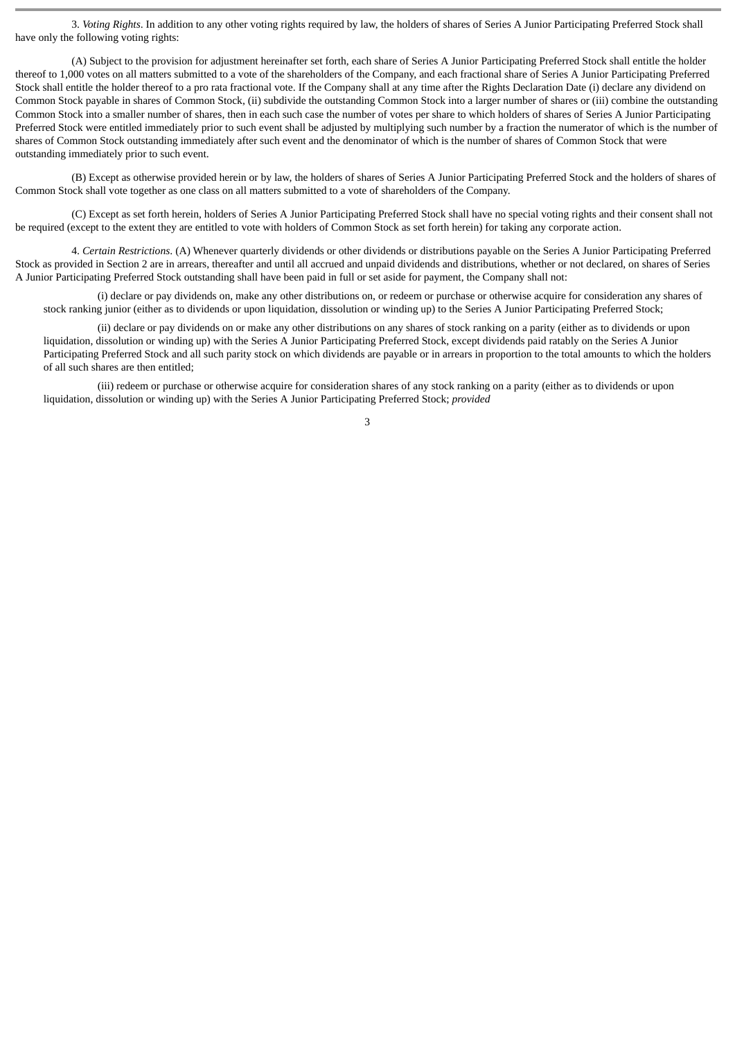3. *Voting Rights*. In addition to any other voting rights required by law, the holders of shares of Series A Junior Participating Preferred Stock shall have only the following voting rights:

(A) Subject to the provision for adjustment hereinafter set forth, each share of Series A Junior Participating Preferred Stock shall entitle the holder thereof to 1,000 votes on all matters submitted to a vote of the shareholders of the Company, and each fractional share of Series A Junior Participating Preferred Stock shall entitle the holder thereof to a pro rata fractional vote. If the Company shall at any time after the Rights Declaration Date (i) declare any dividend on Common Stock payable in shares of Common Stock, (ii) subdivide the outstanding Common Stock into a larger number of shares or (iii) combine the outstanding Common Stock into a smaller number of shares, then in each such case the number of votes per share to which holders of shares of Series A Junior Participating Preferred Stock were entitled immediately prior to such event shall be adjusted by multiplying such number by a fraction the numerator of which is the number of shares of Common Stock outstanding immediately after such event and the denominator of which is the number of shares of Common Stock that were outstanding immediately prior to such event.

(B) Except as otherwise provided herein or by law, the holders of shares of Series A Junior Participating Preferred Stock and the holders of shares of Common Stock shall vote together as one class on all matters submitted to a vote of shareholders of the Company.

(C) Except as set forth herein, holders of Series A Junior Participating Preferred Stock shall have no special voting rights and their consent shall not be required (except to the extent they are entitled to vote with holders of Common Stock as set forth herein) for taking any corporate action.

4. *Certain Restrictions*. (A) Whenever quarterly dividends or other dividends or distributions payable on the Series A Junior Participating Preferred Stock as provided in Section 2 are in arrears, thereafter and until all accrued and unpaid dividends and distributions, whether or not declared, on shares of Series A Junior Participating Preferred Stock outstanding shall have been paid in full or set aside for payment, the Company shall not:

(i) declare or pay dividends on, make any other distributions on, or redeem or purchase or otherwise acquire for consideration any shares of stock ranking junior (either as to dividends or upon liquidation, dissolution or winding up) to the Series A Junior Participating Preferred Stock;

(ii) declare or pay dividends on or make any other distributions on any shares of stock ranking on a parity (either as to dividends or upon liquidation, dissolution or winding up) with the Series A Junior Participating Preferred Stock, except dividends paid ratably on the Series A Junior Participating Preferred Stock and all such parity stock on which dividends are payable or in arrears in proportion to the total amounts to which the holders of all such shares are then entitled;

(iii) redeem or purchase or otherwise acquire for consideration shares of any stock ranking on a parity (either as to dividends or upon liquidation, dissolution or winding up) with the Series A Junior Participating Preferred Stock; *provided*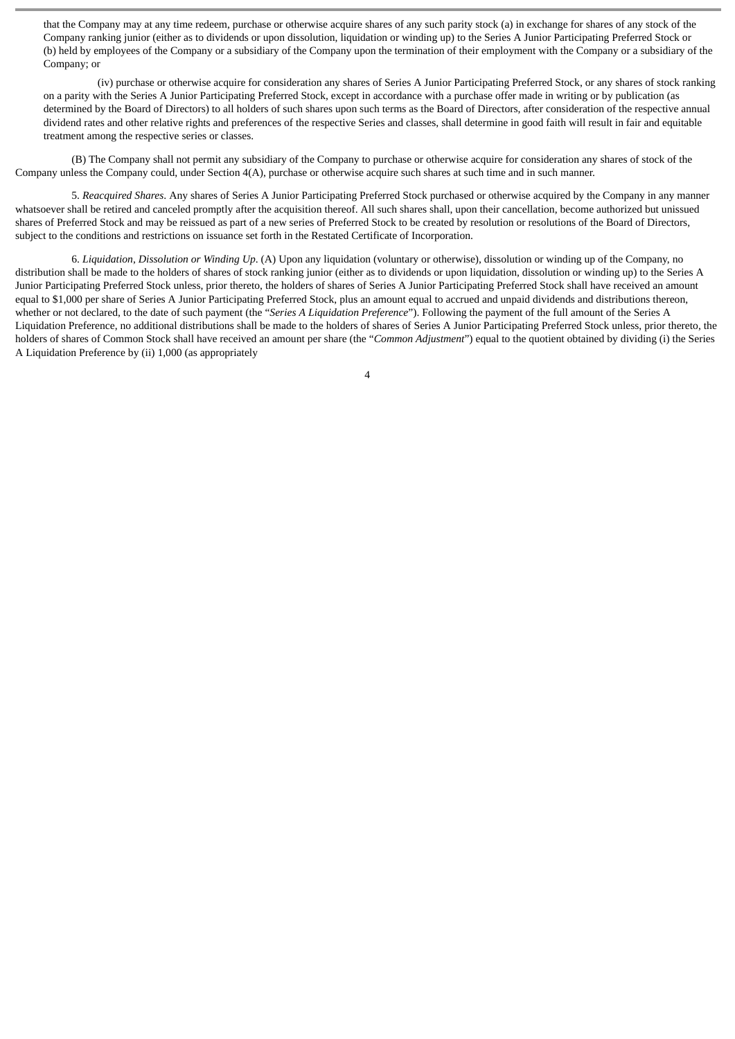that the Company may at any time redeem, purchase or otherwise acquire shares of any such parity stock (a) in exchange for shares of any stock of the Company ranking junior (either as to dividends or upon dissolution, liquidation or winding up) to the Series A Junior Participating Preferred Stock or (b) held by employees of the Company or a subsidiary of the Company upon the termination of their employment with the Company or a subsidiary of the Company; or

(iv) purchase or otherwise acquire for consideration any shares of Series A Junior Participating Preferred Stock, or any shares of stock ranking on a parity with the Series A Junior Participating Preferred Stock, except in accordance with a purchase offer made in writing or by publication (as determined by the Board of Directors) to all holders of such shares upon such terms as the Board of Directors, after consideration of the respective annual dividend rates and other relative rights and preferences of the respective Series and classes, shall determine in good faith will result in fair and equitable treatment among the respective series or classes.

(B) The Company shall not permit any subsidiary of the Company to purchase or otherwise acquire for consideration any shares of stock of the Company unless the Company could, under Section 4(A), purchase or otherwise acquire such shares at such time and in such manner.

5. *Reacquired Shares*. Any shares of Series A Junior Participating Preferred Stock purchased or otherwise acquired by the Company in any manner whatsoever shall be retired and canceled promptly after the acquisition thereof. All such shares shall, upon their cancellation, become authorized but unissued shares of Preferred Stock and may be reissued as part of a new series of Preferred Stock to be created by resolution or resolutions of the Board of Directors, subject to the conditions and restrictions on issuance set forth in the Restated Certificate of Incorporation.

6. *Liquidation*, *Dissolution or Winding Up*. (A) Upon any liquidation (voluntary or otherwise), dissolution or winding up of the Company, no distribution shall be made to the holders of shares of stock ranking junior (either as to dividends or upon liquidation, dissolution or winding up) to the Series A Junior Participating Preferred Stock unless, prior thereto, the holders of shares of Series A Junior Participating Preferred Stock shall have received an amount equal to \$1,000 per share of Series A Junior Participating Preferred Stock, plus an amount equal to accrued and unpaid dividends and distributions thereon, whether or not declared, to the date of such payment (the "*Series A Liquidation Preference*"). Following the payment of the full amount of the Series A Liquidation Preference, no additional distributions shall be made to the holders of shares of Series A Junior Participating Preferred Stock unless, prior thereto, the holders of shares of Common Stock shall have received an amount per share (the "*Common Adjustment*") equal to the quotient obtained by dividing (i) the Series A Liquidation Preference by (ii) 1,000 (as appropriately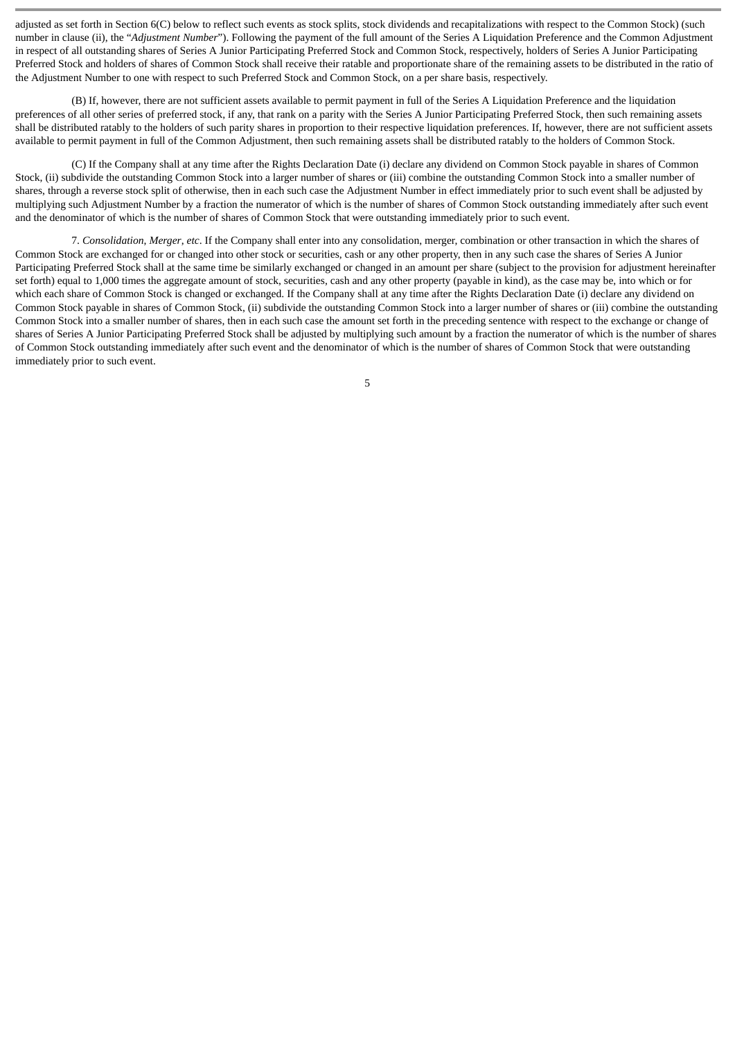adjusted as set forth in Section 6(C) below to reflect such events as stock splits, stock dividends and recapitalizations with respect to the Common Stock) (such number in clause (ii), the "*Adjustment Number*"). Following the payment of the full amount of the Series A Liquidation Preference and the Common Adjustment in respect of all outstanding shares of Series A Junior Participating Preferred Stock and Common Stock, respectively, holders of Series A Junior Participating Preferred Stock and holders of shares of Common Stock shall receive their ratable and proportionate share of the remaining assets to be distributed in the ratio of the Adjustment Number to one with respect to such Preferred Stock and Common Stock, on a per share basis, respectively.

(B) If, however, there are not sufficient assets available to permit payment in full of the Series A Liquidation Preference and the liquidation preferences of all other series of preferred stock, if any, that rank on a parity with the Series A Junior Participating Preferred Stock, then such remaining assets shall be distributed ratably to the holders of such parity shares in proportion to their respective liquidation preferences. If, however, there are not sufficient assets available to permit payment in full of the Common Adjustment, then such remaining assets shall be distributed ratably to the holders of Common Stock.

(C) If the Company shall at any time after the Rights Declaration Date (i) declare any dividend on Common Stock payable in shares of Common Stock, (ii) subdivide the outstanding Common Stock into a larger number of shares or (iii) combine the outstanding Common Stock into a smaller number of shares, through a reverse stock split of otherwise, then in each such case the Adjustment Number in effect immediately prior to such event shall be adjusted by multiplying such Adjustment Number by a fraction the numerator of which is the number of shares of Common Stock outstanding immediately after such event and the denominator of which is the number of shares of Common Stock that were outstanding immediately prior to such event.

7. *Consolidation*, *Merger*, *etc*. If the Company shall enter into any consolidation, merger, combination or other transaction in which the shares of Common Stock are exchanged for or changed into other stock or securities, cash or any other property, then in any such case the shares of Series A Junior Participating Preferred Stock shall at the same time be similarly exchanged or changed in an amount per share (subject to the provision for adjustment hereinafter set forth) equal to 1,000 times the aggregate amount of stock, securities, cash and any other property (payable in kind), as the case may be, into which or for which each share of Common Stock is changed or exchanged. If the Company shall at any time after the Rights Declaration Date (i) declare any dividend on Common Stock payable in shares of Common Stock, (ii) subdivide the outstanding Common Stock into a larger number of shares or (iii) combine the outstanding Common Stock into a smaller number of shares, then in each such case the amount set forth in the preceding sentence with respect to the exchange or change of shares of Series A Junior Participating Preferred Stock shall be adjusted by multiplying such amount by a fraction the numerator of which is the number of shares of Common Stock outstanding immediately after such event and the denominator of which is the number of shares of Common Stock that were outstanding immediately prior to such event.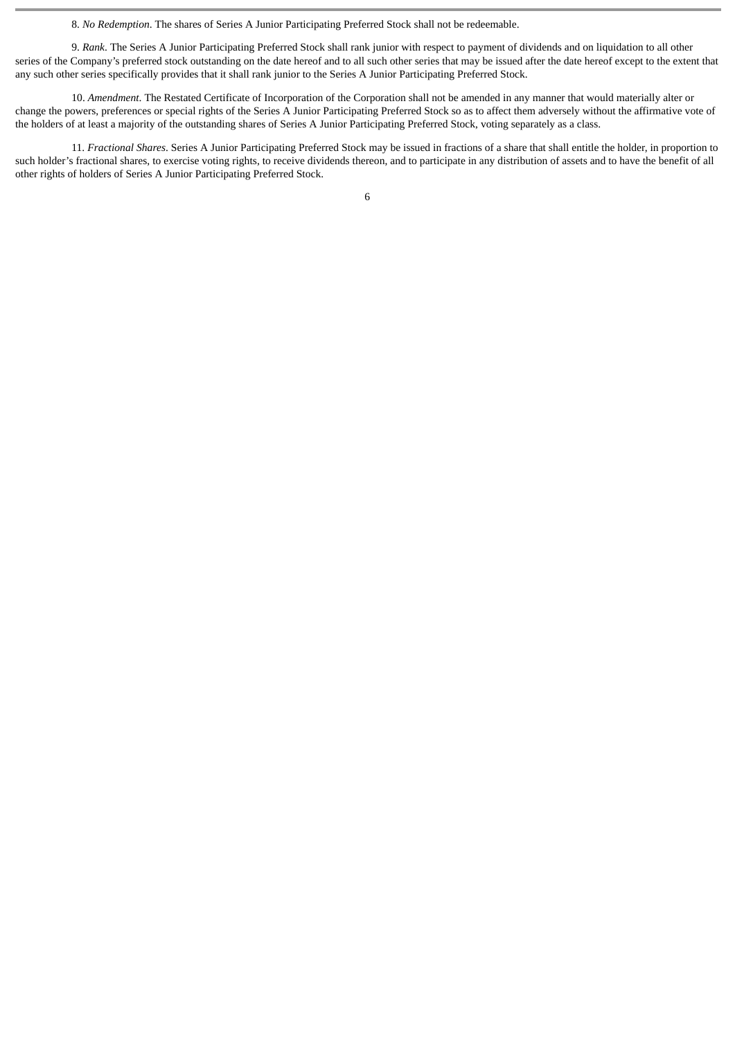8. *No Redemption*. The shares of Series A Junior Participating Preferred Stock shall not be redeemable.

9. *Rank*. The Series A Junior Participating Preferred Stock shall rank junior with respect to payment of dividends and on liquidation to all other series of the Company's preferred stock outstanding on the date hereof and to all such other series that may be issued after the date hereof except to the extent that any such other series specifically provides that it shall rank junior to the Series A Junior Participating Preferred Stock.

10. *Amendment*. The Restated Certificate of Incorporation of the Corporation shall not be amended in any manner that would materially alter or change the powers, preferences or special rights of the Series A Junior Participating Preferred Stock so as to affect them adversely without the affirmative vote of the holders of at least a majority of the outstanding shares of Series A Junior Participating Preferred Stock, voting separately as a class.

11. *Fractional Shares*. Series A Junior Participating Preferred Stock may be issued in fractions of a share that shall entitle the holder, in proportion to such holder's fractional shares, to exercise voting rights, to receive dividends thereon, and to participate in any distribution of assets and to have the benefit of all other rights of holders of Series A Junior Participating Preferred Stock.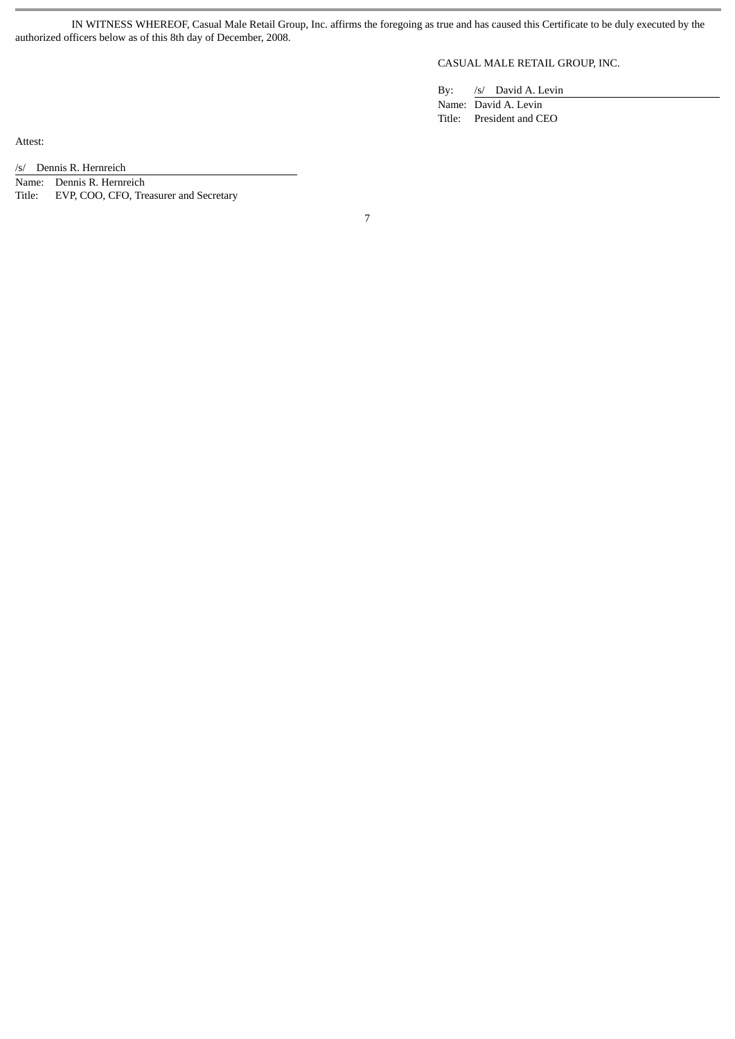IN WITNESS WHEREOF, Casual Male Retail Group, Inc. affirms the foregoing as true and has caused this Certificate to be duly executed by the authorized officers below as of this 8th day of December, 2008.

CASUAL MALE RETAIL GROUP, INC.

By: /s/ David A. Levin Name: David A. Levin Title: President and CEO

Attest:

/s/ Dennis R. Hernreich

Name: Dennis R. Hernreich

Title: EVP, COO, CFO, Treasurer and Secretary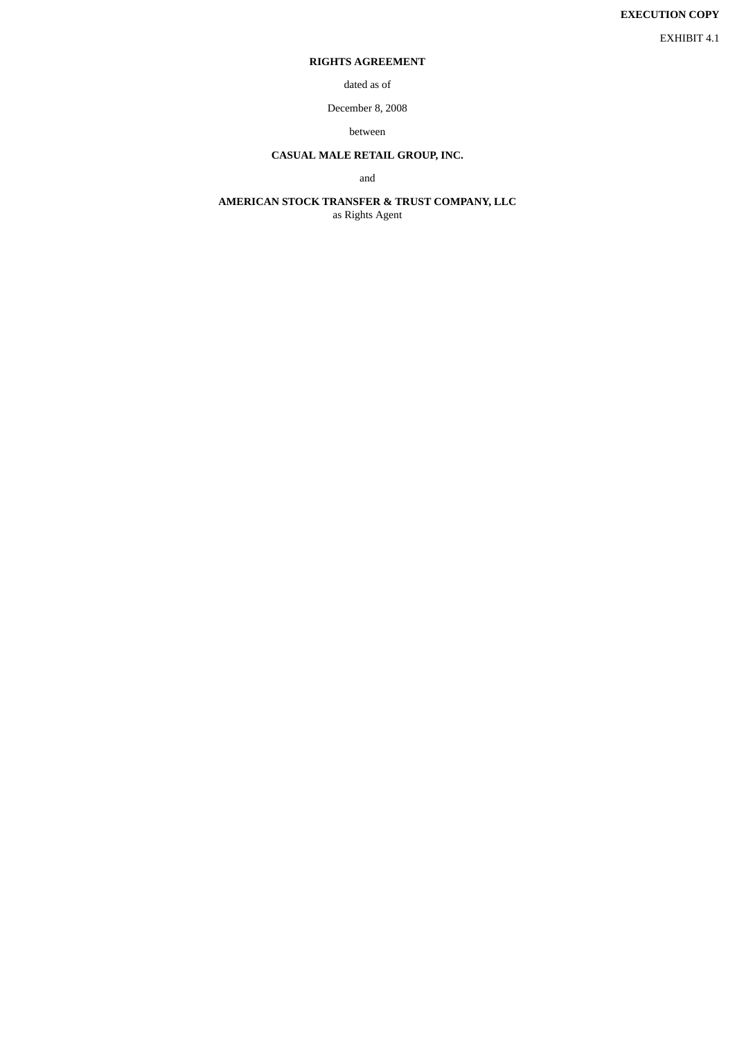EXHIBIT 4.1

# **RIGHTS AGREEMENT**

dated as of

December 8, 2008

### between

# **CASUAL MALE RETAIL GROUP, INC.**

and

# **AMERICAN STOCK TRANSFER & TRUST COMPANY, LLC** as Rights Agent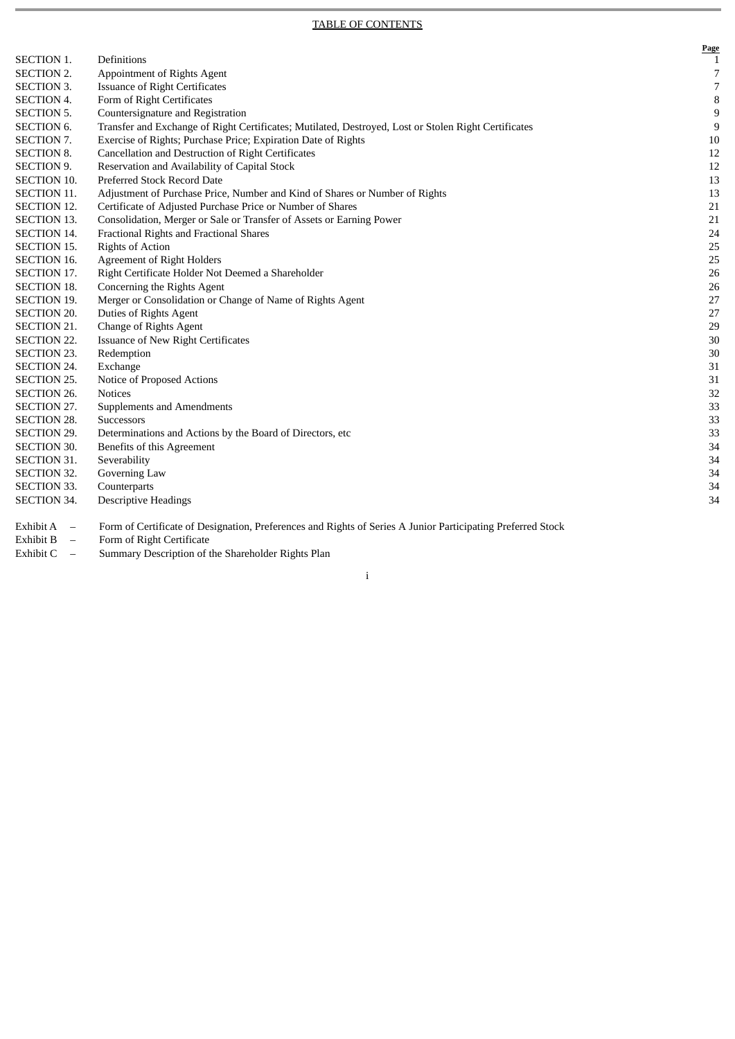# TABLE OF CONTENTS

| <b>SECTION 1.</b>  | Definitions                                                                                          | Page<br>$\mathbf{1}$ |
|--------------------|------------------------------------------------------------------------------------------------------|----------------------|
| SECTION 2.         | Appointment of Rights Agent                                                                          | $\boldsymbol{7}$     |
| <b>SECTION 3.</b>  |                                                                                                      | $\sqrt{ }$           |
| <b>SECTION 4.</b>  | <b>Issuance of Right Certificates</b><br>Form of Right Certificates                                  | 8                    |
| <b>SECTION 5.</b>  | Countersignature and Registration                                                                    | $\boldsymbol{9}$     |
|                    |                                                                                                      | 9                    |
| <b>SECTION 6.</b>  | Transfer and Exchange of Right Certificates; Mutilated, Destroyed, Lost or Stolen Right Certificates |                      |
| SECTION 7.         | Exercise of Rights; Purchase Price; Expiration Date of Rights                                        | 10                   |
| <b>SECTION 8.</b>  | Cancellation and Destruction of Right Certificates                                                   | 12                   |
| <b>SECTION 9.</b>  | Reservation and Availability of Capital Stock                                                        | 12                   |
| <b>SECTION 10.</b> | Preferred Stock Record Date                                                                          | 13                   |
| <b>SECTION 11.</b> | Adjustment of Purchase Price, Number and Kind of Shares or Number of Rights                          | 13                   |
| <b>SECTION 12.</b> | Certificate of Adjusted Purchase Price or Number of Shares                                           | 21                   |
| <b>SECTION 13.</b> | Consolidation, Merger or Sale or Transfer of Assets or Earning Power                                 | 21                   |
| <b>SECTION 14.</b> | Fractional Rights and Fractional Shares                                                              | 24                   |
| <b>SECTION 15.</b> | <b>Rights of Action</b>                                                                              | 25                   |
| <b>SECTION 16.</b> | Agreement of Right Holders                                                                           | 25                   |
| SECTION 17.        | Right Certificate Holder Not Deemed a Shareholder                                                    | 26                   |
| <b>SECTION 18.</b> | Concerning the Rights Agent                                                                          | 26                   |
| <b>SECTION 19.</b> | Merger or Consolidation or Change of Name of Rights Agent                                            | 27                   |
| <b>SECTION 20.</b> | Duties of Rights Agent                                                                               | 27                   |
| SECTION 21.        | Change of Rights Agent                                                                               | 29                   |
| <b>SECTION 22.</b> | <b>Issuance of New Right Certificates</b>                                                            | 30                   |
| <b>SECTION 23.</b> | Redemption                                                                                           | 30                   |
| <b>SECTION 24.</b> | Exchange                                                                                             | 31                   |
| <b>SECTION 25.</b> | Notice of Proposed Actions                                                                           | 31                   |
| <b>SECTION 26.</b> | <b>Notices</b>                                                                                       | 32                   |
| SECTION 27.        | Supplements and Amendments                                                                           | 33                   |
| <b>SECTION 28.</b> | <b>Successors</b>                                                                                    | 33                   |
| SECTION 29.        | Determinations and Actions by the Board of Directors, etc                                            | 33                   |
| <b>SECTION 30.</b> | Benefits of this Agreement                                                                           | 34                   |
| <b>SECTION 31.</b> | Severability                                                                                         | 34                   |
| <b>SECTION 32.</b> | Governing Law                                                                                        | 34                   |
| SECTION 33.        | Counterparts                                                                                         | 34                   |
| <b>SECTION 34.</b> | <b>Descriptive Headings</b>                                                                          | 34                   |
| $T = 1.2134$       | $\mathbf{r}$ for $\mathbf{r}$ for $\mathbf{r}$ , $\mathbf{r}$ for $\mathbf{r}$                       |                      |

Exhibit A – Form of Certificate of Designation, Preferences and Rights of Series A Junior Participating Preferred Stock<br>Exhibit B – Form of Right Certificate<br>Exhibit C – Summary Description of the Shareholder Rights Plan

Exhibit B – Form of Right Certificate

Exhibit C – Summary Description of the Shareholder Rights Plan

i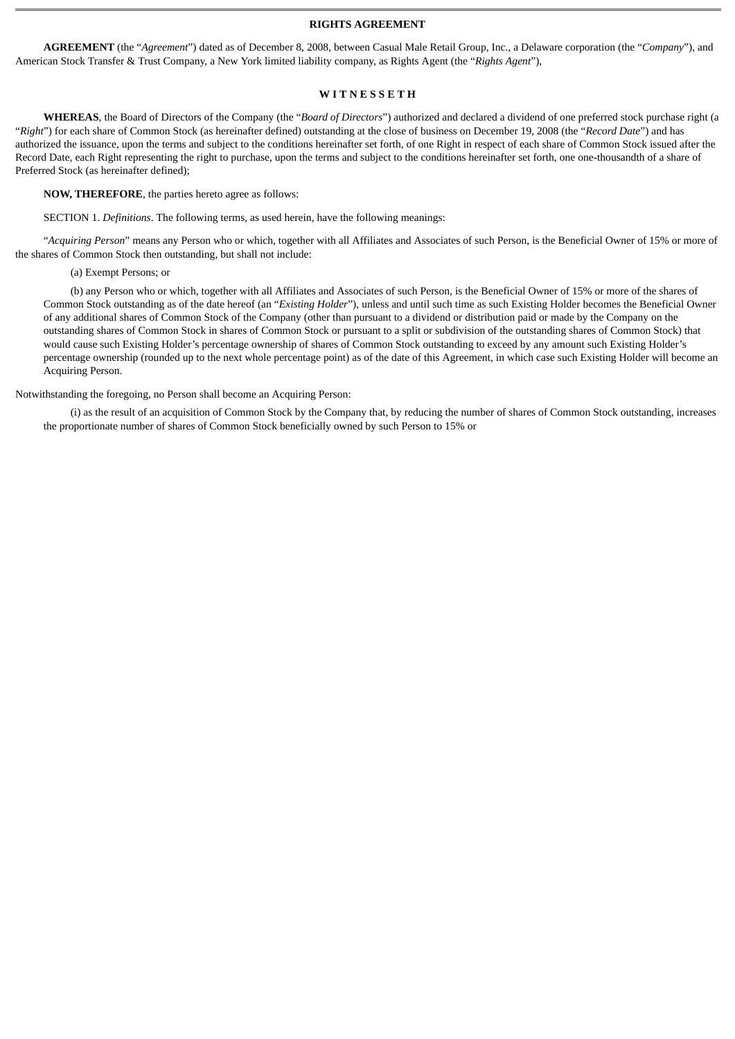#### **RIGHTS AGREEMENT**

**AGREEMENT** (the "*Agreement*") dated as of December 8, 2008, between Casual Male Retail Group, Inc., a Delaware corporation (the "*Company*"), and American Stock Transfer & Trust Company, a New York limited liability company, as Rights Agent (the "*Rights Agent*"),

#### **W I T N E S S E T H**

**WHEREAS**, the Board of Directors of the Company (the "*Board of Directors*") authorized and declared a dividend of one preferred stock purchase right (a "*Right*") for each share of Common Stock (as hereinafter defined) outstanding at the close of business on December 19, 2008 (the "*Record Date*") and has authorized the issuance, upon the terms and subject to the conditions hereinafter set forth, of one Right in respect of each share of Common Stock issued after the Record Date, each Right representing the right to purchase, upon the terms and subject to the conditions hereinafter set forth, one one-thousandth of a share of Preferred Stock (as hereinafter defined);

**NOW, THEREFORE**, the parties hereto agree as follows:

SECTION 1. *Definitions*. The following terms, as used herein, have the following meanings:

"*Acquiring Person*" means any Person who or which, together with all Affiliates and Associates of such Person, is the Beneficial Owner of 15% or more of the shares of Common Stock then outstanding, but shall not include:

(a) Exempt Persons; or

(b) any Person who or which, together with all Affiliates and Associates of such Person, is the Beneficial Owner of 15% or more of the shares of Common Stock outstanding as of the date hereof (an "*Existing Holder*"), unless and until such time as such Existing Holder becomes the Beneficial Owner of any additional shares of Common Stock of the Company (other than pursuant to a dividend or distribution paid or made by the Company on the outstanding shares of Common Stock in shares of Common Stock or pursuant to a split or subdivision of the outstanding shares of Common Stock) that would cause such Existing Holder's percentage ownership of shares of Common Stock outstanding to exceed by any amount such Existing Holder's percentage ownership (rounded up to the next whole percentage point) as of the date of this Agreement, in which case such Existing Holder will become an Acquiring Person.

Notwithstanding the foregoing, no Person shall become an Acquiring Person:

(i) as the result of an acquisition of Common Stock by the Company that, by reducing the number of shares of Common Stock outstanding, increases the proportionate number of shares of Common Stock beneficially owned by such Person to 15% or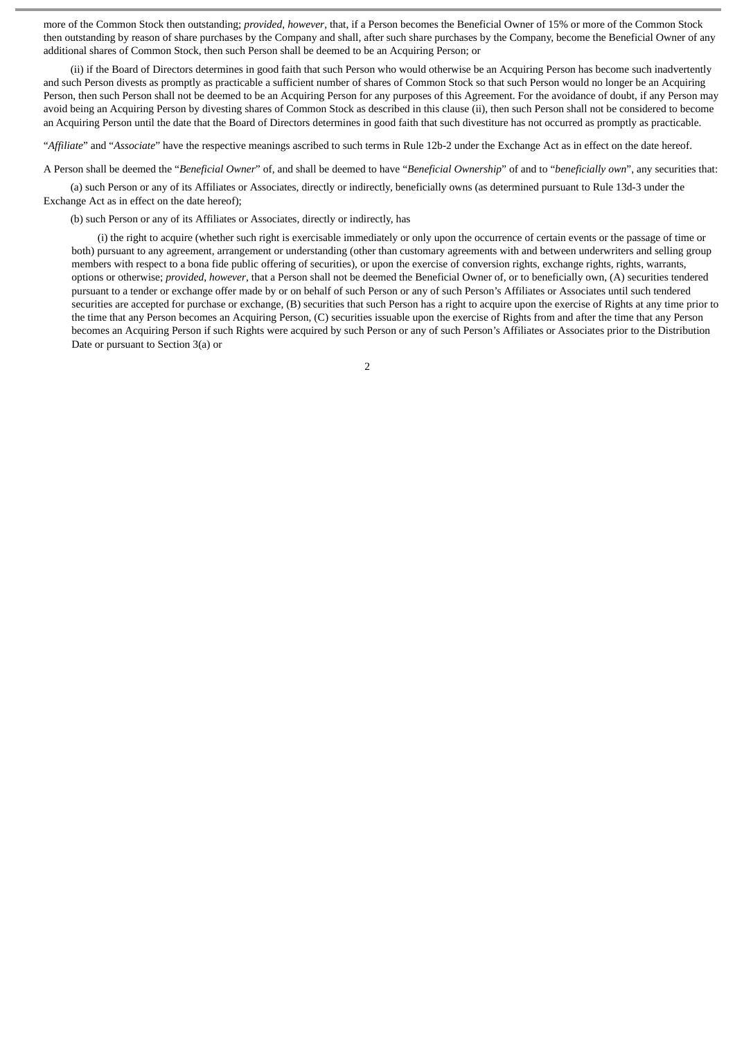more of the Common Stock then outstanding; *provided*, *however*, that, if a Person becomes the Beneficial Owner of 15% or more of the Common Stock then outstanding by reason of share purchases by the Company and shall, after such share purchases by the Company, become the Beneficial Owner of any additional shares of Common Stock, then such Person shall be deemed to be an Acquiring Person; or

(ii) if the Board of Directors determines in good faith that such Person who would otherwise be an Acquiring Person has become such inadvertently and such Person divests as promptly as practicable a sufficient number of shares of Common Stock so that such Person would no longer be an Acquiring Person, then such Person shall not be deemed to be an Acquiring Person for any purposes of this Agreement. For the avoidance of doubt, if any Person may avoid being an Acquiring Person by divesting shares of Common Stock as described in this clause (ii), then such Person shall not be considered to become an Acquiring Person until the date that the Board of Directors determines in good faith that such divestiture has not occurred as promptly as practicable.

"*Affiliate*" and "*Associate*" have the respective meanings ascribed to such terms in Rule 12b-2 under the Exchange Act as in effect on the date hereof.

A Person shall be deemed the "*Beneficial Owner*" of, and shall be deemed to have "*Beneficial Ownership*" of and to "*beneficially own*", any securities that:

(a) such Person or any of its Affiliates or Associates, directly or indirectly, beneficially owns (as determined pursuant to Rule 13d-3 under the Exchange Act as in effect on the date hereof);

(b) such Person or any of its Affiliates or Associates, directly or indirectly, has

(i) the right to acquire (whether such right is exercisable immediately or only upon the occurrence of certain events or the passage of time or both) pursuant to any agreement, arrangement or understanding (other than customary agreements with and between underwriters and selling group members with respect to a bona fide public offering of securities), or upon the exercise of conversion rights, exchange rights, rights, warrants, options or otherwise; *provided*, *however*, that a Person shall not be deemed the Beneficial Owner of, or to beneficially own, (A) securities tendered pursuant to a tender or exchange offer made by or on behalf of such Person or any of such Person's Affiliates or Associates until such tendered securities are accepted for purchase or exchange, (B) securities that such Person has a right to acquire upon the exercise of Rights at any time prior to the time that any Person becomes an Acquiring Person, (C) securities issuable upon the exercise of Rights from and after the time that any Person becomes an Acquiring Person if such Rights were acquired by such Person or any of such Person's Affiliates or Associates prior to the Distribution Date or pursuant to Section 3(a) or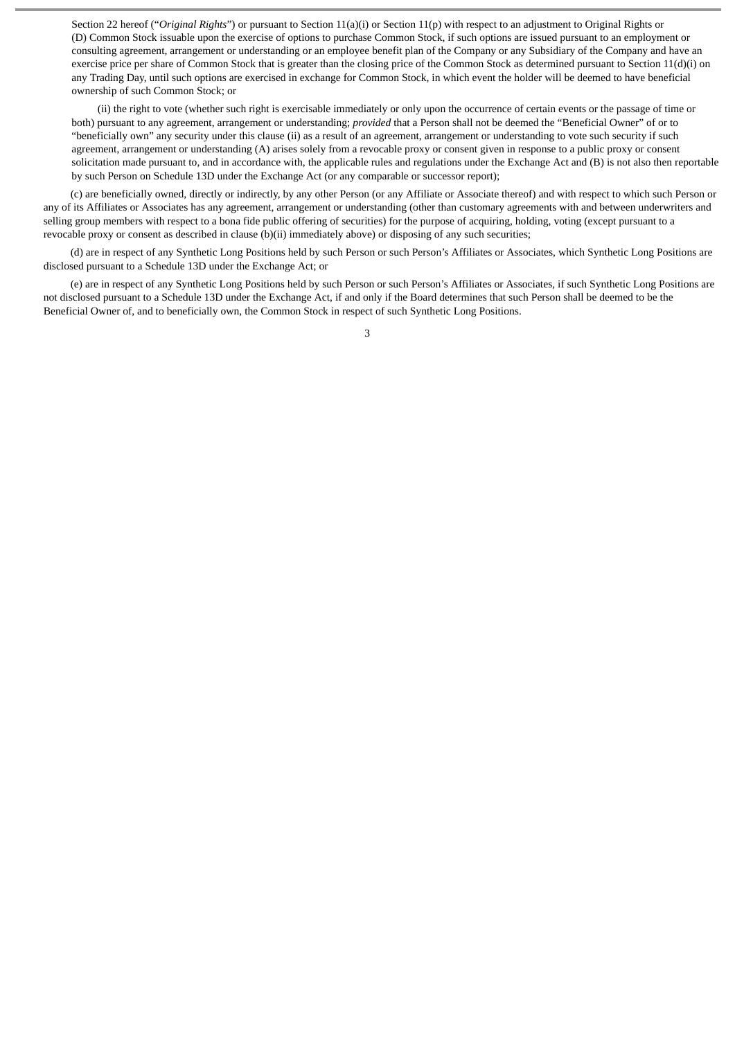Section 22 hereof ("*Original Rights*") or pursuant to Section 11(a)(i) or Section 11(p) with respect to an adjustment to Original Rights or (D) Common Stock issuable upon the exercise of options to purchase Common Stock, if such options are issued pursuant to an employment or consulting agreement, arrangement or understanding or an employee benefit plan of the Company or any Subsidiary of the Company and have an exercise price per share of Common Stock that is greater than the closing price of the Common Stock as determined pursuant to Section 11(d)(i) on any Trading Day, until such options are exercised in exchange for Common Stock, in which event the holder will be deemed to have beneficial ownership of such Common Stock; or

(ii) the right to vote (whether such right is exercisable immediately or only upon the occurrence of certain events or the passage of time or both) pursuant to any agreement, arrangement or understanding; *provided* that a Person shall not be deemed the "Beneficial Owner" of or to "beneficially own" any security under this clause (ii) as a result of an agreement, arrangement or understanding to vote such security if such agreement, arrangement or understanding (A) arises solely from a revocable proxy or consent given in response to a public proxy or consent solicitation made pursuant to, and in accordance with, the applicable rules and regulations under the Exchange Act and (B) is not also then reportable by such Person on Schedule 13D under the Exchange Act (or any comparable or successor report);

(c) are beneficially owned, directly or indirectly, by any other Person (or any Affiliate or Associate thereof) and with respect to which such Person or any of its Affiliates or Associates has any agreement, arrangement or understanding (other than customary agreements with and between underwriters and selling group members with respect to a bona fide public offering of securities) for the purpose of acquiring, holding, voting (except pursuant to a revocable proxy or consent as described in clause (b)(ii) immediately above) or disposing of any such securities;

(d) are in respect of any Synthetic Long Positions held by such Person or such Person's Affiliates or Associates, which Synthetic Long Positions are disclosed pursuant to a Schedule 13D under the Exchange Act; or

(e) are in respect of any Synthetic Long Positions held by such Person or such Person's Affiliates or Associates, if such Synthetic Long Positions are not disclosed pursuant to a Schedule 13D under the Exchange Act, if and only if the Board determines that such Person shall be deemed to be the Beneficial Owner of, and to beneficially own, the Common Stock in respect of such Synthetic Long Positions.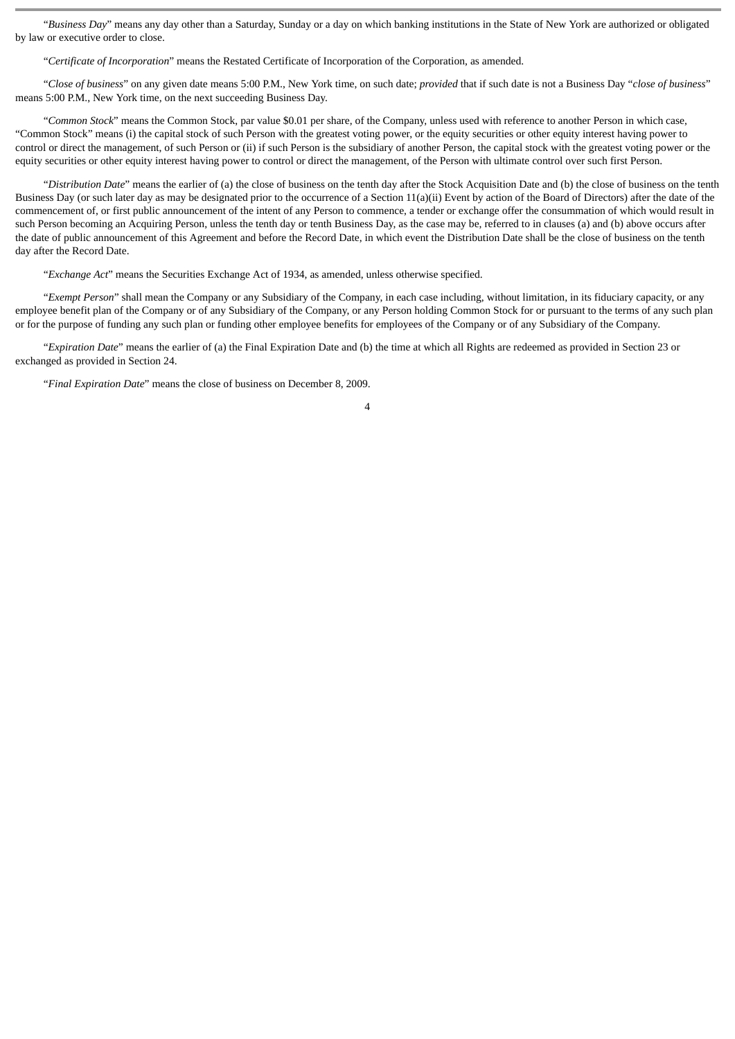"*Business Day*" means any day other than a Saturday, Sunday or a day on which banking institutions in the State of New York are authorized or obligated by law or executive order to close.

"*Certificate of Incorporation*" means the Restated Certificate of Incorporation of the Corporation, as amended.

"*Close of business*" on any given date means 5:00 P.M., New York time, on such date; *provided* that if such date is not a Business Day "*close of business*" means 5:00 P.M., New York time, on the next succeeding Business Day.

"*Common Stock*" means the Common Stock, par value \$0.01 per share, of the Company, unless used with reference to another Person in which case, "Common Stock" means (i) the capital stock of such Person with the greatest voting power, or the equity securities or other equity interest having power to control or direct the management, of such Person or (ii) if such Person is the subsidiary of another Person, the capital stock with the greatest voting power or the equity securities or other equity interest having power to control or direct the management, of the Person with ultimate control over such first Person.

"*Distribution Date*" means the earlier of (a) the close of business on the tenth day after the Stock Acquisition Date and (b) the close of business on the tenth Business Day (or such later day as may be designated prior to the occurrence of a Section 11(a)(ii) Event by action of the Board of Directors) after the date of the commencement of, or first public announcement of the intent of any Person to commence, a tender or exchange offer the consummation of which would result in such Person becoming an Acquiring Person, unless the tenth day or tenth Business Day, as the case may be, referred to in clauses (a) and (b) above occurs after the date of public announcement of this Agreement and before the Record Date, in which event the Distribution Date shall be the close of business on the tenth day after the Record Date.

"*Exchange Act*" means the Securities Exchange Act of 1934, as amended, unless otherwise specified.

"*Exempt Person*" shall mean the Company or any Subsidiary of the Company, in each case including, without limitation, in its fiduciary capacity, or any employee benefit plan of the Company or of any Subsidiary of the Company, or any Person holding Common Stock for or pursuant to the terms of any such plan or for the purpose of funding any such plan or funding other employee benefits for employees of the Company or of any Subsidiary of the Company.

"*Expiration Date*" means the earlier of (a) the Final Expiration Date and (b) the time at which all Rights are redeemed as provided in Section 23 or exchanged as provided in Section 24.

"*Final Expiration Date*" means the close of business on December 8, 2009.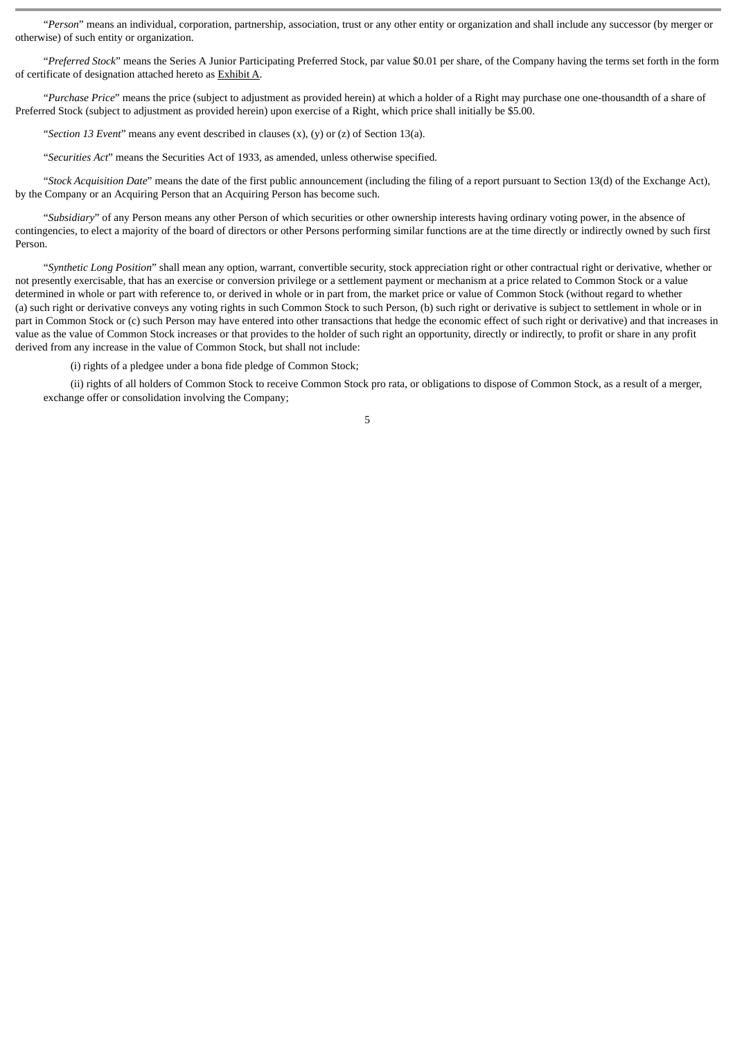"*Person*" means an individual, corporation, partnership, association, trust or any other entity or organization and shall include any successor (by merger or otherwise) of such entity or organization.

"*Preferred Stock*" means the Series A Junior Participating Preferred Stock, par value \$0.01 per share, of the Company having the terms set forth in the form of certificate of designation attached hereto as Exhibit A.

"*Purchase Price*" means the price (subject to adjustment as provided herein) at which a holder of a Right may purchase one one-thousandth of a share of Preferred Stock (subject to adjustment as provided herein) upon exercise of a Right, which price shall initially be \$5.00.

"*Section 13 Event*" means any event described in clauses (x), (y) or (z) of Section 13(a).

"*Securities Act*" means the Securities Act of 1933, as amended, unless otherwise specified.

"*Stock Acquisition Date*" means the date of the first public announcement (including the filing of a report pursuant to Section 13(d) of the Exchange Act), by the Company or an Acquiring Person that an Acquiring Person has become such.

"*Subsidiary*" of any Person means any other Person of which securities or other ownership interests having ordinary voting power, in the absence of contingencies, to elect a majority of the board of directors or other Persons performing similar functions are at the time directly or indirectly owned by such first Person.

"*Synthetic Long Position*" shall mean any option, warrant, convertible security, stock appreciation right or other contractual right or derivative, whether or not presently exercisable, that has an exercise or conversion privilege or a settlement payment or mechanism at a price related to Common Stock or a value determined in whole or part with reference to, or derived in whole or in part from, the market price or value of Common Stock (without regard to whether (a) such right or derivative conveys any voting rights in such Common Stock to such Person, (b) such right or derivative is subject to settlement in whole or in part in Common Stock or (c) such Person may have entered into other transactions that hedge the economic effect of such right or derivative) and that increases in value as the value of Common Stock increases or that provides to the holder of such right an opportunity, directly or indirectly, to profit or share in any profit derived from any increase in the value of Common Stock, but shall not include:

(i) rights of a pledgee under a bona fide pledge of Common Stock;

(ii) rights of all holders of Common Stock to receive Common Stock pro rata, or obligations to dispose of Common Stock, as a result of a merger, exchange offer or consolidation involving the Company;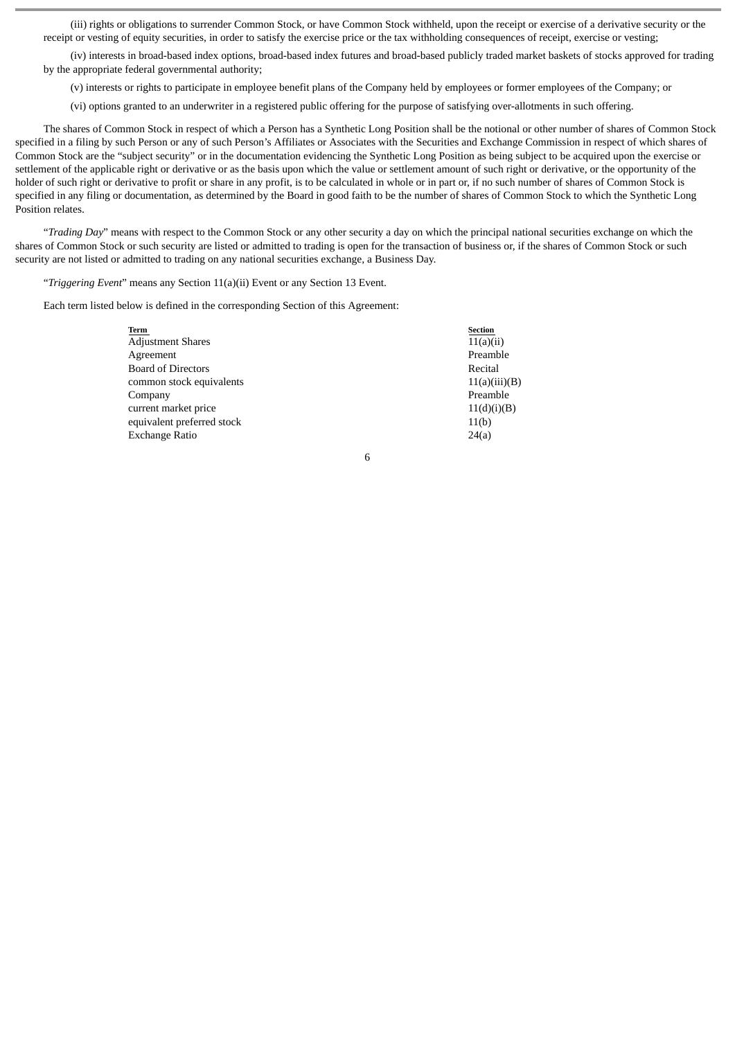(iii) rights or obligations to surrender Common Stock, or have Common Stock withheld, upon the receipt or exercise of a derivative security or the receipt or vesting of equity securities, in order to satisfy the exercise price or the tax withholding consequences of receipt, exercise or vesting;

(iv) interests in broad-based index options, broad-based index futures and broad-based publicly traded market baskets of stocks approved for trading by the appropriate federal governmental authority;

(v) interests or rights to participate in employee benefit plans of the Company held by employees or former employees of the Company; or

(vi) options granted to an underwriter in a registered public offering for the purpose of satisfying over-allotments in such offering.

The shares of Common Stock in respect of which a Person has a Synthetic Long Position shall be the notional or other number of shares of Common Stock specified in a filing by such Person or any of such Person's Affiliates or Associates with the Securities and Exchange Commission in respect of which shares of Common Stock are the "subject security" or in the documentation evidencing the Synthetic Long Position as being subject to be acquired upon the exercise or settlement of the applicable right or derivative or as the basis upon which the value or settlement amount of such right or derivative, or the opportunity of the holder of such right or derivative to profit or share in any profit, is to be calculated in whole or in part or, if no such number of shares of Common Stock is specified in any filing or documentation, as determined by the Board in good faith to be the number of shares of Common Stock to which the Synthetic Long Position relates.

"*Trading Day*" means with respect to the Common Stock or any other security a day on which the principal national securities exchange on which the shares of Common Stock or such security are listed or admitted to trading is open for the transaction of business or, if the shares of Common Stock or such security are not listed or admitted to trading on any national securities exchange, a Business Day.

"*Triggering Event*" means any Section 11(a)(ii) Event or any Section 13 Event.

Each term listed below is defined in the corresponding Section of this Agreement:

| Term                       | <b>Section</b> |
|----------------------------|----------------|
| <b>Adjustment Shares</b>   | 11(a)(ii)      |
| Agreement                  | Preamble       |
| <b>Board of Directors</b>  | Recital        |
| common stock equivalents   | 11(a)(iii)(B)  |
| Company                    | Preamble       |
| current market price       | 11(d)(i)(B)    |
| equivalent preferred stock | 11(b)          |
| Exchange Ratio             | 24(a)          |
|                            |                |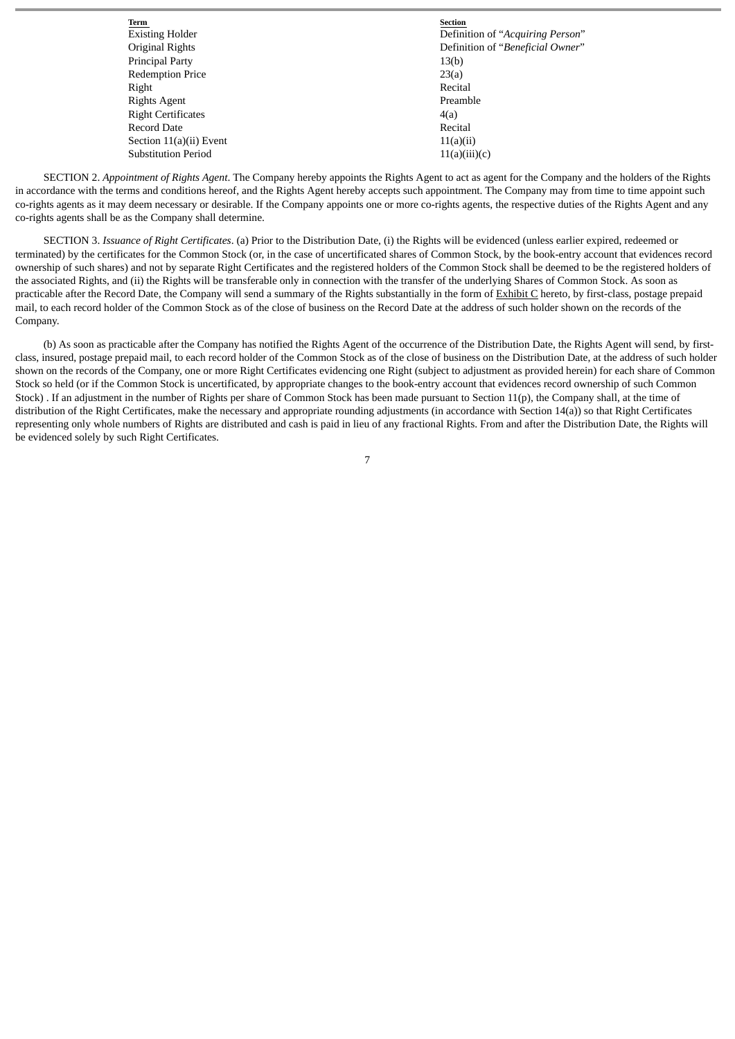| Term                       | <b>Section</b>                   |
|----------------------------|----------------------------------|
| <b>Existing Holder</b>     | Definition of "Acquiring Person" |
| Original Rights            | Definition of "Beneficial Owner" |
| Principal Party            | 13(b)                            |
| <b>Redemption Price</b>    | 23(a)                            |
| Right                      | Recital                          |
| <b>Rights Agent</b>        | Preamble                         |
| <b>Right Certificates</b>  | 4(a)                             |
| Record Date                | Recital                          |
| Section $11(a)(ii)$ Event  | 11(a)(ii)                        |
| <b>Substitution Period</b> | 11(a)(iii)(c)                    |
|                            |                                  |

SECTION 2. *Appointment of Rights Agent*. The Company hereby appoints the Rights Agent to act as agent for the Company and the holders of the Rights in accordance with the terms and conditions hereof, and the Rights Agent hereby accepts such appointment. The Company may from time to time appoint such co-rights agents as it may deem necessary or desirable. If the Company appoints one or more co-rights agents, the respective duties of the Rights Agent and any co-rights agents shall be as the Company shall determine.

SECTION 3. *Issuance of Right Certificates*. (a) Prior to the Distribution Date, (i) the Rights will be evidenced (unless earlier expired, redeemed or terminated) by the certificates for the Common Stock (or, in the case of uncertificated shares of Common Stock, by the book-entry account that evidences record ownership of such shares) and not by separate Right Certificates and the registered holders of the Common Stock shall be deemed to be the registered holders of the associated Rights, and (ii) the Rights will be transferable only in connection with the transfer of the underlying Shares of Common Stock. As soon as practicable after the Record Date, the Company will send a summary of the Rights substantially in the form of Exhibit C hereto, by first-class, postage prepaid mail, to each record holder of the Common Stock as of the close of business on the Record Date at the address of such holder shown on the records of the Company.

(b) As soon as practicable after the Company has notified the Rights Agent of the occurrence of the Distribution Date, the Rights Agent will send, by firstclass, insured, postage prepaid mail, to each record holder of the Common Stock as of the close of business on the Distribution Date, at the address of such holder shown on the records of the Company, one or more Right Certificates evidencing one Right (subject to adjustment as provided herein) for each share of Common Stock so held (or if the Common Stock is uncertificated, by appropriate changes to the book-entry account that evidences record ownership of such Common Stock) . If an adjustment in the number of Rights per share of Common Stock has been made pursuant to Section 11(p), the Company shall, at the time of distribution of the Right Certificates, make the necessary and appropriate rounding adjustments (in accordance with Section 14(a)) so that Right Certificates representing only whole numbers of Rights are distributed and cash is paid in lieu of any fractional Rights. From and after the Distribution Date, the Rights will be evidenced solely by such Right Certificates.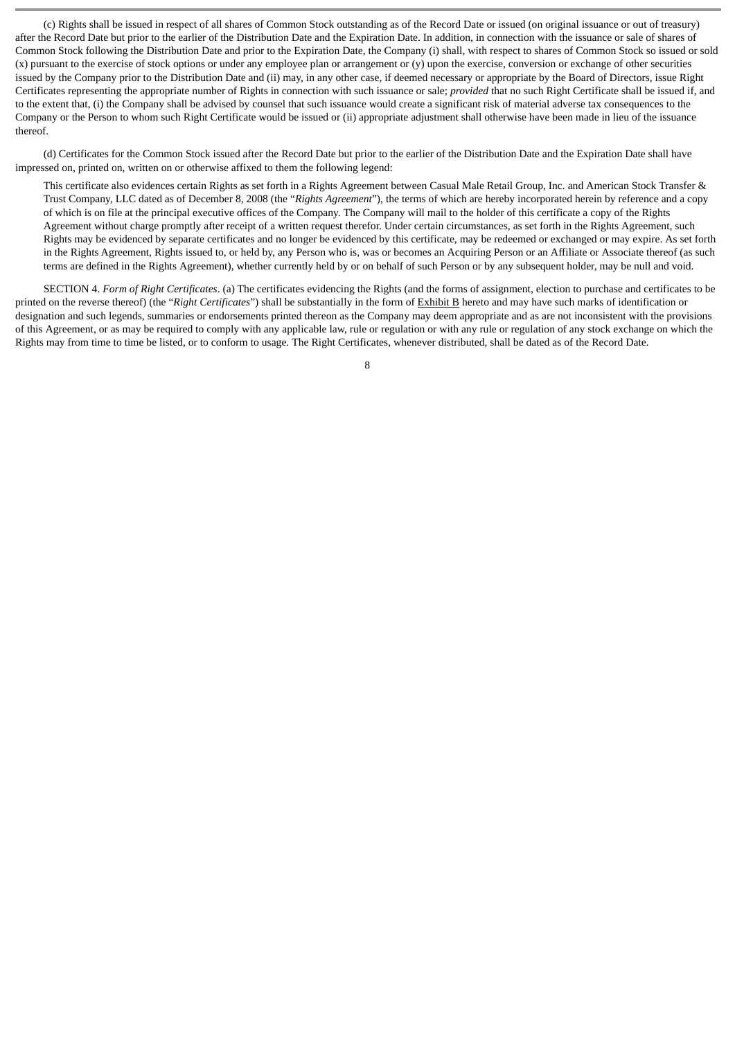(c) Rights shall be issued in respect of all shares of Common Stock outstanding as of the Record Date or issued (on original issuance or out of treasury) after the Record Date but prior to the earlier of the Distribution Date and the Expiration Date. In addition, in connection with the issuance or sale of shares of Common Stock following the Distribution Date and prior to the Expiration Date, the Company (i) shall, with respect to shares of Common Stock so issued or sold (x) pursuant to the exercise of stock options or under any employee plan or arrangement or (y) upon the exercise, conversion or exchange of other securities issued by the Company prior to the Distribution Date and (ii) may, in any other case, if deemed necessary or appropriate by the Board of Directors, issue Right Certificates representing the appropriate number of Rights in connection with such issuance or sale; *provided* that no such Right Certificate shall be issued if, and to the extent that, (i) the Company shall be advised by counsel that such issuance would create a significant risk of material adverse tax consequences to the Company or the Person to whom such Right Certificate would be issued or (ii) appropriate adjustment shall otherwise have been made in lieu of the issuance thereof.

(d) Certificates for the Common Stock issued after the Record Date but prior to the earlier of the Distribution Date and the Expiration Date shall have impressed on, printed on, written on or otherwise affixed to them the following legend:

This certificate also evidences certain Rights as set forth in a Rights Agreement between Casual Male Retail Group, Inc. and American Stock Transfer & Trust Company, LLC dated as of December 8, 2008 (the "*Rights Agreement*"), the terms of which are hereby incorporated herein by reference and a copy of which is on file at the principal executive offices of the Company. The Company will mail to the holder of this certificate a copy of the Rights Agreement without charge promptly after receipt of a written request therefor. Under certain circumstances, as set forth in the Rights Agreement, such Rights may be evidenced by separate certificates and no longer be evidenced by this certificate, may be redeemed or exchanged or may expire. As set forth in the Rights Agreement, Rights issued to, or held by, any Person who is, was or becomes an Acquiring Person or an Affiliate or Associate thereof (as such terms are defined in the Rights Agreement), whether currently held by or on behalf of such Person or by any subsequent holder, may be null and void.

SECTION 4. *Form of Right Certificates*. (a) The certificates evidencing the Rights (and the forms of assignment, election to purchase and certificates to be printed on the reverse thereof) (the "*Right Certificates*") shall be substantially in the form of **Exhibit B** hereto and may have such marks of identification or designation and such legends, summaries or endorsements printed thereon as the Company may deem appropriate and as are not inconsistent with the provisions of this Agreement, or as may be required to comply with any applicable law, rule or regulation or with any rule or regulation of any stock exchange on which the Rights may from time to time be listed, or to conform to usage. The Right Certificates, whenever distributed, shall be dated as of the Record Date.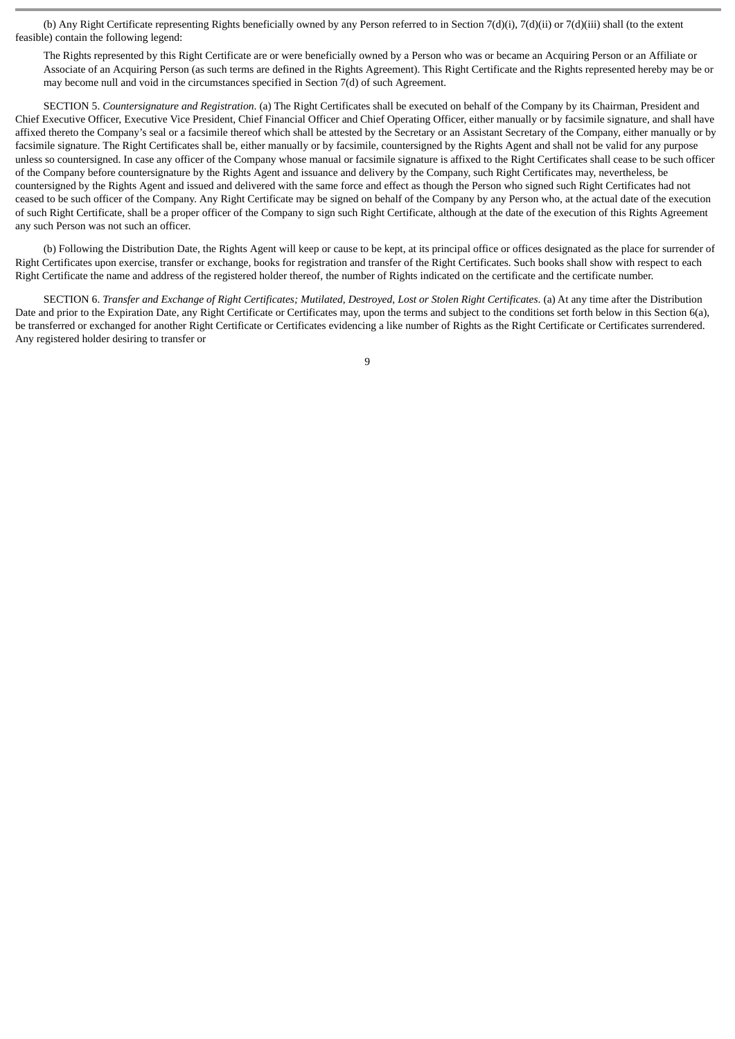(b) Any Right Certificate representing Rights beneficially owned by any Person referred to in Section 7(d)(i), 7(d)(ii) or 7(d)(iii) shall (to the extent feasible) contain the following legend:

The Rights represented by this Right Certificate are or were beneficially owned by a Person who was or became an Acquiring Person or an Affiliate or Associate of an Acquiring Person (as such terms are defined in the Rights Agreement). This Right Certificate and the Rights represented hereby may be or may become null and void in the circumstances specified in Section 7(d) of such Agreement.

SECTION 5. *Countersignature and Registration*. (a) The Right Certificates shall be executed on behalf of the Company by its Chairman, President and Chief Executive Officer, Executive Vice President, Chief Financial Officer and Chief Operating Officer, either manually or by facsimile signature, and shall have affixed thereto the Company's seal or a facsimile thereof which shall be attested by the Secretary or an Assistant Secretary of the Company, either manually or by facsimile signature. The Right Certificates shall be, either manually or by facsimile, countersigned by the Rights Agent and shall not be valid for any purpose unless so countersigned. In case any officer of the Company whose manual or facsimile signature is affixed to the Right Certificates shall cease to be such officer of the Company before countersignature by the Rights Agent and issuance and delivery by the Company, such Right Certificates may, nevertheless, be countersigned by the Rights Agent and issued and delivered with the same force and effect as though the Person who signed such Right Certificates had not ceased to be such officer of the Company. Any Right Certificate may be signed on behalf of the Company by any Person who, at the actual date of the execution of such Right Certificate, shall be a proper officer of the Company to sign such Right Certificate, although at the date of the execution of this Rights Agreement any such Person was not such an officer.

(b) Following the Distribution Date, the Rights Agent will keep or cause to be kept, at its principal office or offices designated as the place for surrender of Right Certificates upon exercise, transfer or exchange, books for registration and transfer of the Right Certificates. Such books shall show with respect to each Right Certificate the name and address of the registered holder thereof, the number of Rights indicated on the certificate and the certificate number.

SECTION 6. *Transfer and Exchange of Right Certificates; Mutilated, Destroyed, Lost or Stolen Right Certificates*. (a) At any time after the Distribution Date and prior to the Expiration Date, any Right Certificate or Certificates may, upon the terms and subject to the conditions set forth below in this Section 6(a), be transferred or exchanged for another Right Certificate or Certificates evidencing a like number of Rights as the Right Certificate or Certificates surrendered. Any registered holder desiring to transfer or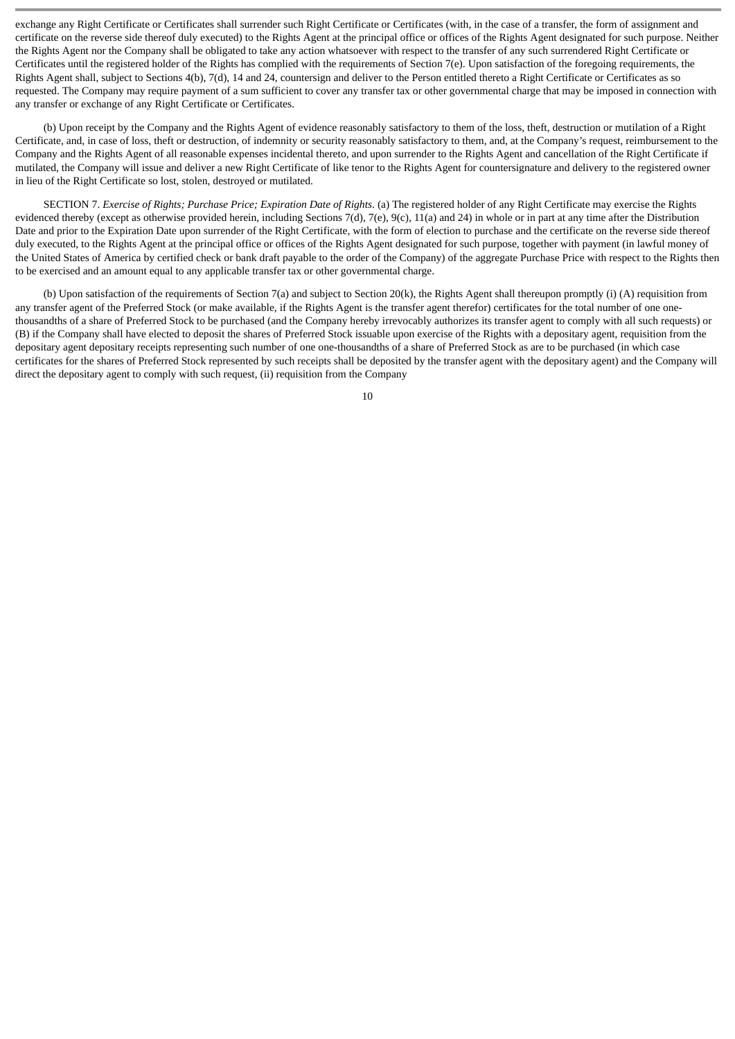exchange any Right Certificate or Certificates shall surrender such Right Certificate or Certificates (with, in the case of a transfer, the form of assignment and certificate on the reverse side thereof duly executed) to the Rights Agent at the principal office or offices of the Rights Agent designated for such purpose. Neither the Rights Agent nor the Company shall be obligated to take any action whatsoever with respect to the transfer of any such surrendered Right Certificate or Certificates until the registered holder of the Rights has complied with the requirements of Section 7(e). Upon satisfaction of the foregoing requirements, the Rights Agent shall, subject to Sections 4(b), 7(d), 14 and 24, countersign and deliver to the Person entitled thereto a Right Certificate or Certificates as so requested. The Company may require payment of a sum sufficient to cover any transfer tax or other governmental charge that may be imposed in connection with any transfer or exchange of any Right Certificate or Certificates.

(b) Upon receipt by the Company and the Rights Agent of evidence reasonably satisfactory to them of the loss, theft, destruction or mutilation of a Right Certificate, and, in case of loss, theft or destruction, of indemnity or security reasonably satisfactory to them, and, at the Company's request, reimbursement to the Company and the Rights Agent of all reasonable expenses incidental thereto, and upon surrender to the Rights Agent and cancellation of the Right Certificate if mutilated, the Company will issue and deliver a new Right Certificate of like tenor to the Rights Agent for countersignature and delivery to the registered owner in lieu of the Right Certificate so lost, stolen, destroyed or mutilated.

SECTION 7. *Exercise of Rights; Purchase Price; Expiration Date of Rights*. (a) The registered holder of any Right Certificate may exercise the Rights evidenced thereby (except as otherwise provided herein, including Sections 7(d), 7(e), 9(c), 11(a) and 24) in whole or in part at any time after the Distribution Date and prior to the Expiration Date upon surrender of the Right Certificate, with the form of election to purchase and the certificate on the reverse side thereof duly executed, to the Rights Agent at the principal office or offices of the Rights Agent designated for such purpose, together with payment (in lawful money of the United States of America by certified check or bank draft payable to the order of the Company) of the aggregate Purchase Price with respect to the Rights then to be exercised and an amount equal to any applicable transfer tax or other governmental charge.

(b) Upon satisfaction of the requirements of Section 7(a) and subject to Section 20(k), the Rights Agent shall thereupon promptly (i) (A) requisition from any transfer agent of the Preferred Stock (or make available, if the Rights Agent is the transfer agent therefor) certificates for the total number of one onethousandths of a share of Preferred Stock to be purchased (and the Company hereby irrevocably authorizes its transfer agent to comply with all such requests) or (B) if the Company shall have elected to deposit the shares of Preferred Stock issuable upon exercise of the Rights with a depositary agent, requisition from the depositary agent depositary receipts representing such number of one one-thousandths of a share of Preferred Stock as are to be purchased (in which case certificates for the shares of Preferred Stock represented by such receipts shall be deposited by the transfer agent with the depositary agent) and the Company will direct the depositary agent to comply with such request, (ii) requisition from the Company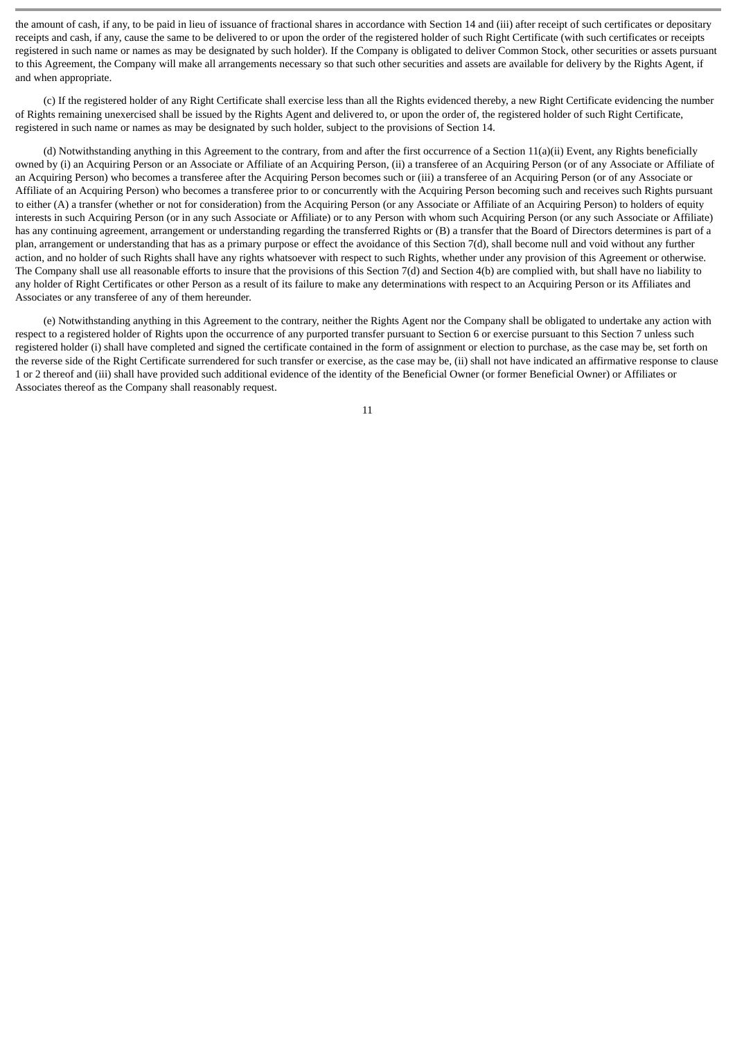the amount of cash, if any, to be paid in lieu of issuance of fractional shares in accordance with Section 14 and (iii) after receipt of such certificates or depositary receipts and cash, if any, cause the same to be delivered to or upon the order of the registered holder of such Right Certificate (with such certificates or receipts registered in such name or names as may be designated by such holder). If the Company is obligated to deliver Common Stock, other securities or assets pursuant to this Agreement, the Company will make all arrangements necessary so that such other securities and assets are available for delivery by the Rights Agent, if and when appropriate.

(c) If the registered holder of any Right Certificate shall exercise less than all the Rights evidenced thereby, a new Right Certificate evidencing the number of Rights remaining unexercised shall be issued by the Rights Agent and delivered to, or upon the order of, the registered holder of such Right Certificate, registered in such name or names as may be designated by such holder, subject to the provisions of Section 14.

(d) Notwithstanding anything in this Agreement to the contrary, from and after the first occurrence of a Section 11(a)(ii) Event, any Rights beneficially owned by (i) an Acquiring Person or an Associate or Affiliate of an Acquiring Person, (ii) a transferee of an Acquiring Person (or of any Associate or Affiliate of an Acquiring Person) who becomes a transferee after the Acquiring Person becomes such or (iii) a transferee of an Acquiring Person (or of any Associate or Affiliate of an Acquiring Person) who becomes a transferee prior to or concurrently with the Acquiring Person becoming such and receives such Rights pursuant to either (A) a transfer (whether or not for consideration) from the Acquiring Person (or any Associate or Affiliate of an Acquiring Person) to holders of equity interests in such Acquiring Person (or in any such Associate or Affiliate) or to any Person with whom such Acquiring Person (or any such Associate or Affiliate) has any continuing agreement, arrangement or understanding regarding the transferred Rights or (B) a transfer that the Board of Directors determines is part of a plan, arrangement or understanding that has as a primary purpose or effect the avoidance of this Section 7(d), shall become null and void without any further action, and no holder of such Rights shall have any rights whatsoever with respect to such Rights, whether under any provision of this Agreement or otherwise. The Company shall use all reasonable efforts to insure that the provisions of this Section 7(d) and Section 4(b) are complied with, but shall have no liability to any holder of Right Certificates or other Person as a result of its failure to make any determinations with respect to an Acquiring Person or its Affiliates and Associates or any transferee of any of them hereunder.

(e) Notwithstanding anything in this Agreement to the contrary, neither the Rights Agent nor the Company shall be obligated to undertake any action with respect to a registered holder of Rights upon the occurrence of any purported transfer pursuant to Section 6 or exercise pursuant to this Section 7 unless such registered holder (i) shall have completed and signed the certificate contained in the form of assignment or election to purchase, as the case may be, set forth on the reverse side of the Right Certificate surrendered for such transfer or exercise, as the case may be, (ii) shall not have indicated an affirmative response to clause 1 or 2 thereof and (iii) shall have provided such additional evidence of the identity of the Beneficial Owner (or former Beneficial Owner) or Affiliates or Associates thereof as the Company shall reasonably request.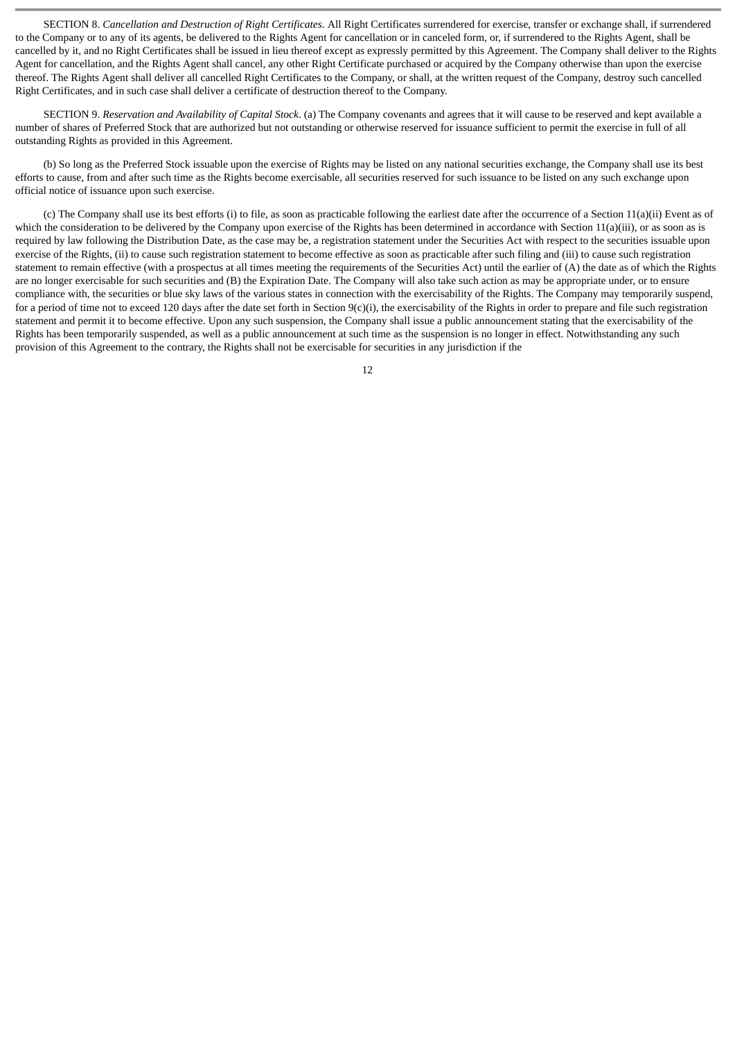SECTION 8. *Cancellation and Destruction of Right Certificates*. All Right Certificates surrendered for exercise, transfer or exchange shall, if surrendered to the Company or to any of its agents, be delivered to the Rights Agent for cancellation or in canceled form, or, if surrendered to the Rights Agent, shall be cancelled by it, and no Right Certificates shall be issued in lieu thereof except as expressly permitted by this Agreement. The Company shall deliver to the Rights Agent for cancellation, and the Rights Agent shall cancel, any other Right Certificate purchased or acquired by the Company otherwise than upon the exercise thereof. The Rights Agent shall deliver all cancelled Right Certificates to the Company, or shall, at the written request of the Company, destroy such cancelled Right Certificates, and in such case shall deliver a certificate of destruction thereof to the Company.

SECTION 9. *Reservation and Availability of Capital Stock*. (a) The Company covenants and agrees that it will cause to be reserved and kept available a number of shares of Preferred Stock that are authorized but not outstanding or otherwise reserved for issuance sufficient to permit the exercise in full of all outstanding Rights as provided in this Agreement.

(b) So long as the Preferred Stock issuable upon the exercise of Rights may be listed on any national securities exchange, the Company shall use its best efforts to cause, from and after such time as the Rights become exercisable, all securities reserved for such issuance to be listed on any such exchange upon official notice of issuance upon such exercise.

(c) The Company shall use its best efforts (i) to file, as soon as practicable following the earliest date after the occurrence of a Section 11(a)(ii) Event as of which the consideration to be delivered by the Company upon exercise of the Rights has been determined in accordance with Section 11(a)(iii), or as soon as is required by law following the Distribution Date, as the case may be, a registration statement under the Securities Act with respect to the securities issuable upon exercise of the Rights, (ii) to cause such registration statement to become effective as soon as practicable after such filing and (iii) to cause such registration statement to remain effective (with a prospectus at all times meeting the requirements of the Securities Act) until the earlier of (A) the date as of which the Rights are no longer exercisable for such securities and (B) the Expiration Date. The Company will also take such action as may be appropriate under, or to ensure compliance with, the securities or blue sky laws of the various states in connection with the exercisability of the Rights. The Company may temporarily suspend, for a period of time not to exceed 120 days after the date set forth in Section  $9(c)(i)$ , the exercisability of the Rights in order to prepare and file such registration statement and permit it to become effective. Upon any such suspension, the Company shall issue a public announcement stating that the exercisability of the Rights has been temporarily suspended, as well as a public announcement at such time as the suspension is no longer in effect. Notwithstanding any such provision of this Agreement to the contrary, the Rights shall not be exercisable for securities in any jurisdiction if the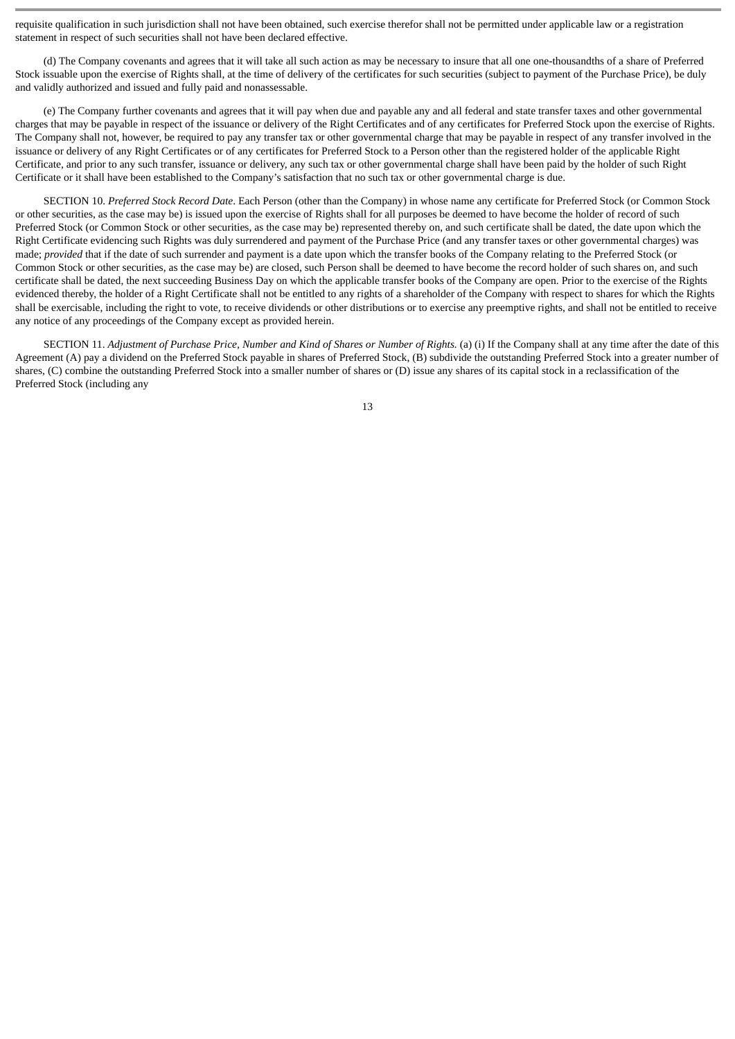requisite qualification in such jurisdiction shall not have been obtained, such exercise therefor shall not be permitted under applicable law or a registration statement in respect of such securities shall not have been declared effective.

(d) The Company covenants and agrees that it will take all such action as may be necessary to insure that all one one-thousandths of a share of Preferred Stock issuable upon the exercise of Rights shall, at the time of delivery of the certificates for such securities (subject to payment of the Purchase Price), be duly and validly authorized and issued and fully paid and nonassessable.

(e) The Company further covenants and agrees that it will pay when due and payable any and all federal and state transfer taxes and other governmental charges that may be payable in respect of the issuance or delivery of the Right Certificates and of any certificates for Preferred Stock upon the exercise of Rights. The Company shall not, however, be required to pay any transfer tax or other governmental charge that may be payable in respect of any transfer involved in the issuance or delivery of any Right Certificates or of any certificates for Preferred Stock to a Person other than the registered holder of the applicable Right Certificate, and prior to any such transfer, issuance or delivery, any such tax or other governmental charge shall have been paid by the holder of such Right Certificate or it shall have been established to the Company's satisfaction that no such tax or other governmental charge is due.

SECTION 10. *Preferred Stock Record Date*. Each Person (other than the Company) in whose name any certificate for Preferred Stock (or Common Stock or other securities, as the case may be) is issued upon the exercise of Rights shall for all purposes be deemed to have become the holder of record of such Preferred Stock (or Common Stock or other securities, as the case may be) represented thereby on, and such certificate shall be dated, the date upon which the Right Certificate evidencing such Rights was duly surrendered and payment of the Purchase Price (and any transfer taxes or other governmental charges) was made; *provided* that if the date of such surrender and payment is a date upon which the transfer books of the Company relating to the Preferred Stock (or Common Stock or other securities, as the case may be) are closed, such Person shall be deemed to have become the record holder of such shares on, and such certificate shall be dated, the next succeeding Business Day on which the applicable transfer books of the Company are open. Prior to the exercise of the Rights evidenced thereby, the holder of a Right Certificate shall not be entitled to any rights of a shareholder of the Company with respect to shares for which the Rights shall be exercisable, including the right to vote, to receive dividends or other distributions or to exercise any preemptive rights, and shall not be entitled to receive any notice of any proceedings of the Company except as provided herein.

SECTION 11. *Adjustment of Purchase Price, Number and Kind of Shares or Number of Rights.* (a) (i) If the Company shall at any time after the date of this Agreement (A) pay a dividend on the Preferred Stock payable in shares of Preferred Stock, (B) subdivide the outstanding Preferred Stock into a greater number of shares, (C) combine the outstanding Preferred Stock into a smaller number of shares or (D) issue any shares of its capital stock in a reclassification of the Preferred Stock (including any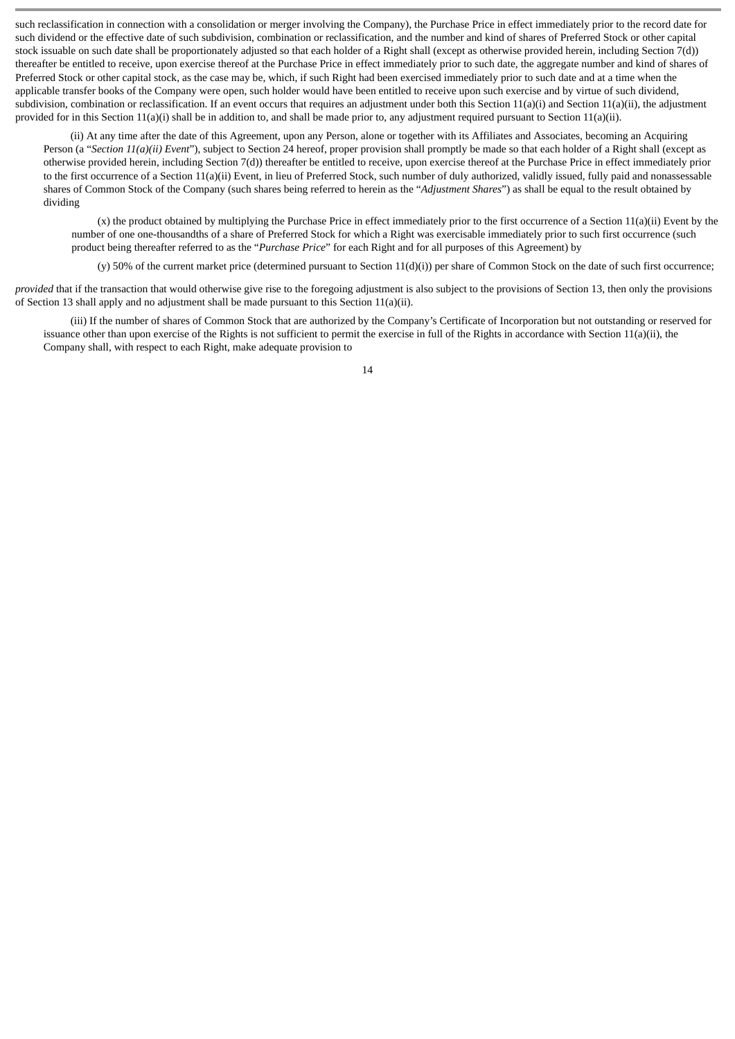such reclassification in connection with a consolidation or merger involving the Company), the Purchase Price in effect immediately prior to the record date for such dividend or the effective date of such subdivision, combination or reclassification, and the number and kind of shares of Preferred Stock or other capital stock issuable on such date shall be proportionately adjusted so that each holder of a Right shall (except as otherwise provided herein, including Section 7(d)) thereafter be entitled to receive, upon exercise thereof at the Purchase Price in effect immediately prior to such date, the aggregate number and kind of shares of Preferred Stock or other capital stock, as the case may be, which, if such Right had been exercised immediately prior to such date and at a time when the applicable transfer books of the Company were open, such holder would have been entitled to receive upon such exercise and by virtue of such dividend, subdivision, combination or reclassification. If an event occurs that requires an adjustment under both this Section 11(a)(i) and Section 11(a)(ii), the adjustment provided for in this Section 11(a)(i) shall be in addition to, and shall be made prior to, any adjustment required pursuant to Section 11(a)(ii).

(ii) At any time after the date of this Agreement, upon any Person, alone or together with its Affiliates and Associates, becoming an Acquiring Person (a "*Section 11(a)(ii) Event*"), subject to Section 24 hereof, proper provision shall promptly be made so that each holder of a Right shall (except as otherwise provided herein, including Section 7(d)) thereafter be entitled to receive, upon exercise thereof at the Purchase Price in effect immediately prior to the first occurrence of a Section 11(a)(ii) Event, in lieu of Preferred Stock, such number of duly authorized, validly issued, fully paid and nonassessable shares of Common Stock of the Company (such shares being referred to herein as the "*Adjustment Shares*") as shall be equal to the result obtained by dividing

(x) the product obtained by multiplying the Purchase Price in effect immediately prior to the first occurrence of a Section 11(a)(ii) Event by the number of one one-thousandths of a share of Preferred Stock for which a Right was exercisable immediately prior to such first occurrence (such product being thereafter referred to as the "*Purchase Price*" for each Right and for all purposes of this Agreement) by

(y) 50% of the current market price (determined pursuant to Section 11(d)(i)) per share of Common Stock on the date of such first occurrence;

*provided* that if the transaction that would otherwise give rise to the foregoing adjustment is also subject to the provisions of Section 13, then only the provisions of Section 13 shall apply and no adjustment shall be made pursuant to this Section 11(a)(ii).

(iii) If the number of shares of Common Stock that are authorized by the Company's Certificate of Incorporation but not outstanding or reserved for issuance other than upon exercise of the Rights is not sufficient to permit the exercise in full of the Rights in accordance with Section 11(a)(ii), the Company shall, with respect to each Right, make adequate provision to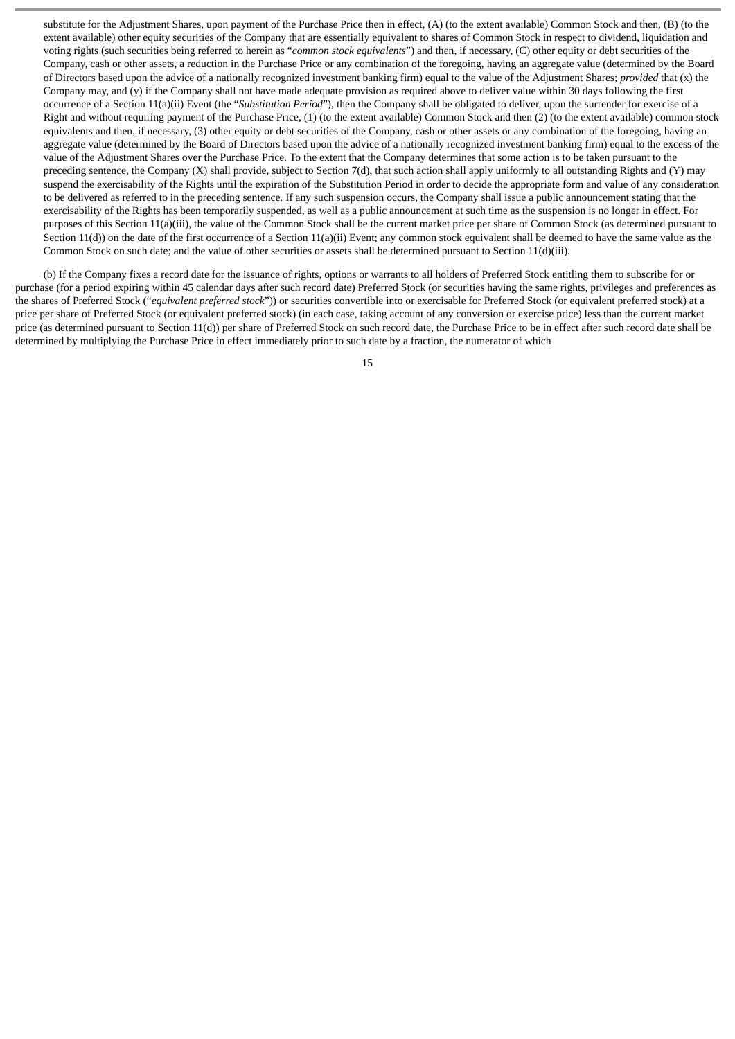substitute for the Adjustment Shares, upon payment of the Purchase Price then in effect, (A) (to the extent available) Common Stock and then, (B) (to the extent available) other equity securities of the Company that are essentially equivalent to shares of Common Stock in respect to dividend, liquidation and voting rights (such securities being referred to herein as "*common stock equivalents*") and then, if necessary, (C) other equity or debt securities of the Company, cash or other assets, a reduction in the Purchase Price or any combination of the foregoing, having an aggregate value (determined by the Board of Directors based upon the advice of a nationally recognized investment banking firm) equal to the value of the Adjustment Shares; *provided* that (x) the Company may, and (y) if the Company shall not have made adequate provision as required above to deliver value within 30 days following the first occurrence of a Section 11(a)(ii) Event (the "*Substitution Period*"), then the Company shall be obligated to deliver, upon the surrender for exercise of a Right and without requiring payment of the Purchase Price, (1) (to the extent available) Common Stock and then (2) (to the extent available) common stock equivalents and then, if necessary, (3) other equity or debt securities of the Company, cash or other assets or any combination of the foregoing, having an aggregate value (determined by the Board of Directors based upon the advice of a nationally recognized investment banking firm) equal to the excess of the value of the Adjustment Shares over the Purchase Price. To the extent that the Company determines that some action is to be taken pursuant to the preceding sentence, the Company  $(X)$  shall provide, subject to Section 7(d), that such action shall apply uniformly to all outstanding Rights and  $(Y)$  may suspend the exercisability of the Rights until the expiration of the Substitution Period in order to decide the appropriate form and value of any consideration to be delivered as referred to in the preceding sentence. If any such suspension occurs, the Company shall issue a public announcement stating that the exercisability of the Rights has been temporarily suspended, as well as a public announcement at such time as the suspension is no longer in effect. For purposes of this Section 11(a)(iii), the value of the Common Stock shall be the current market price per share of Common Stock (as determined pursuant to Section  $11(d)$ ) on the date of the first occurrence of a Section  $11(a)(ii)$  Event; any common stock equivalent shall be deemed to have the same value as the Common Stock on such date; and the value of other securities or assets shall be determined pursuant to Section 11(d)(iii).

(b) If the Company fixes a record date for the issuance of rights, options or warrants to all holders of Preferred Stock entitling them to subscribe for or purchase (for a period expiring within 45 calendar days after such record date) Preferred Stock (or securities having the same rights, privileges and preferences as the shares of Preferred Stock ("*equivalent preferred stock*")) or securities convertible into or exercisable for Preferred Stock (or equivalent preferred stock) at a price per share of Preferred Stock (or equivalent preferred stock) (in each case, taking account of any conversion or exercise price) less than the current market price (as determined pursuant to Section 11(d)) per share of Preferred Stock on such record date, the Purchase Price to be in effect after such record date shall be determined by multiplying the Purchase Price in effect immediately prior to such date by a fraction, the numerator of which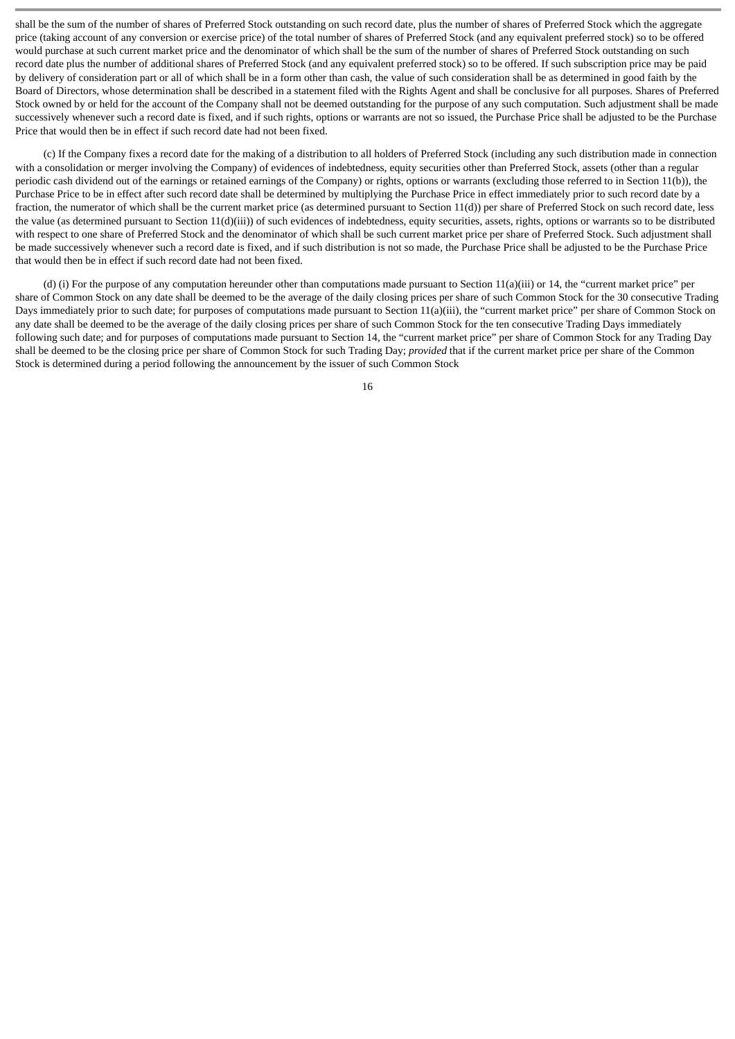shall be the sum of the number of shares of Preferred Stock outstanding on such record date, plus the number of shares of Preferred Stock which the aggregate price (taking account of any conversion or exercise price) of the total number of shares of Preferred Stock (and any equivalent preferred stock) so to be offered would purchase at such current market price and the denominator of which shall be the sum of the number of shares of Preferred Stock outstanding on such record date plus the number of additional shares of Preferred Stock (and any equivalent preferred stock) so to be offered. If such subscription price may be paid by delivery of consideration part or all of which shall be in a form other than cash, the value of such consideration shall be as determined in good faith by the Board of Directors, whose determination shall be described in a statement filed with the Rights Agent and shall be conclusive for all purposes. Shares of Preferred Stock owned by or held for the account of the Company shall not be deemed outstanding for the purpose of any such computation. Such adjustment shall be made successively whenever such a record date is fixed, and if such rights, options or warrants are not so issued, the Purchase Price shall be adjusted to be the Purchase Price that would then be in effect if such record date had not been fixed.

(c) If the Company fixes a record date for the making of a distribution to all holders of Preferred Stock (including any such distribution made in connection with a consolidation or merger involving the Company) of evidences of indebtedness, equity securities other than Preferred Stock, assets (other than a regular periodic cash dividend out of the earnings or retained earnings of the Company) or rights, options or warrants (excluding those referred to in Section 11(b)), the Purchase Price to be in effect after such record date shall be determined by multiplying the Purchase Price in effect immediately prior to such record date by a fraction, the numerator of which shall be the current market price (as determined pursuant to Section 11(d)) per share of Preferred Stock on such record date, less the value (as determined pursuant to Section 11(d)(iii)) of such evidences of indebtedness, equity securities, assets, rights, options or warrants so to be distributed with respect to one share of Preferred Stock and the denominator of which shall be such current market price per share of Preferred Stock. Such adjustment shall be made successively whenever such a record date is fixed, and if such distribution is not so made, the Purchase Price shall be adjusted to be the Purchase Price that would then be in effect if such record date had not been fixed.

(d) (i) For the purpose of any computation hereunder other than computations made pursuant to Section  $11(a)$ (iii) or  $14$ , the "current market price" per share of Common Stock on any date shall be deemed to be the average of the daily closing prices per share of such Common Stock for the 30 consecutive Trading Days immediately prior to such date; for purposes of computations made pursuant to Section 11(a)(iii), the "current market price" per share of Common Stock on any date shall be deemed to be the average of the daily closing prices per share of such Common Stock for the ten consecutive Trading Days immediately following such date; and for purposes of computations made pursuant to Section 14, the "current market price" per share of Common Stock for any Trading Day shall be deemed to be the closing price per share of Common Stock for such Trading Day; *provided* that if the current market price per share of the Common Stock is determined during a period following the announcement by the issuer of such Common Stock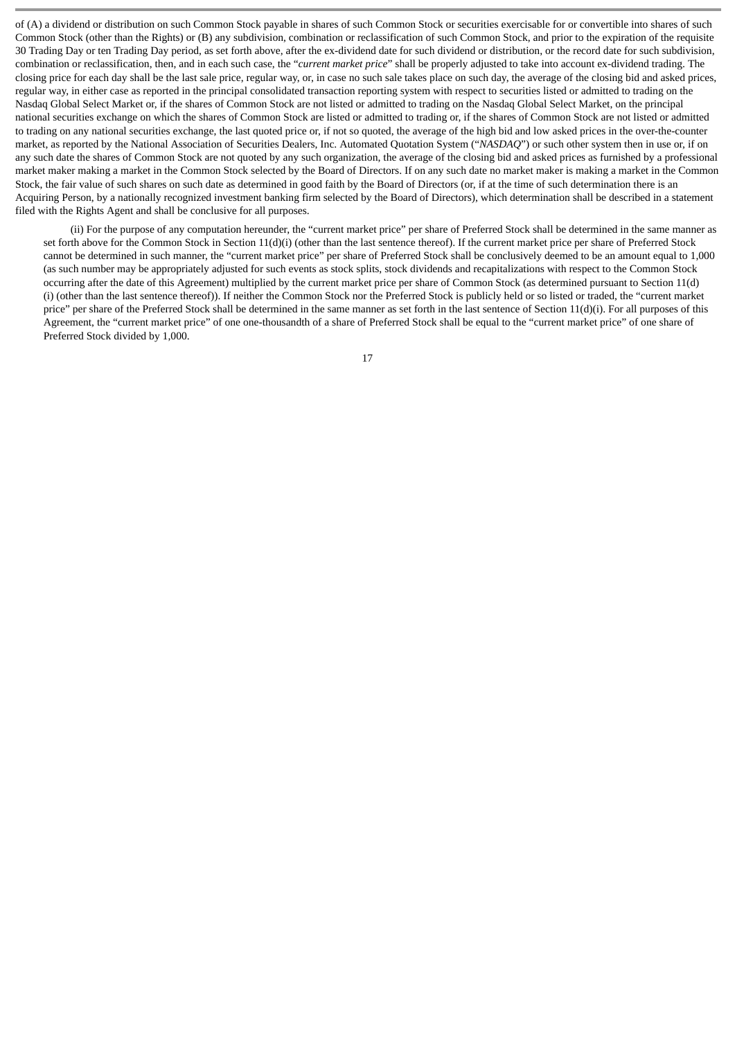of (A) a dividend or distribution on such Common Stock payable in shares of such Common Stock or securities exercisable for or convertible into shares of such Common Stock (other than the Rights) or (B) any subdivision, combination or reclassification of such Common Stock, and prior to the expiration of the requisite 30 Trading Day or ten Trading Day period, as set forth above, after the ex-dividend date for such dividend or distribution, or the record date for such subdivision, combination or reclassification, then, and in each such case, the "*current market price*" shall be properly adjusted to take into account ex-dividend trading. The closing price for each day shall be the last sale price, regular way, or, in case no such sale takes place on such day, the average of the closing bid and asked prices, regular way, in either case as reported in the principal consolidated transaction reporting system with respect to securities listed or admitted to trading on the Nasdaq Global Select Market or, if the shares of Common Stock are not listed or admitted to trading on the Nasdaq Global Select Market, on the principal national securities exchange on which the shares of Common Stock are listed or admitted to trading or, if the shares of Common Stock are not listed or admitted to trading on any national securities exchange, the last quoted price or, if not so quoted, the average of the high bid and low asked prices in the over-the-counter market, as reported by the National Association of Securities Dealers, Inc. Automated Quotation System ("*NASDAQ*") or such other system then in use or, if on any such date the shares of Common Stock are not quoted by any such organization, the average of the closing bid and asked prices as furnished by a professional market maker making a market in the Common Stock selected by the Board of Directors. If on any such date no market maker is making a market in the Common Stock, the fair value of such shares on such date as determined in good faith by the Board of Directors (or, if at the time of such determination there is an Acquiring Person, by a nationally recognized investment banking firm selected by the Board of Directors), which determination shall be described in a statement filed with the Rights Agent and shall be conclusive for all purposes.

(ii) For the purpose of any computation hereunder, the "current market price" per share of Preferred Stock shall be determined in the same manner as set forth above for the Common Stock in Section 11(d)(i) (other than the last sentence thereof). If the current market price per share of Preferred Stock cannot be determined in such manner, the "current market price" per share of Preferred Stock shall be conclusively deemed to be an amount equal to 1,000 (as such number may be appropriately adjusted for such events as stock splits, stock dividends and recapitalizations with respect to the Common Stock occurring after the date of this Agreement) multiplied by the current market price per share of Common Stock (as determined pursuant to Section 11(d) (i) (other than the last sentence thereof)). If neither the Common Stock nor the Preferred Stock is publicly held or so listed or traded, the "current market price" per share of the Preferred Stock shall be determined in the same manner as set forth in the last sentence of Section 11(d)(i). For all purposes of this Agreement, the "current market price" of one one-thousandth of a share of Preferred Stock shall be equal to the "current market price" of one share of Preferred Stock divided by 1,000.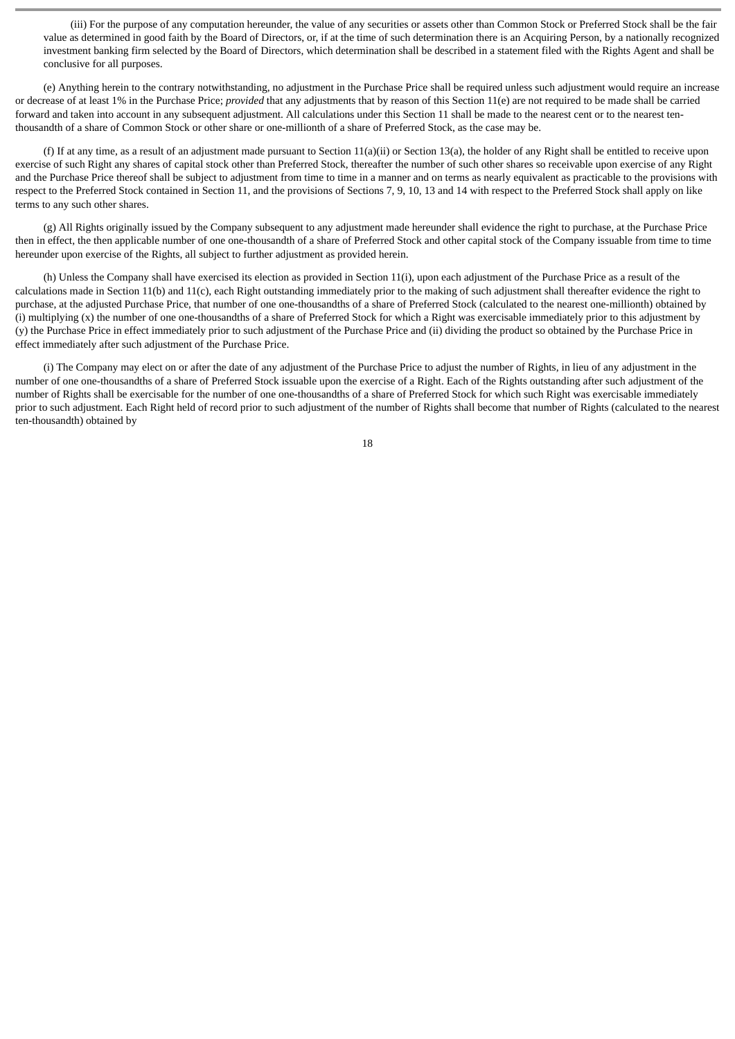(iii) For the purpose of any computation hereunder, the value of any securities or assets other than Common Stock or Preferred Stock shall be the fair value as determined in good faith by the Board of Directors, or, if at the time of such determination there is an Acquiring Person, by a nationally recognized investment banking firm selected by the Board of Directors, which determination shall be described in a statement filed with the Rights Agent and shall be conclusive for all purposes.

(e) Anything herein to the contrary notwithstanding, no adjustment in the Purchase Price shall be required unless such adjustment would require an increase or decrease of at least 1% in the Purchase Price; *provided* that any adjustments that by reason of this Section 11(e) are not required to be made shall be carried forward and taken into account in any subsequent adjustment. All calculations under this Section 11 shall be made to the nearest cent or to the nearest tenthousandth of a share of Common Stock or other share or one-millionth of a share of Preferred Stock, as the case may be.

(f) If at any time, as a result of an adjustment made pursuant to Section  $11(a)(ii)$  or Section 13(a), the holder of any Right shall be entitled to receive upon exercise of such Right any shares of capital stock other than Preferred Stock, thereafter the number of such other shares so receivable upon exercise of any Right and the Purchase Price thereof shall be subject to adjustment from time to time in a manner and on terms as nearly equivalent as practicable to the provisions with respect to the Preferred Stock contained in Section 11, and the provisions of Sections 7, 9, 10, 13 and 14 with respect to the Preferred Stock shall apply on like terms to any such other shares.

(g) All Rights originally issued by the Company subsequent to any adjustment made hereunder shall evidence the right to purchase, at the Purchase Price then in effect, the then applicable number of one one-thousandth of a share of Preferred Stock and other capital stock of the Company issuable from time to time hereunder upon exercise of the Rights, all subject to further adjustment as provided herein.

(h) Unless the Company shall have exercised its election as provided in Section 11(i), upon each adjustment of the Purchase Price as a result of the calculations made in Section 11(b) and 11(c), each Right outstanding immediately prior to the making of such adjustment shall thereafter evidence the right to purchase, at the adjusted Purchase Price, that number of one one-thousandths of a share of Preferred Stock (calculated to the nearest one-millionth) obtained by (i) multiplying (x) the number of one one-thousandths of a share of Preferred Stock for which a Right was exercisable immediately prior to this adjustment by (y) the Purchase Price in effect immediately prior to such adjustment of the Purchase Price and (ii) dividing the product so obtained by the Purchase Price in effect immediately after such adjustment of the Purchase Price.

(i) The Company may elect on or after the date of any adjustment of the Purchase Price to adjust the number of Rights, in lieu of any adjustment in the number of one one-thousandths of a share of Preferred Stock issuable upon the exercise of a Right. Each of the Rights outstanding after such adjustment of the number of Rights shall be exercisable for the number of one one-thousandths of a share of Preferred Stock for which such Right was exercisable immediately prior to such adjustment. Each Right held of record prior to such adjustment of the number of Rights shall become that number of Rights (calculated to the nearest ten-thousandth) obtained by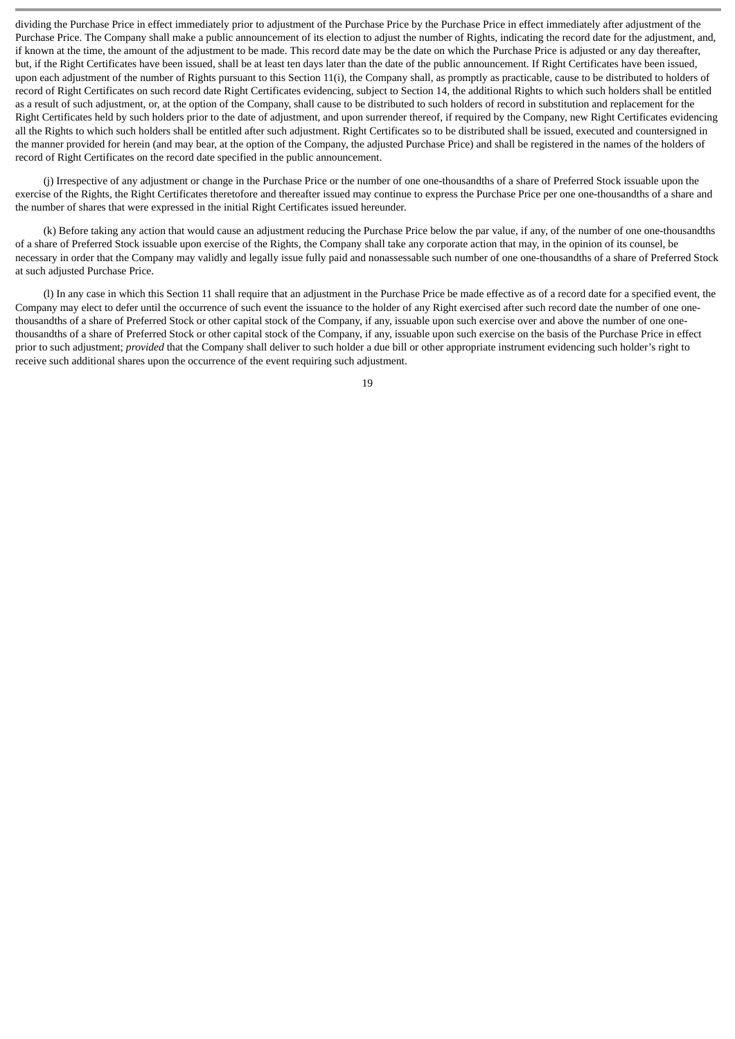dividing the Purchase Price in effect immediately prior to adjustment of the Purchase Price by the Purchase Price in effect immediately after adjustment of the Purchase Price. The Company shall make a public announcement of its election to adjust the number of Rights, indicating the record date for the adjustment, and, if known at the time, the amount of the adjustment to be made. This record date may be the date on which the Purchase Price is adjusted or any day thereafter, but, if the Right Certificates have been issued, shall be at least ten days later than the date of the public announcement. If Right Certificates have been issued, upon each adjustment of the number of Rights pursuant to this Section 11(i), the Company shall, as promptly as practicable, cause to be distributed to holders of record of Right Certificates on such record date Right Certificates evidencing, subject to Section 14, the additional Rights to which such holders shall be entitled as a result of such adjustment, or, at the option of the Company, shall cause to be distributed to such holders of record in substitution and replacement for the Right Certificates held by such holders prior to the date of adjustment, and upon surrender thereof, if required by the Company, new Right Certificates evidencing all the Rights to which such holders shall be entitled after such adjustment. Right Certificates so to be distributed shall be issued, executed and countersigned in the manner provided for herein (and may bear, at the option of the Company, the adjusted Purchase Price) and shall be registered in the names of the holders of record of Right Certificates on the record date specified in the public announcement.

(j) Irrespective of any adjustment or change in the Purchase Price or the number of one one-thousandths of a share of Preferred Stock issuable upon the exercise of the Rights, the Right Certificates theretofore and thereafter issued may continue to express the Purchase Price per one one-thousandths of a share and the number of shares that were expressed in the initial Right Certificates issued hereunder.

(k) Before taking any action that would cause an adjustment reducing the Purchase Price below the par value, if any, of the number of one one-thousandths of a share of Preferred Stock issuable upon exercise of the Rights, the Company shall take any corporate action that may, in the opinion of its counsel, be necessary in order that the Company may validly and legally issue fully paid and nonassessable such number of one one-thousandths of a share of Preferred Stock at such adjusted Purchase Price.

(l) In any case in which this Section 11 shall require that an adjustment in the Purchase Price be made effective as of a record date for a specified event, the Company may elect to defer until the occurrence of such event the issuance to the holder of any Right exercised after such record date the number of one onethousandths of a share of Preferred Stock or other capital stock of the Company, if any, issuable upon such exercise over and above the number of one onethousandths of a share of Preferred Stock or other capital stock of the Company, if any, issuable upon such exercise on the basis of the Purchase Price in effect prior to such adjustment; *provided* that the Company shall deliver to such holder a due bill or other appropriate instrument evidencing such holder's right to receive such additional shares upon the occurrence of the event requiring such adjustment.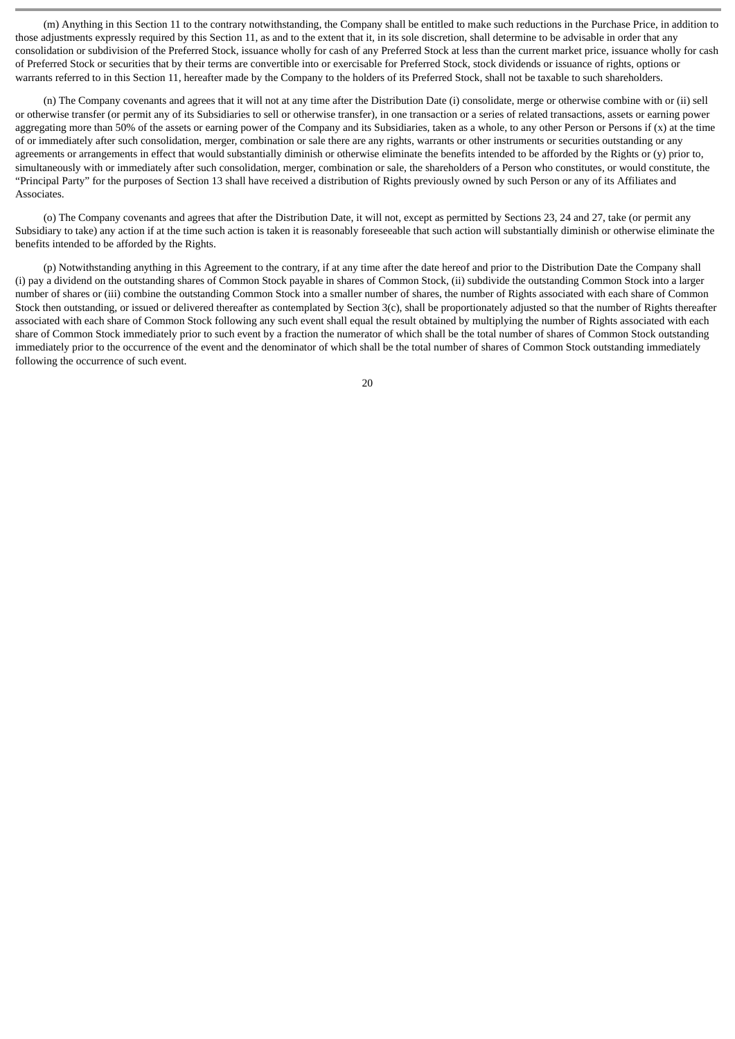(m) Anything in this Section 11 to the contrary notwithstanding, the Company shall be entitled to make such reductions in the Purchase Price, in addition to those adjustments expressly required by this Section 11, as and to the extent that it, in its sole discretion, shall determine to be advisable in order that any consolidation or subdivision of the Preferred Stock, issuance wholly for cash of any Preferred Stock at less than the current market price, issuance wholly for cash of Preferred Stock or securities that by their terms are convertible into or exercisable for Preferred Stock, stock dividends or issuance of rights, options or warrants referred to in this Section 11, hereafter made by the Company to the holders of its Preferred Stock, shall not be taxable to such shareholders.

(n) The Company covenants and agrees that it will not at any time after the Distribution Date (i) consolidate, merge or otherwise combine with or (ii) sell or otherwise transfer (or permit any of its Subsidiaries to sell or otherwise transfer), in one transaction or a series of related transactions, assets or earning power aggregating more than 50% of the assets or earning power of the Company and its Subsidiaries, taken as a whole, to any other Person or Persons if (x) at the time of or immediately after such consolidation, merger, combination or sale there are any rights, warrants or other instruments or securities outstanding or any agreements or arrangements in effect that would substantially diminish or otherwise eliminate the benefits intended to be afforded by the Rights or (y) prior to, simultaneously with or immediately after such consolidation, merger, combination or sale, the shareholders of a Person who constitutes, or would constitute, the "Principal Party" for the purposes of Section 13 shall have received a distribution of Rights previously owned by such Person or any of its Affiliates and Associates.

(o) The Company covenants and agrees that after the Distribution Date, it will not, except as permitted by Sections 23, 24 and 27, take (or permit any Subsidiary to take) any action if at the time such action is taken it is reasonably foreseeable that such action will substantially diminish or otherwise eliminate the benefits intended to be afforded by the Rights.

(p) Notwithstanding anything in this Agreement to the contrary, if at any time after the date hereof and prior to the Distribution Date the Company shall (i) pay a dividend on the outstanding shares of Common Stock payable in shares of Common Stock, (ii) subdivide the outstanding Common Stock into a larger number of shares or (iii) combine the outstanding Common Stock into a smaller number of shares, the number of Rights associated with each share of Common Stock then outstanding, or issued or delivered thereafter as contemplated by Section 3(c), shall be proportionately adjusted so that the number of Rights thereafter associated with each share of Common Stock following any such event shall equal the result obtained by multiplying the number of Rights associated with each share of Common Stock immediately prior to such event by a fraction the numerator of which shall be the total number of shares of Common Stock outstanding immediately prior to the occurrence of the event and the denominator of which shall be the total number of shares of Common Stock outstanding immediately following the occurrence of such event.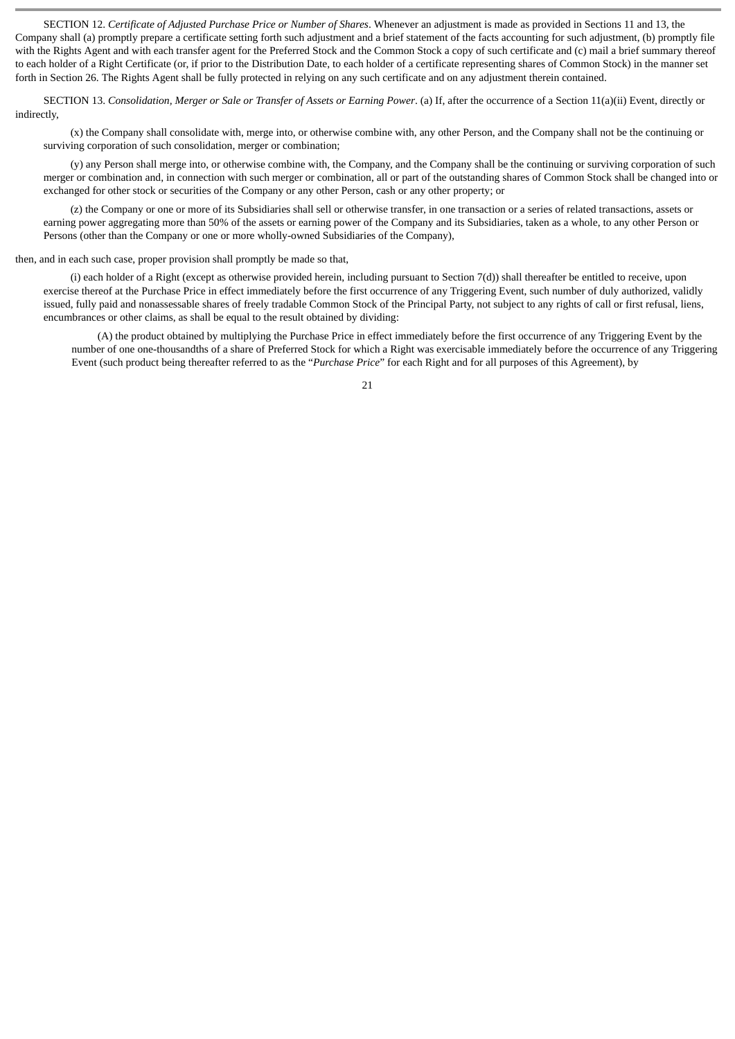SECTION 12. *Certificate of Adjusted Purchase Price or Number of Shares*. Whenever an adjustment is made as provided in Sections 11 and 13, the Company shall (a) promptly prepare a certificate setting forth such adjustment and a brief statement of the facts accounting for such adjustment, (b) promptly file with the Rights Agent and with each transfer agent for the Preferred Stock and the Common Stock a copy of such certificate and (c) mail a brief summary thereof to each holder of a Right Certificate (or, if prior to the Distribution Date, to each holder of a certificate representing shares of Common Stock) in the manner set forth in Section 26. The Rights Agent shall be fully protected in relying on any such certificate and on any adjustment therein contained.

SECTION 13. *Consolidation, Merger or Sale or Transfer of Assets or Earning Power*. (a) If, after the occurrence of a Section 11(a)(ii) Event, directly or indirectly,

(x) the Company shall consolidate with, merge into, or otherwise combine with, any other Person, and the Company shall not be the continuing or surviving corporation of such consolidation, merger or combination;

(y) any Person shall merge into, or otherwise combine with, the Company, and the Company shall be the continuing or surviving corporation of such merger or combination and, in connection with such merger or combination, all or part of the outstanding shares of Common Stock shall be changed into or exchanged for other stock or securities of the Company or any other Person, cash or any other property; or

(z) the Company or one or more of its Subsidiaries shall sell or otherwise transfer, in one transaction or a series of related transactions, assets or earning power aggregating more than 50% of the assets or earning power of the Company and its Subsidiaries, taken as a whole, to any other Person or Persons (other than the Company or one or more wholly-owned Subsidiaries of the Company),

then, and in each such case, proper provision shall promptly be made so that,

(i) each holder of a Right (except as otherwise provided herein, including pursuant to Section 7(d)) shall thereafter be entitled to receive, upon exercise thereof at the Purchase Price in effect immediately before the first occurrence of any Triggering Event, such number of duly authorized, validly issued, fully paid and nonassessable shares of freely tradable Common Stock of the Principal Party, not subject to any rights of call or first refusal, liens, encumbrances or other claims, as shall be equal to the result obtained by dividing:

(A) the product obtained by multiplying the Purchase Price in effect immediately before the first occurrence of any Triggering Event by the number of one one-thousandths of a share of Preferred Stock for which a Right was exercisable immediately before the occurrence of any Triggering Event (such product being thereafter referred to as the "*Purchase Price*" for each Right and for all purposes of this Agreement), by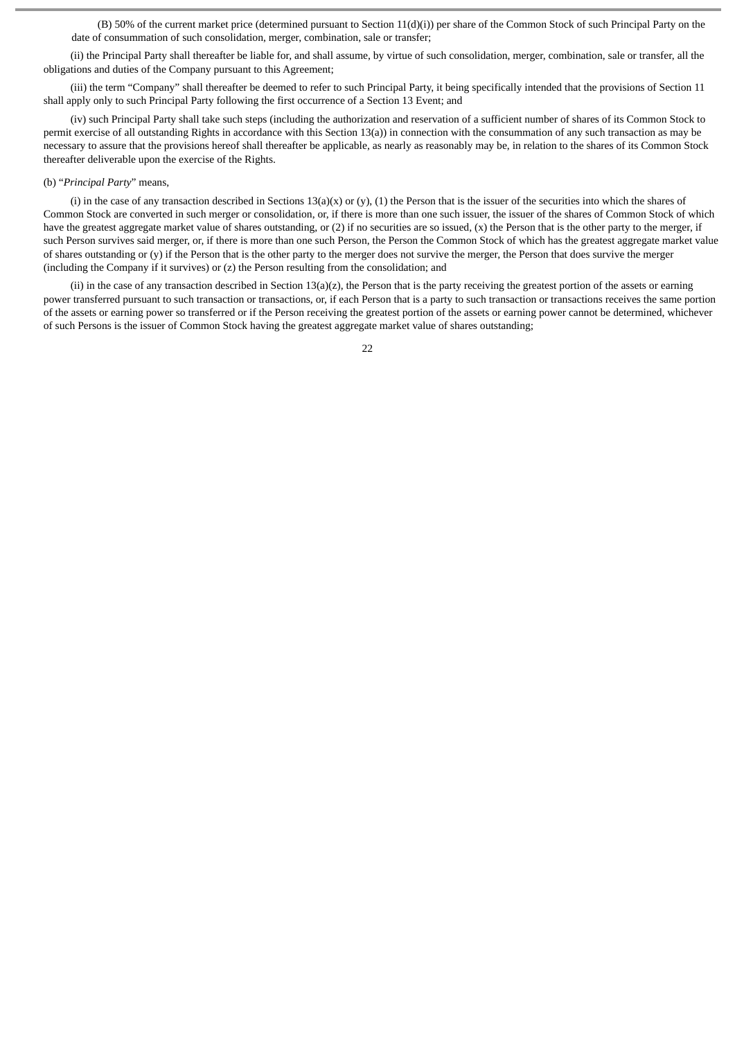(B) 50% of the current market price (determined pursuant to Section 11(d)(i)) per share of the Common Stock of such Principal Party on the date of consummation of such consolidation, merger, combination, sale or transfer;

(ii) the Principal Party shall thereafter be liable for, and shall assume, by virtue of such consolidation, merger, combination, sale or transfer, all the obligations and duties of the Company pursuant to this Agreement;

(iii) the term "Company" shall thereafter be deemed to refer to such Principal Party, it being specifically intended that the provisions of Section 11 shall apply only to such Principal Party following the first occurrence of a Section 13 Event; and

(iv) such Principal Party shall take such steps (including the authorization and reservation of a sufficient number of shares of its Common Stock to permit exercise of all outstanding Rights in accordance with this Section 13(a)) in connection with the consummation of any such transaction as may be necessary to assure that the provisions hereof shall thereafter be applicable, as nearly as reasonably may be, in relation to the shares of its Common Stock thereafter deliverable upon the exercise of the Rights.

#### (b) "*Principal Party*" means,

(i) in the case of any transaction described in Sections  $13(a)(x)$  or (y), (1) the Person that is the issuer of the securities into which the shares of Common Stock are converted in such merger or consolidation, or, if there is more than one such issuer, the issuer of the shares of Common Stock of which have the greatest aggregate market value of shares outstanding, or (2) if no securities are so issued, (x) the Person that is the other party to the merger, if such Person survives said merger, or, if there is more than one such Person, the Person the Common Stock of which has the greatest aggregate market value of shares outstanding or (y) if the Person that is the other party to the merger does not survive the merger, the Person that does survive the merger (including the Company if it survives) or (z) the Person resulting from the consolidation; and

(ii) in the case of any transaction described in Section  $13(a)(z)$ , the Person that is the party receiving the greatest portion of the assets or earning power transferred pursuant to such transaction or transactions, or, if each Person that is a party to such transaction or transactions receives the same portion of the assets or earning power so transferred or if the Person receiving the greatest portion of the assets or earning power cannot be determined, whichever of such Persons is the issuer of Common Stock having the greatest aggregate market value of shares outstanding;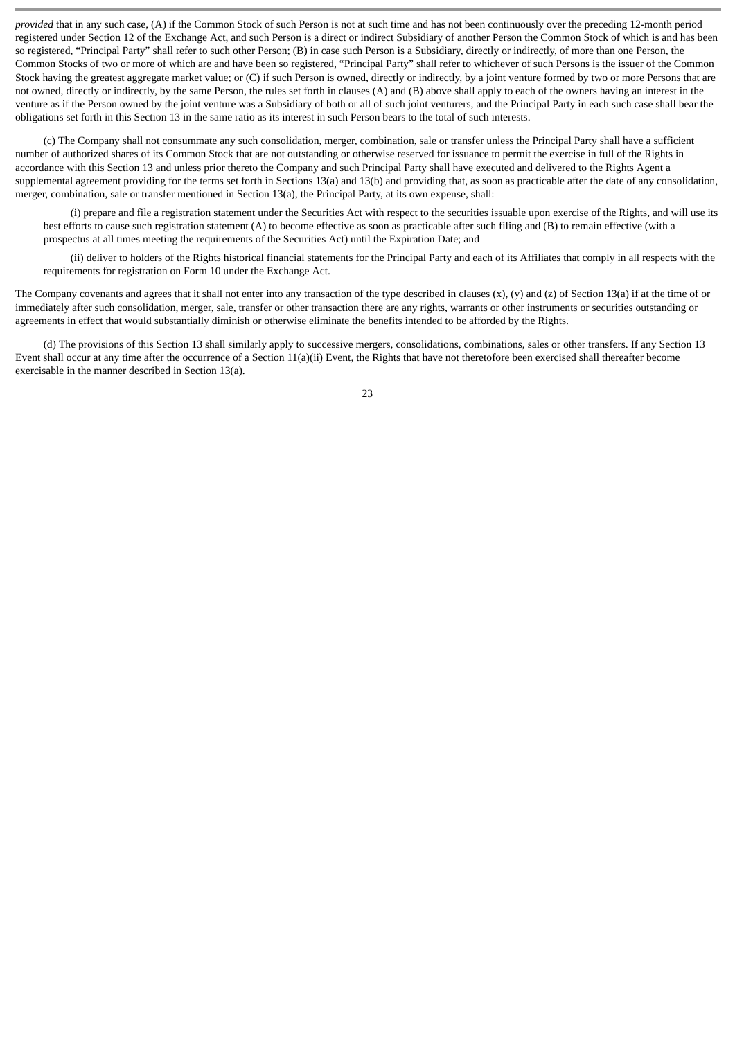*provided* that in any such case, (A) if the Common Stock of such Person is not at such time and has not been continuously over the preceding 12-month period registered under Section 12 of the Exchange Act, and such Person is a direct or indirect Subsidiary of another Person the Common Stock of which is and has been so registered, "Principal Party" shall refer to such other Person; (B) in case such Person is a Subsidiary, directly or indirectly, of more than one Person, the Common Stocks of two or more of which are and have been so registered, "Principal Party" shall refer to whichever of such Persons is the issuer of the Common Stock having the greatest aggregate market value; or (C) if such Person is owned, directly or indirectly, by a joint venture formed by two or more Persons that are not owned, directly or indirectly, by the same Person, the rules set forth in clauses (A) and (B) above shall apply to each of the owners having an interest in the venture as if the Person owned by the joint venture was a Subsidiary of both or all of such joint venturers, and the Principal Party in each such case shall bear the obligations set forth in this Section 13 in the same ratio as its interest in such Person bears to the total of such interests.

(c) The Company shall not consummate any such consolidation, merger, combination, sale or transfer unless the Principal Party shall have a sufficient number of authorized shares of its Common Stock that are not outstanding or otherwise reserved for issuance to permit the exercise in full of the Rights in accordance with this Section 13 and unless prior thereto the Company and such Principal Party shall have executed and delivered to the Rights Agent a supplemental agreement providing for the terms set forth in Sections 13(a) and 13(b) and providing that, as soon as practicable after the date of any consolidation, merger, combination, sale or transfer mentioned in Section 13(a), the Principal Party, at its own expense, shall:

(i) prepare and file a registration statement under the Securities Act with respect to the securities issuable upon exercise of the Rights, and will use its best efforts to cause such registration statement (A) to become effective as soon as practicable after such filing and (B) to remain effective (with a prospectus at all times meeting the requirements of the Securities Act) until the Expiration Date; and

(ii) deliver to holders of the Rights historical financial statements for the Principal Party and each of its Affiliates that comply in all respects with the requirements for registration on Form 10 under the Exchange Act.

The Company covenants and agrees that it shall not enter into any transaction of the type described in clauses  $(x)$ ,  $(y)$  and  $(z)$  of Section 13(a) if at the time of or immediately after such consolidation, merger, sale, transfer or other transaction there are any rights, warrants or other instruments or securities outstanding or agreements in effect that would substantially diminish or otherwise eliminate the benefits intended to be afforded by the Rights.

(d) The provisions of this Section 13 shall similarly apply to successive mergers, consolidations, combinations, sales or other transfers. If any Section 13 Event shall occur at any time after the occurrence of a Section 11(a)(ii) Event, the Rights that have not theretofore been exercised shall thereafter become exercisable in the manner described in Section 13(a).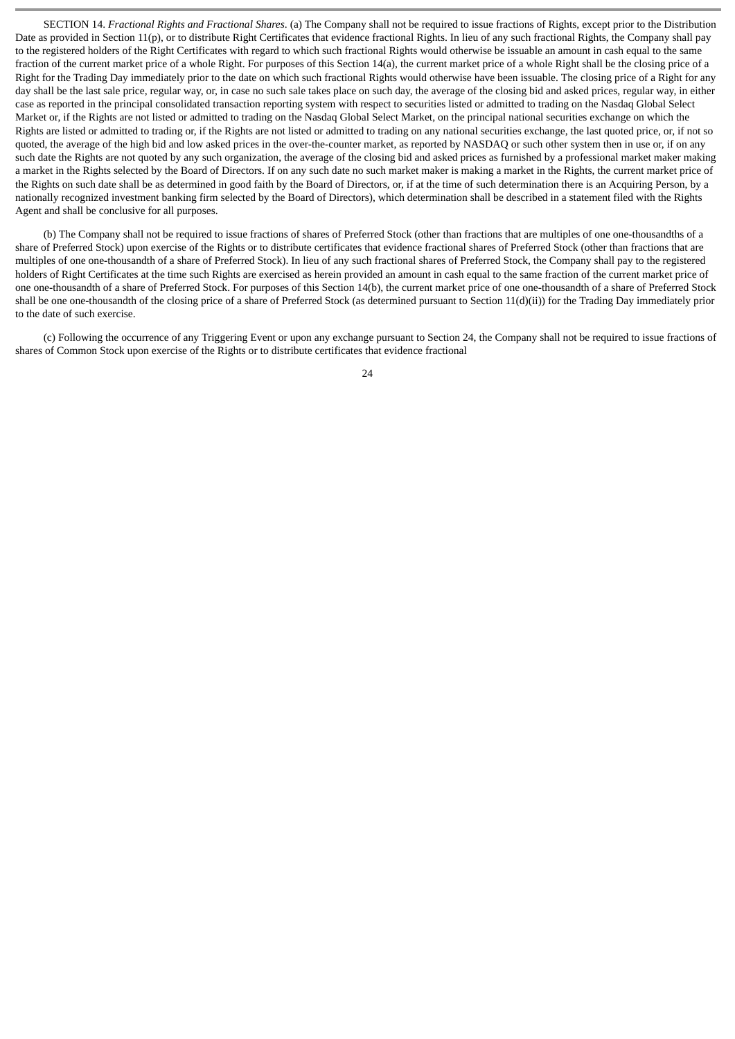SECTION 14. *Fractional Rights and Fractional Shares*. (a) The Company shall not be required to issue fractions of Rights, except prior to the Distribution Date as provided in Section 11(p), or to distribute Right Certificates that evidence fractional Rights. In lieu of any such fractional Rights, the Company shall pay to the registered holders of the Right Certificates with regard to which such fractional Rights would otherwise be issuable an amount in cash equal to the same fraction of the current market price of a whole Right. For purposes of this Section 14(a), the current market price of a whole Right shall be the closing price of a Right for the Trading Day immediately prior to the date on which such fractional Rights would otherwise have been issuable. The closing price of a Right for any day shall be the last sale price, regular way, or, in case no such sale takes place on such day, the average of the closing bid and asked prices, regular way, in either case as reported in the principal consolidated transaction reporting system with respect to securities listed or admitted to trading on the Nasdaq Global Select Market or, if the Rights are not listed or admitted to trading on the Nasdaq Global Select Market, on the principal national securities exchange on which the Rights are listed or admitted to trading or, if the Rights are not listed or admitted to trading on any national securities exchange, the last quoted price, or, if not so quoted, the average of the high bid and low asked prices in the over-the-counter market, as reported by NASDAQ or such other system then in use or, if on any such date the Rights are not quoted by any such organization, the average of the closing bid and asked prices as furnished by a professional market maker making a market in the Rights selected by the Board of Directors. If on any such date no such market maker is making a market in the Rights, the current market price of the Rights on such date shall be as determined in good faith by the Board of Directors, or, if at the time of such determination there is an Acquiring Person, by a nationally recognized investment banking firm selected by the Board of Directors), which determination shall be described in a statement filed with the Rights Agent and shall be conclusive for all purposes.

(b) The Company shall not be required to issue fractions of shares of Preferred Stock (other than fractions that are multiples of one one-thousandths of a share of Preferred Stock) upon exercise of the Rights or to distribute certificates that evidence fractional shares of Preferred Stock (other than fractions that are multiples of one one-thousandth of a share of Preferred Stock). In lieu of any such fractional shares of Preferred Stock, the Company shall pay to the registered holders of Right Certificates at the time such Rights are exercised as herein provided an amount in cash equal to the same fraction of the current market price of one one-thousandth of a share of Preferred Stock. For purposes of this Section 14(b), the current market price of one one-thousandth of a share of Preferred Stock shall be one one-thousandth of the closing price of a share of Preferred Stock (as determined pursuant to Section 11(d)(ii)) for the Trading Day immediately prior to the date of such exercise.

(c) Following the occurrence of any Triggering Event or upon any exchange pursuant to Section 24, the Company shall not be required to issue fractions of shares of Common Stock upon exercise of the Rights or to distribute certificates that evidence fractional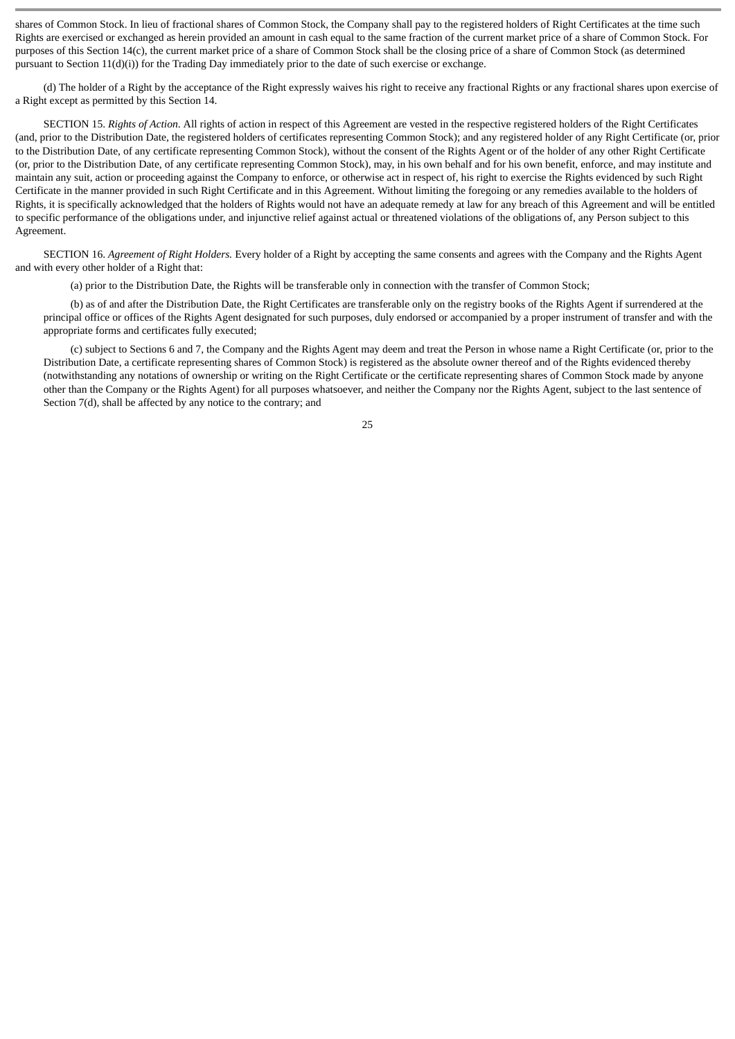shares of Common Stock. In lieu of fractional shares of Common Stock, the Company shall pay to the registered holders of Right Certificates at the time such Rights are exercised or exchanged as herein provided an amount in cash equal to the same fraction of the current market price of a share of Common Stock. For purposes of this Section 14(c), the current market price of a share of Common Stock shall be the closing price of a share of Common Stock (as determined pursuant to Section 11(d)(i)) for the Trading Day immediately prior to the date of such exercise or exchange.

(d) The holder of a Right by the acceptance of the Right expressly waives his right to receive any fractional Rights or any fractional shares upon exercise of a Right except as permitted by this Section 14.

SECTION 15. *Rights of Action*. All rights of action in respect of this Agreement are vested in the respective registered holders of the Right Certificates (and, prior to the Distribution Date, the registered holders of certificates representing Common Stock); and any registered holder of any Right Certificate (or, prior to the Distribution Date, of any certificate representing Common Stock), without the consent of the Rights Agent or of the holder of any other Right Certificate (or, prior to the Distribution Date, of any certificate representing Common Stock), may, in his own behalf and for his own benefit, enforce, and may institute and maintain any suit, action or proceeding against the Company to enforce, or otherwise act in respect of, his right to exercise the Rights evidenced by such Right Certificate in the manner provided in such Right Certificate and in this Agreement. Without limiting the foregoing or any remedies available to the holders of Rights, it is specifically acknowledged that the holders of Rights would not have an adequate remedy at law for any breach of this Agreement and will be entitled to specific performance of the obligations under, and injunctive relief against actual or threatened violations of the obligations of, any Person subject to this Agreement.

SECTION 16. *Agreement of Right Holders.* Every holder of a Right by accepting the same consents and agrees with the Company and the Rights Agent and with every other holder of a Right that:

(a) prior to the Distribution Date, the Rights will be transferable only in connection with the transfer of Common Stock;

(b) as of and after the Distribution Date, the Right Certificates are transferable only on the registry books of the Rights Agent if surrendered at the principal office or offices of the Rights Agent designated for such purposes, duly endorsed or accompanied by a proper instrument of transfer and with the appropriate forms and certificates fully executed;

(c) subject to Sections 6 and 7, the Company and the Rights Agent may deem and treat the Person in whose name a Right Certificate (or, prior to the Distribution Date, a certificate representing shares of Common Stock) is registered as the absolute owner thereof and of the Rights evidenced thereby (notwithstanding any notations of ownership or writing on the Right Certificate or the certificate representing shares of Common Stock made by anyone other than the Company or the Rights Agent) for all purposes whatsoever, and neither the Company nor the Rights Agent, subject to the last sentence of Section 7(d), shall be affected by any notice to the contrary; and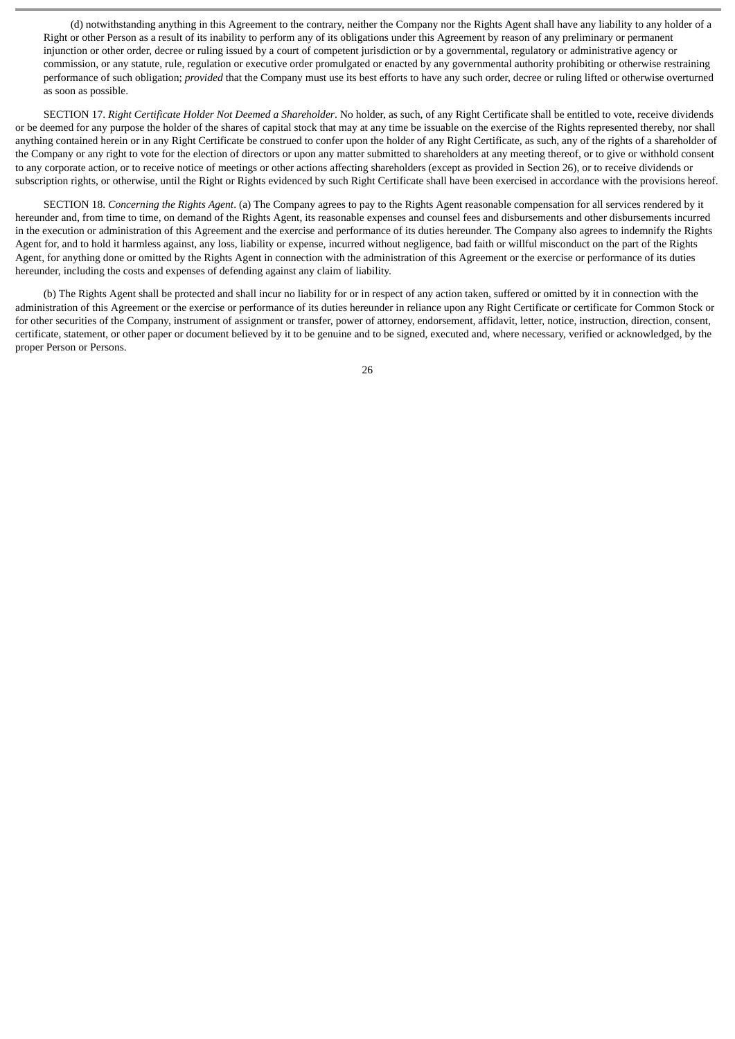(d) notwithstanding anything in this Agreement to the contrary, neither the Company nor the Rights Agent shall have any liability to any holder of a Right or other Person as a result of its inability to perform any of its obligations under this Agreement by reason of any preliminary or permanent injunction or other order, decree or ruling issued by a court of competent jurisdiction or by a governmental, regulatory or administrative agency or commission, or any statute, rule, regulation or executive order promulgated or enacted by any governmental authority prohibiting or otherwise restraining performance of such obligation; *provided* that the Company must use its best efforts to have any such order, decree or ruling lifted or otherwise overturned as soon as possible.

SECTION 17. *Right Certificate Holder Not Deemed a Shareholder*. No holder, as such, of any Right Certificate shall be entitled to vote, receive dividends or be deemed for any purpose the holder of the shares of capital stock that may at any time be issuable on the exercise of the Rights represented thereby, nor shall anything contained herein or in any Right Certificate be construed to confer upon the holder of any Right Certificate, as such, any of the rights of a shareholder of the Company or any right to vote for the election of directors or upon any matter submitted to shareholders at any meeting thereof, or to give or withhold consent to any corporate action, or to receive notice of meetings or other actions affecting shareholders (except as provided in Section 26), or to receive dividends or subscription rights, or otherwise, until the Right or Rights evidenced by such Right Certificate shall have been exercised in accordance with the provisions hereof.

SECTION 18. *Concerning the Rights Agent*. (a) The Company agrees to pay to the Rights Agent reasonable compensation for all services rendered by it hereunder and, from time to time, on demand of the Rights Agent, its reasonable expenses and counsel fees and disbursements and other disbursements incurred in the execution or administration of this Agreement and the exercise and performance of its duties hereunder. The Company also agrees to indemnify the Rights Agent for, and to hold it harmless against, any loss, liability or expense, incurred without negligence, bad faith or willful misconduct on the part of the Rights Agent, for anything done or omitted by the Rights Agent in connection with the administration of this Agreement or the exercise or performance of its duties hereunder, including the costs and expenses of defending against any claim of liability.

(b) The Rights Agent shall be protected and shall incur no liability for or in respect of any action taken, suffered or omitted by it in connection with the administration of this Agreement or the exercise or performance of its duties hereunder in reliance upon any Right Certificate or certificate for Common Stock or for other securities of the Company, instrument of assignment or transfer, power of attorney, endorsement, affidavit, letter, notice, instruction, direction, consent, certificate, statement, or other paper or document believed by it to be genuine and to be signed, executed and, where necessary, verified or acknowledged, by the proper Person or Persons.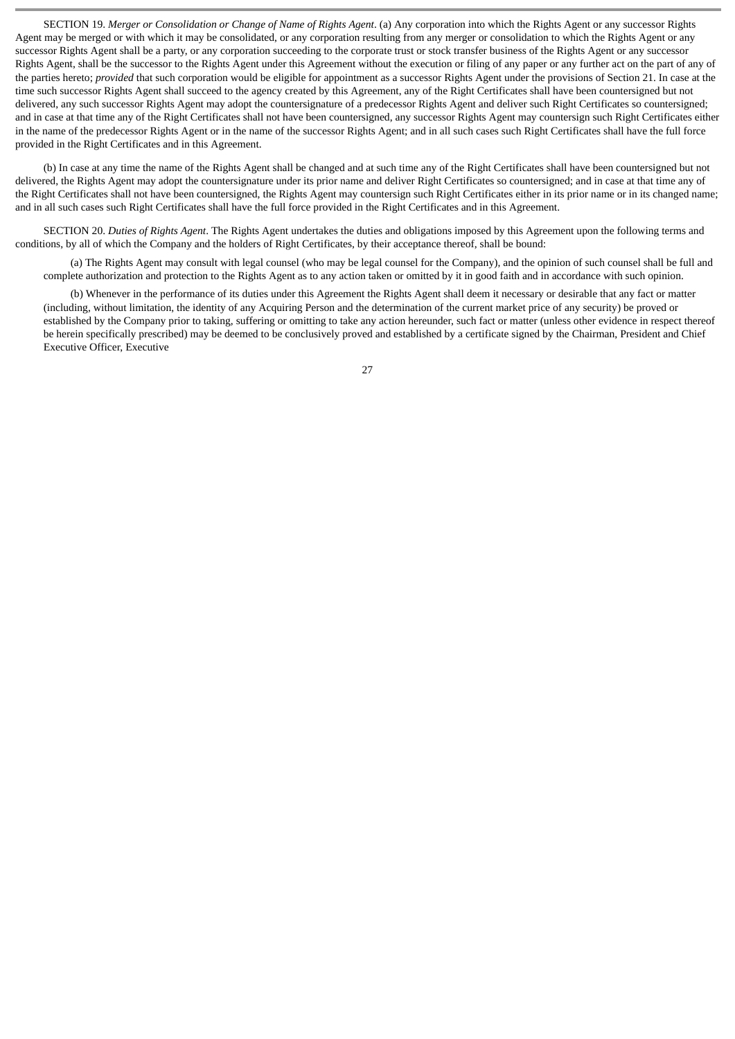SECTION 19. *Merger or Consolidation or Change of Name of Rights Agent*. (a) Any corporation into which the Rights Agent or any successor Rights Agent may be merged or with which it may be consolidated, or any corporation resulting from any merger or consolidation to which the Rights Agent or any successor Rights Agent shall be a party, or any corporation succeeding to the corporate trust or stock transfer business of the Rights Agent or any successor Rights Agent, shall be the successor to the Rights Agent under this Agreement without the execution or filing of any paper or any further act on the part of any of the parties hereto; *provided* that such corporation would be eligible for appointment as a successor Rights Agent under the provisions of Section 21. In case at the time such successor Rights Agent shall succeed to the agency created by this Agreement, any of the Right Certificates shall have been countersigned but not delivered, any such successor Rights Agent may adopt the countersignature of a predecessor Rights Agent and deliver such Right Certificates so countersigned; and in case at that time any of the Right Certificates shall not have been countersigned, any successor Rights Agent may countersign such Right Certificates either in the name of the predecessor Rights Agent or in the name of the successor Rights Agent; and in all such cases such Right Certificates shall have the full force provided in the Right Certificates and in this Agreement.

(b) In case at any time the name of the Rights Agent shall be changed and at such time any of the Right Certificates shall have been countersigned but not delivered, the Rights Agent may adopt the countersignature under its prior name and deliver Right Certificates so countersigned; and in case at that time any of the Right Certificates shall not have been countersigned, the Rights Agent may countersign such Right Certificates either in its prior name or in its changed name; and in all such cases such Right Certificates shall have the full force provided in the Right Certificates and in this Agreement.

SECTION 20. *Duties of Rights Agent*. The Rights Agent undertakes the duties and obligations imposed by this Agreement upon the following terms and conditions, by all of which the Company and the holders of Right Certificates, by their acceptance thereof, shall be bound:

(a) The Rights Agent may consult with legal counsel (who may be legal counsel for the Company), and the opinion of such counsel shall be full and complete authorization and protection to the Rights Agent as to any action taken or omitted by it in good faith and in accordance with such opinion.

(b) Whenever in the performance of its duties under this Agreement the Rights Agent shall deem it necessary or desirable that any fact or matter (including, without limitation, the identity of any Acquiring Person and the determination of the current market price of any security) be proved or established by the Company prior to taking, suffering or omitting to take any action hereunder, such fact or matter (unless other evidence in respect thereof be herein specifically prescribed) may be deemed to be conclusively proved and established by a certificate signed by the Chairman, President and Chief Executive Officer, Executive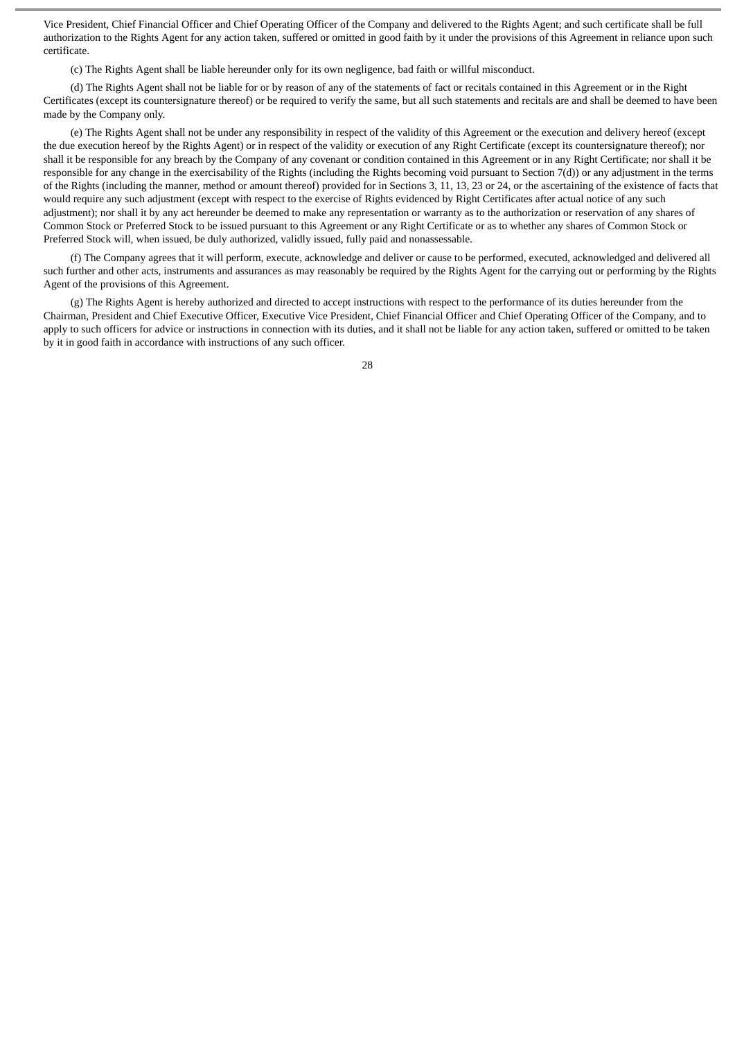Vice President, Chief Financial Officer and Chief Operating Officer of the Company and delivered to the Rights Agent; and such certificate shall be full authorization to the Rights Agent for any action taken, suffered or omitted in good faith by it under the provisions of this Agreement in reliance upon such certificate.

(c) The Rights Agent shall be liable hereunder only for its own negligence, bad faith or willful misconduct.

(d) The Rights Agent shall not be liable for or by reason of any of the statements of fact or recitals contained in this Agreement or in the Right Certificates (except its countersignature thereof) or be required to verify the same, but all such statements and recitals are and shall be deemed to have been made by the Company only.

(e) The Rights Agent shall not be under any responsibility in respect of the validity of this Agreement or the execution and delivery hereof (except the due execution hereof by the Rights Agent) or in respect of the validity or execution of any Right Certificate (except its countersignature thereof); nor shall it be responsible for any breach by the Company of any covenant or condition contained in this Agreement or in any Right Certificate; nor shall it be responsible for any change in the exercisability of the Rights (including the Rights becoming void pursuant to Section 7(d)) or any adjustment in the terms of the Rights (including the manner, method or amount thereof) provided for in Sections 3, 11, 13, 23 or 24, or the ascertaining of the existence of facts that would require any such adjustment (except with respect to the exercise of Rights evidenced by Right Certificates after actual notice of any such adjustment); nor shall it by any act hereunder be deemed to make any representation or warranty as to the authorization or reservation of any shares of Common Stock or Preferred Stock to be issued pursuant to this Agreement or any Right Certificate or as to whether any shares of Common Stock or Preferred Stock will, when issued, be duly authorized, validly issued, fully paid and nonassessable.

(f) The Company agrees that it will perform, execute, acknowledge and deliver or cause to be performed, executed, acknowledged and delivered all such further and other acts, instruments and assurances as may reasonably be required by the Rights Agent for the carrying out or performing by the Rights Agent of the provisions of this Agreement.

(g) The Rights Agent is hereby authorized and directed to accept instructions with respect to the performance of its duties hereunder from the Chairman, President and Chief Executive Officer, Executive Vice President, Chief Financial Officer and Chief Operating Officer of the Company, and to apply to such officers for advice or instructions in connection with its duties, and it shall not be liable for any action taken, suffered or omitted to be taken by it in good faith in accordance with instructions of any such officer.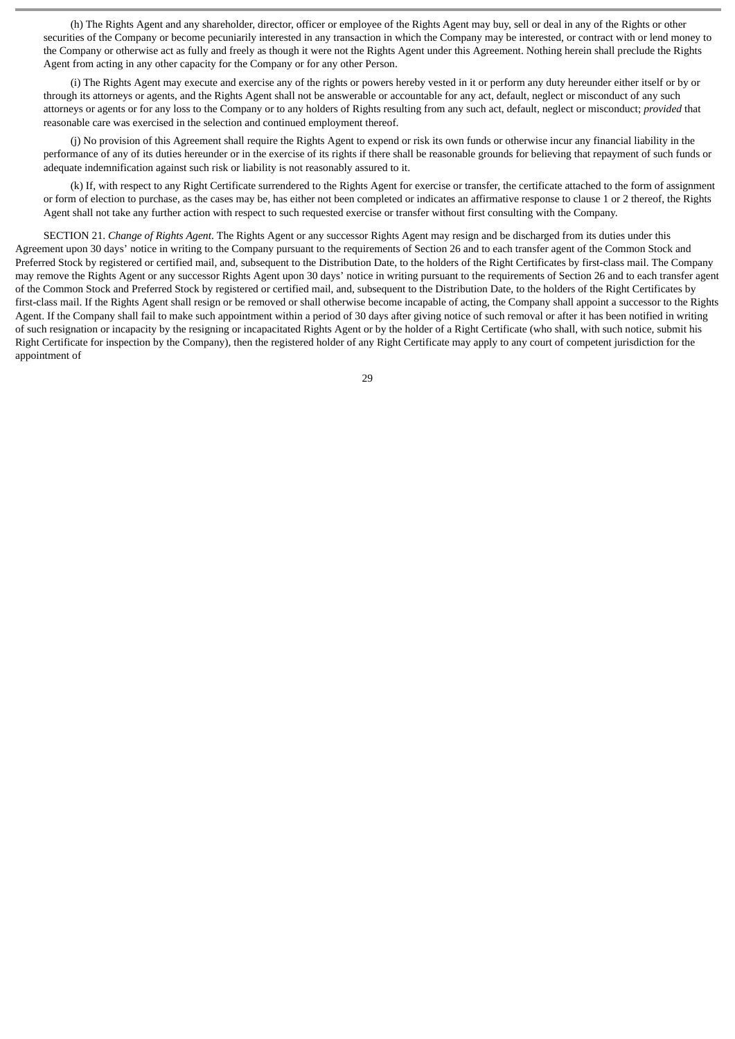(h) The Rights Agent and any shareholder, director, officer or employee of the Rights Agent may buy, sell or deal in any of the Rights or other securities of the Company or become pecuniarily interested in any transaction in which the Company may be interested, or contract with or lend money to the Company or otherwise act as fully and freely as though it were not the Rights Agent under this Agreement. Nothing herein shall preclude the Rights Agent from acting in any other capacity for the Company or for any other Person.

(i) The Rights Agent may execute and exercise any of the rights or powers hereby vested in it or perform any duty hereunder either itself or by or through its attorneys or agents, and the Rights Agent shall not be answerable or accountable for any act, default, neglect or misconduct of any such attorneys or agents or for any loss to the Company or to any holders of Rights resulting from any such act, default, neglect or misconduct; *provided* that reasonable care was exercised in the selection and continued employment thereof.

(j) No provision of this Agreement shall require the Rights Agent to expend or risk its own funds or otherwise incur any financial liability in the performance of any of its duties hereunder or in the exercise of its rights if there shall be reasonable grounds for believing that repayment of such funds or adequate indemnification against such risk or liability is not reasonably assured to it.

(k) If, with respect to any Right Certificate surrendered to the Rights Agent for exercise or transfer, the certificate attached to the form of assignment or form of election to purchase, as the cases may be, has either not been completed or indicates an affirmative response to clause 1 or 2 thereof, the Rights Agent shall not take any further action with respect to such requested exercise or transfer without first consulting with the Company.

SECTION 21. *Change of Rights Agent*. The Rights Agent or any successor Rights Agent may resign and be discharged from its duties under this Agreement upon 30 days' notice in writing to the Company pursuant to the requirements of Section 26 and to each transfer agent of the Common Stock and Preferred Stock by registered or certified mail, and, subsequent to the Distribution Date, to the holders of the Right Certificates by first-class mail. The Company may remove the Rights Agent or any successor Rights Agent upon 30 days' notice in writing pursuant to the requirements of Section 26 and to each transfer agent of the Common Stock and Preferred Stock by registered or certified mail, and, subsequent to the Distribution Date, to the holders of the Right Certificates by first-class mail. If the Rights Agent shall resign or be removed or shall otherwise become incapable of acting, the Company shall appoint a successor to the Rights Agent. If the Company shall fail to make such appointment within a period of 30 days after giving notice of such removal or after it has been notified in writing of such resignation or incapacity by the resigning or incapacitated Rights Agent or by the holder of a Right Certificate (who shall, with such notice, submit his Right Certificate for inspection by the Company), then the registered holder of any Right Certificate may apply to any court of competent jurisdiction for the appointment of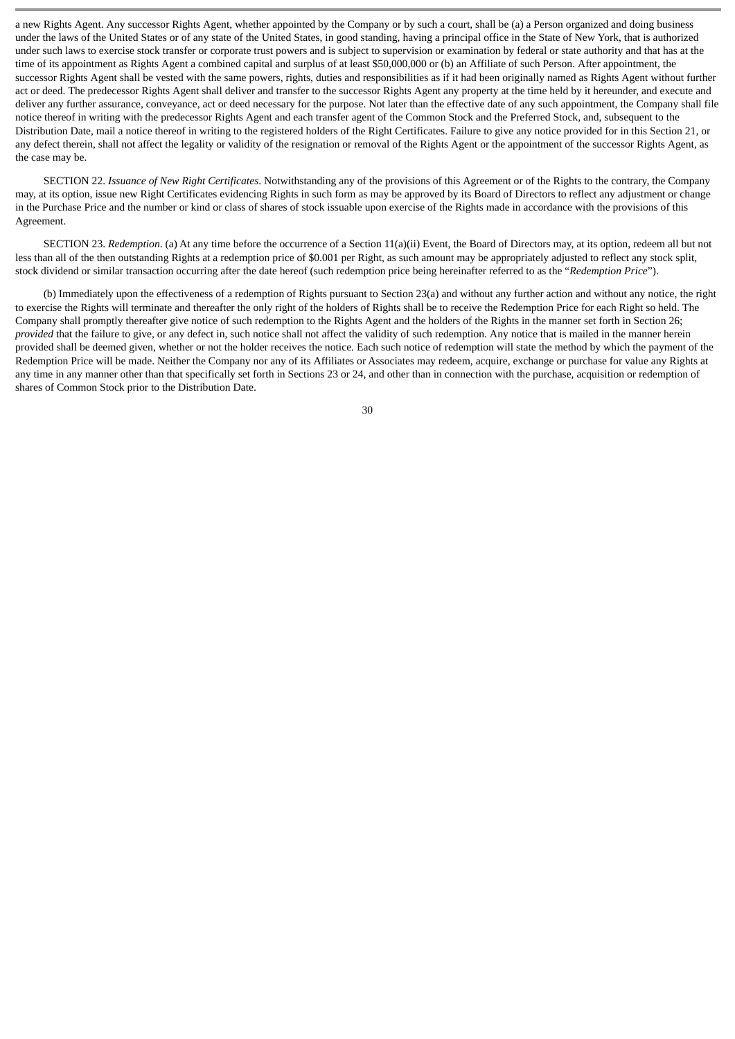a new Rights Agent. Any successor Rights Agent, whether appointed by the Company or by such a court, shall be (a) a Person organized and doing business under the laws of the United States or of any state of the United States, in good standing, having a principal office in the State of New York, that is authorized under such laws to exercise stock transfer or corporate trust powers and is subject to supervision or examination by federal or state authority and that has at the time of its appointment as Rights Agent a combined capital and surplus of at least \$50,000,000 or (b) an Affiliate of such Person. After appointment, the successor Rights Agent shall be vested with the same powers, rights, duties and responsibilities as if it had been originally named as Rights Agent without further act or deed. The predecessor Rights Agent shall deliver and transfer to the successor Rights Agent any property at the time held by it hereunder, and execute and deliver any further assurance, conveyance, act or deed necessary for the purpose. Not later than the effective date of any such appointment, the Company shall file notice thereof in writing with the predecessor Rights Agent and each transfer agent of the Common Stock and the Preferred Stock, and, subsequent to the Distribution Date, mail a notice thereof in writing to the registered holders of the Right Certificates. Failure to give any notice provided for in this Section 21, or any defect therein, shall not affect the legality or validity of the resignation or removal of the Rights Agent or the appointment of the successor Rights Agent, as the case may be.

SECTION 22. *Issuance of New Right Certificates*. Notwithstanding any of the provisions of this Agreement or of the Rights to the contrary, the Company may, at its option, issue new Right Certificates evidencing Rights in such form as may be approved by its Board of Directors to reflect any adjustment or change in the Purchase Price and the number or kind or class of shares of stock issuable upon exercise of the Rights made in accordance with the provisions of this Agreement.

SECTION 23. *Redemption*. (a) At any time before the occurrence of a Section 11(a)(ii) Event, the Board of Directors may, at its option, redeem all but not less than all of the then outstanding Rights at a redemption price of \$0.001 per Right, as such amount may be appropriately adjusted to reflect any stock split, stock dividend or similar transaction occurring after the date hereof (such redemption price being hereinafter referred to as the "*Redemption Price*").

(b) Immediately upon the effectiveness of a redemption of Rights pursuant to Section 23(a) and without any further action and without any notice, the right to exercise the Rights will terminate and thereafter the only right of the holders of Rights shall be to receive the Redemption Price for each Right so held. The Company shall promptly thereafter give notice of such redemption to the Rights Agent and the holders of the Rights in the manner set forth in Section 26; *provided* that the failure to give, or any defect in, such notice shall not affect the validity of such redemption. Any notice that is mailed in the manner herein provided shall be deemed given, whether or not the holder receives the notice. Each such notice of redemption will state the method by which the payment of the Redemption Price will be made. Neither the Company nor any of its Affiliates or Associates may redeem, acquire, exchange or purchase for value any Rights at any time in any manner other than that specifically set forth in Sections 23 or 24, and other than in connection with the purchase, acquisition or redemption of shares of Common Stock prior to the Distribution Date.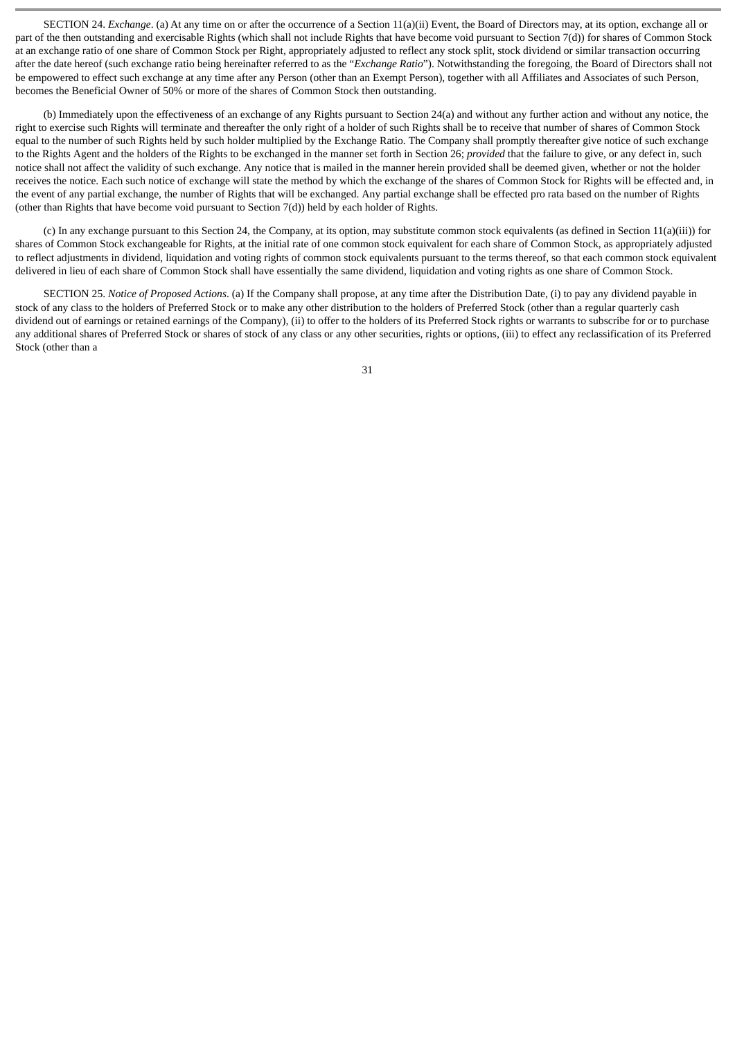SECTION 24. *Exchange*. (a) At any time on or after the occurrence of a Section 11(a)(ii) Event, the Board of Directors may, at its option, exchange all or part of the then outstanding and exercisable Rights (which shall not include Rights that have become void pursuant to Section 7(d)) for shares of Common Stock at an exchange ratio of one share of Common Stock per Right, appropriately adjusted to reflect any stock split, stock dividend or similar transaction occurring after the date hereof (such exchange ratio being hereinafter referred to as the "*Exchange Ratio*"). Notwithstanding the foregoing, the Board of Directors shall not be empowered to effect such exchange at any time after any Person (other than an Exempt Person), together with all Affiliates and Associates of such Person, becomes the Beneficial Owner of 50% or more of the shares of Common Stock then outstanding.

(b) Immediately upon the effectiveness of an exchange of any Rights pursuant to Section 24(a) and without any further action and without any notice, the right to exercise such Rights will terminate and thereafter the only right of a holder of such Rights shall be to receive that number of shares of Common Stock equal to the number of such Rights held by such holder multiplied by the Exchange Ratio. The Company shall promptly thereafter give notice of such exchange to the Rights Agent and the holders of the Rights to be exchanged in the manner set forth in Section 26; *provided* that the failure to give, or any defect in, such notice shall not affect the validity of such exchange. Any notice that is mailed in the manner herein provided shall be deemed given, whether or not the holder receives the notice. Each such notice of exchange will state the method by which the exchange of the shares of Common Stock for Rights will be effected and, in the event of any partial exchange, the number of Rights that will be exchanged. Any partial exchange shall be effected pro rata based on the number of Rights (other than Rights that have become void pursuant to Section 7(d)) held by each holder of Rights.

(c) In any exchange pursuant to this Section 24, the Company, at its option, may substitute common stock equivalents (as defined in Section 11(a)(iii)) for shares of Common Stock exchangeable for Rights, at the initial rate of one common stock equivalent for each share of Common Stock, as appropriately adjusted to reflect adjustments in dividend, liquidation and voting rights of common stock equivalents pursuant to the terms thereof, so that each common stock equivalent delivered in lieu of each share of Common Stock shall have essentially the same dividend, liquidation and voting rights as one share of Common Stock.

SECTION 25. *Notice of Proposed Actions*. (a) If the Company shall propose, at any time after the Distribution Date, (i) to pay any dividend payable in stock of any class to the holders of Preferred Stock or to make any other distribution to the holders of Preferred Stock (other than a regular quarterly cash dividend out of earnings or retained earnings of the Company), (ii) to offer to the holders of its Preferred Stock rights or warrants to subscribe for or to purchase any additional shares of Preferred Stock or shares of stock of any class or any other securities, rights or options, (iii) to effect any reclassification of its Preferred Stock (other than a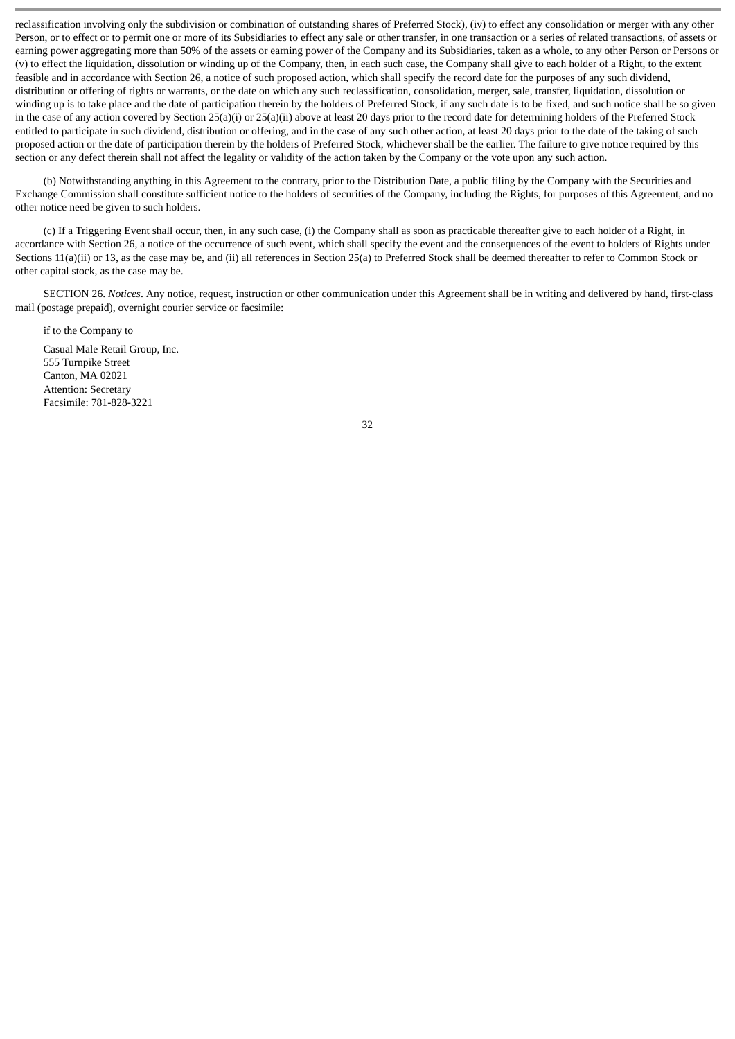reclassification involving only the subdivision or combination of outstanding shares of Preferred Stock), (iv) to effect any consolidation or merger with any other Person, or to effect or to permit one or more of its Subsidiaries to effect any sale or other transfer, in one transaction or a series of related transactions, of assets or earning power aggregating more than 50% of the assets or earning power of the Company and its Subsidiaries, taken as a whole, to any other Person or Persons or (v) to effect the liquidation, dissolution or winding up of the Company, then, in each such case, the Company shall give to each holder of a Right, to the extent feasible and in accordance with Section 26, a notice of such proposed action, which shall specify the record date for the purposes of any such dividend, distribution or offering of rights or warrants, or the date on which any such reclassification, consolidation, merger, sale, transfer, liquidation, dissolution or winding up is to take place and the date of participation therein by the holders of Preferred Stock, if any such date is to be fixed, and such notice shall be so given in the case of any action covered by Section 25(a)(i) or 25(a)(ii) above at least 20 days prior to the record date for determining holders of the Preferred Stock entitled to participate in such dividend, distribution or offering, and in the case of any such other action, at least 20 days prior to the date of the taking of such proposed action or the date of participation therein by the holders of Preferred Stock, whichever shall be the earlier. The failure to give notice required by this section or any defect therein shall not affect the legality or validity of the action taken by the Company or the vote upon any such action.

(b) Notwithstanding anything in this Agreement to the contrary, prior to the Distribution Date, a public filing by the Company with the Securities and Exchange Commission shall constitute sufficient notice to the holders of securities of the Company, including the Rights, for purposes of this Agreement, and no other notice need be given to such holders.

(c) If a Triggering Event shall occur, then, in any such case, (i) the Company shall as soon as practicable thereafter give to each holder of a Right, in accordance with Section 26, a notice of the occurrence of such event, which shall specify the event and the consequences of the event to holders of Rights under Sections 11(a)(ii) or 13, as the case may be, and (ii) all references in Section 25(a) to Preferred Stock shall be deemed thereafter to refer to Common Stock or other capital stock, as the case may be.

SECTION 26. *Notices*. Any notice, request, instruction or other communication under this Agreement shall be in writing and delivered by hand, first-class mail (postage prepaid), overnight courier service or facsimile:

if to the Company to Casual Male Retail Group, Inc. 555 Turnpike Street Canton, MA 02021 Attention: Secretary Facsimile: 781-828-3221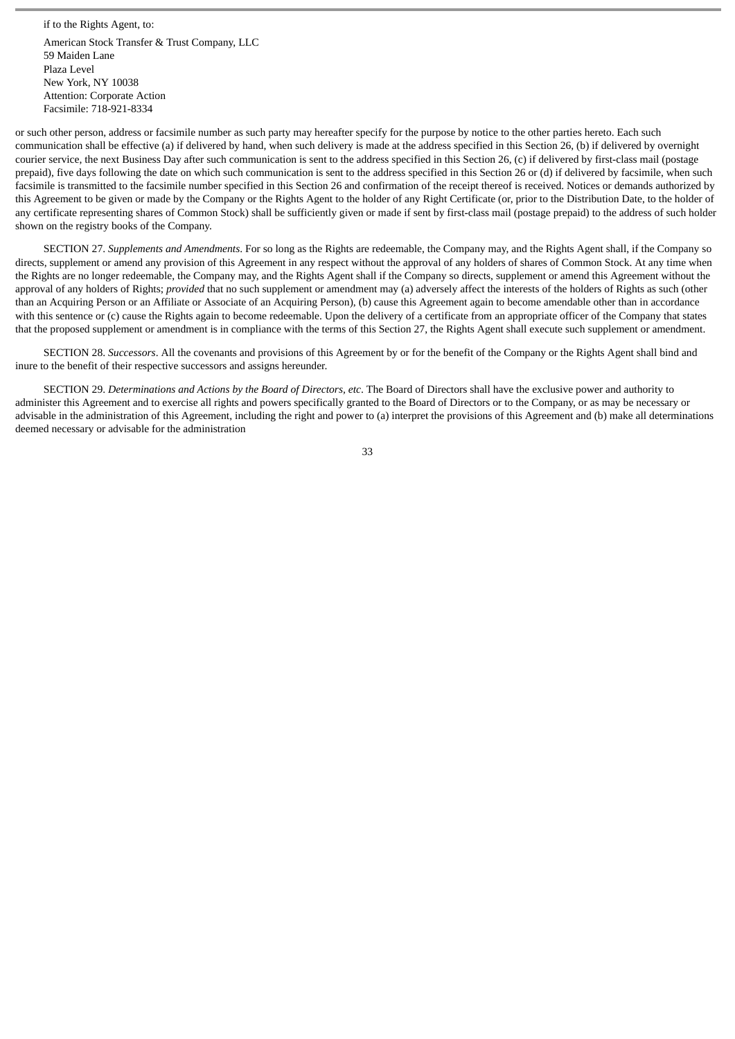if to the Rights Agent, to:

American Stock Transfer & Trust Company, LLC 59 Maiden Lane Plaza Level New York, NY 10038 Attention: Corporate Action Facsimile: 718-921-8334

or such other person, address or facsimile number as such party may hereafter specify for the purpose by notice to the other parties hereto. Each such communication shall be effective (a) if delivered by hand, when such delivery is made at the address specified in this Section 26, (b) if delivered by overnight courier service, the next Business Day after such communication is sent to the address specified in this Section 26, (c) if delivered by first-class mail (postage prepaid), five days following the date on which such communication is sent to the address specified in this Section 26 or (d) if delivered by facsimile, when such facsimile is transmitted to the facsimile number specified in this Section 26 and confirmation of the receipt thereof is received. Notices or demands authorized by this Agreement to be given or made by the Company or the Rights Agent to the holder of any Right Certificate (or, prior to the Distribution Date, to the holder of any certificate representing shares of Common Stock) shall be sufficiently given or made if sent by first-class mail (postage prepaid) to the address of such holder shown on the registry books of the Company.

SECTION 27. *Supplements and Amendments*. For so long as the Rights are redeemable, the Company may, and the Rights Agent shall, if the Company so directs, supplement or amend any provision of this Agreement in any respect without the approval of any holders of shares of Common Stock. At any time when the Rights are no longer redeemable, the Company may, and the Rights Agent shall if the Company so directs, supplement or amend this Agreement without the approval of any holders of Rights; *provided* that no such supplement or amendment may (a) adversely affect the interests of the holders of Rights as such (other than an Acquiring Person or an Affiliate or Associate of an Acquiring Person), (b) cause this Agreement again to become amendable other than in accordance with this sentence or (c) cause the Rights again to become redeemable. Upon the delivery of a certificate from an appropriate officer of the Company that states that the proposed supplement or amendment is in compliance with the terms of this Section 27, the Rights Agent shall execute such supplement or amendment.

SECTION 28. *Successors*. All the covenants and provisions of this Agreement by or for the benefit of the Company or the Rights Agent shall bind and inure to the benefit of their respective successors and assigns hereunder.

SECTION 29. *Determinations and Actions by the Board of Directors, etc*. The Board of Directors shall have the exclusive power and authority to administer this Agreement and to exercise all rights and powers specifically granted to the Board of Directors or to the Company, or as may be necessary or advisable in the administration of this Agreement, including the right and power to (a) interpret the provisions of this Agreement and (b) make all determinations deemed necessary or advisable for the administration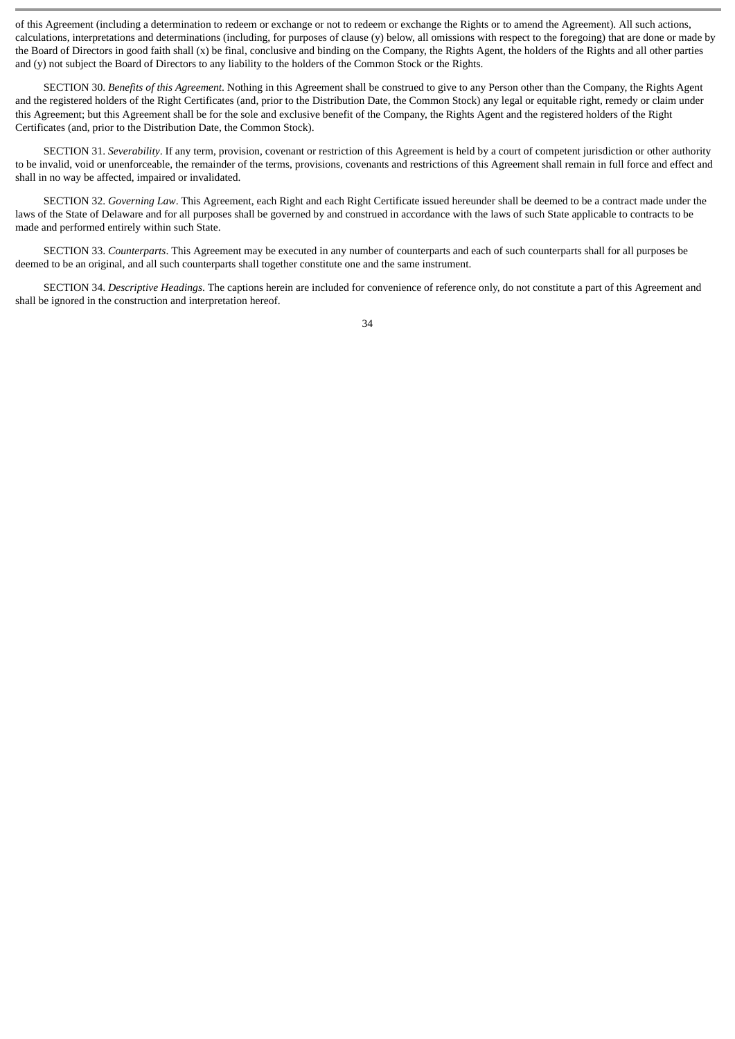of this Agreement (including a determination to redeem or exchange or not to redeem or exchange the Rights or to amend the Agreement). All such actions, calculations, interpretations and determinations (including, for purposes of clause (y) below, all omissions with respect to the foregoing) that are done or made by the Board of Directors in good faith shall (x) be final, conclusive and binding on the Company, the Rights Agent, the holders of the Rights and all other parties and (y) not subject the Board of Directors to any liability to the holders of the Common Stock or the Rights.

SECTION 30. *Benefits of this Agreement*. Nothing in this Agreement shall be construed to give to any Person other than the Company, the Rights Agent and the registered holders of the Right Certificates (and, prior to the Distribution Date, the Common Stock) any legal or equitable right, remedy or claim under this Agreement; but this Agreement shall be for the sole and exclusive benefit of the Company, the Rights Agent and the registered holders of the Right Certificates (and, prior to the Distribution Date, the Common Stock).

SECTION 31. *Severability*. If any term, provision, covenant or restriction of this Agreement is held by a court of competent jurisdiction or other authority to be invalid, void or unenforceable, the remainder of the terms, provisions, covenants and restrictions of this Agreement shall remain in full force and effect and shall in no way be affected, impaired or invalidated.

SECTION 32. *Governing Law*. This Agreement, each Right and each Right Certificate issued hereunder shall be deemed to be a contract made under the laws of the State of Delaware and for all purposes shall be governed by and construed in accordance with the laws of such State applicable to contracts to be made and performed entirely within such State.

SECTION 33. *Counterparts*. This Agreement may be executed in any number of counterparts and each of such counterparts shall for all purposes be deemed to be an original, and all such counterparts shall together constitute one and the same instrument.

SECTION 34. *Descriptive Headings*. The captions herein are included for convenience of reference only, do not constitute a part of this Agreement and shall be ignored in the construction and interpretation hereof.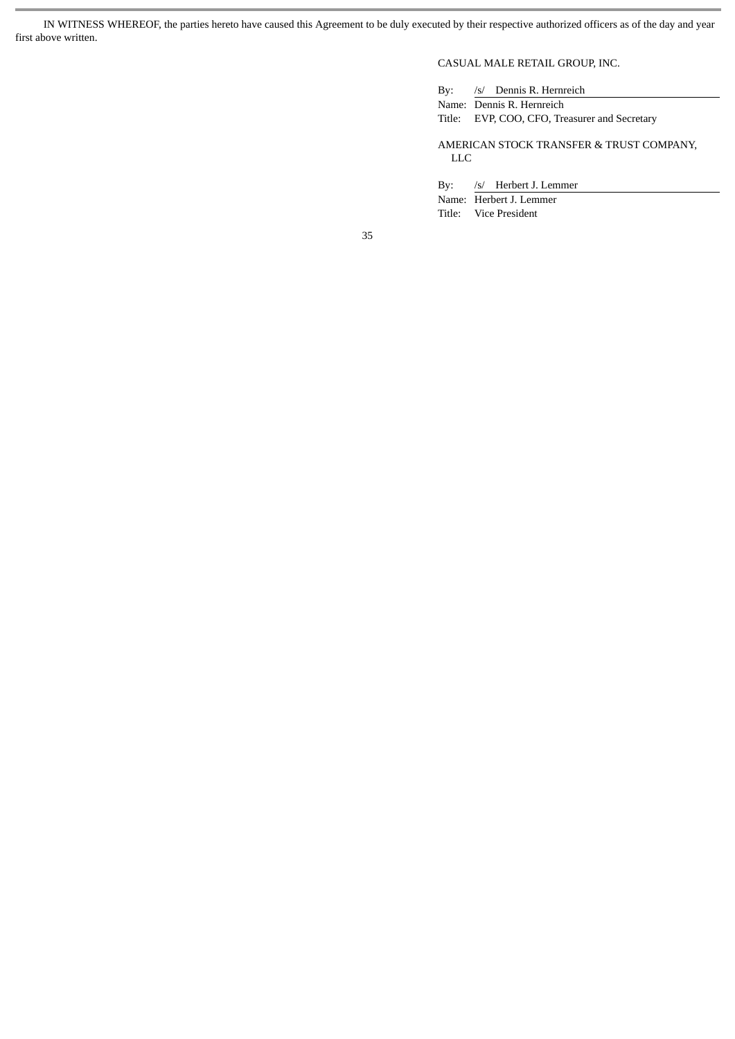IN WITNESS WHEREOF, the parties hereto have caused this Agreement to be duly executed by their respective authorized officers as of the day and year first above written.

CASUAL MALE RETAIL GROUP, INC.

By: /s/ Dennis R. Hernreich Name: Dennis R. Hernreich Title: EVP, COO, CFO, Treasurer and Secretary

AMERICAN STOCK TRANSFER & TRUST COMPANY, LLC

By: /s/ Herbert J. Lemmer

Name: Herbert J. Lemmer Title: Vice President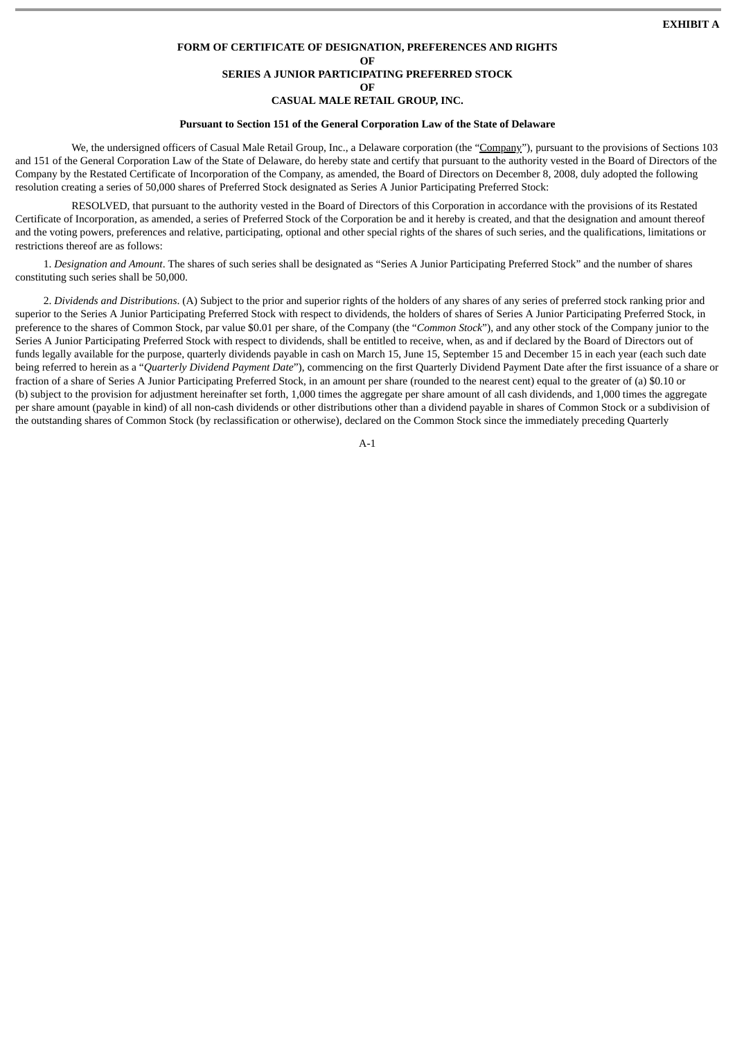## **FORM OF CERTIFICATE OF DESIGNATION, PREFERENCES AND RIGHTS OF SERIES A JUNIOR PARTICIPATING PREFERRED STOCK OF CASUAL MALE RETAIL GROUP, INC.**

#### **Pursuant to Section 151 of the General Corporation Law of the State of Delaware**

We, the undersigned officers of Casual Male Retail Group, Inc., a Delaware corporation (the "Company"), pursuant to the provisions of Sections 103 and 151 of the General Corporation Law of the State of Delaware, do hereby state and certify that pursuant to the authority vested in the Board of Directors of the Company by the Restated Certificate of Incorporation of the Company, as amended, the Board of Directors on December 8, 2008, duly adopted the following resolution creating a series of 50,000 shares of Preferred Stock designated as Series A Junior Participating Preferred Stock:

RESOLVED, that pursuant to the authority vested in the Board of Directors of this Corporation in accordance with the provisions of its Restated Certificate of Incorporation, as amended, a series of Preferred Stock of the Corporation be and it hereby is created, and that the designation and amount thereof and the voting powers, preferences and relative, participating, optional and other special rights of the shares of such series, and the qualifications, limitations or restrictions thereof are as follows:

1. *Designation and Amount*. The shares of such series shall be designated as "Series A Junior Participating Preferred Stock" and the number of shares constituting such series shall be 50,000.

2. *Dividends and Distributions*. (A) Subject to the prior and superior rights of the holders of any shares of any series of preferred stock ranking prior and superior to the Series A Junior Participating Preferred Stock with respect to dividends, the holders of shares of Series A Junior Participating Preferred Stock, in preference to the shares of Common Stock, par value \$0.01 per share, of the Company (the "*Common Stock*"), and any other stock of the Company junior to the Series A Junior Participating Preferred Stock with respect to dividends, shall be entitled to receive, when, as and if declared by the Board of Directors out of funds legally available for the purpose, quarterly dividends payable in cash on March 15, June 15, September 15 and December 15 in each year (each such date being referred to herein as a "*Quarterly Dividend Payment Date*"), commencing on the first Quarterly Dividend Payment Date after the first issuance of a share or fraction of a share of Series A Junior Participating Preferred Stock, in an amount per share (rounded to the nearest cent) equal to the greater of (a) \$0.10 or (b) subject to the provision for adjustment hereinafter set forth, 1,000 times the aggregate per share amount of all cash dividends, and 1,000 times the aggregate per share amount (payable in kind) of all non-cash dividends or other distributions other than a dividend payable in shares of Common Stock or a subdivision of the outstanding shares of Common Stock (by reclassification or otherwise), declared on the Common Stock since the immediately preceding Quarterly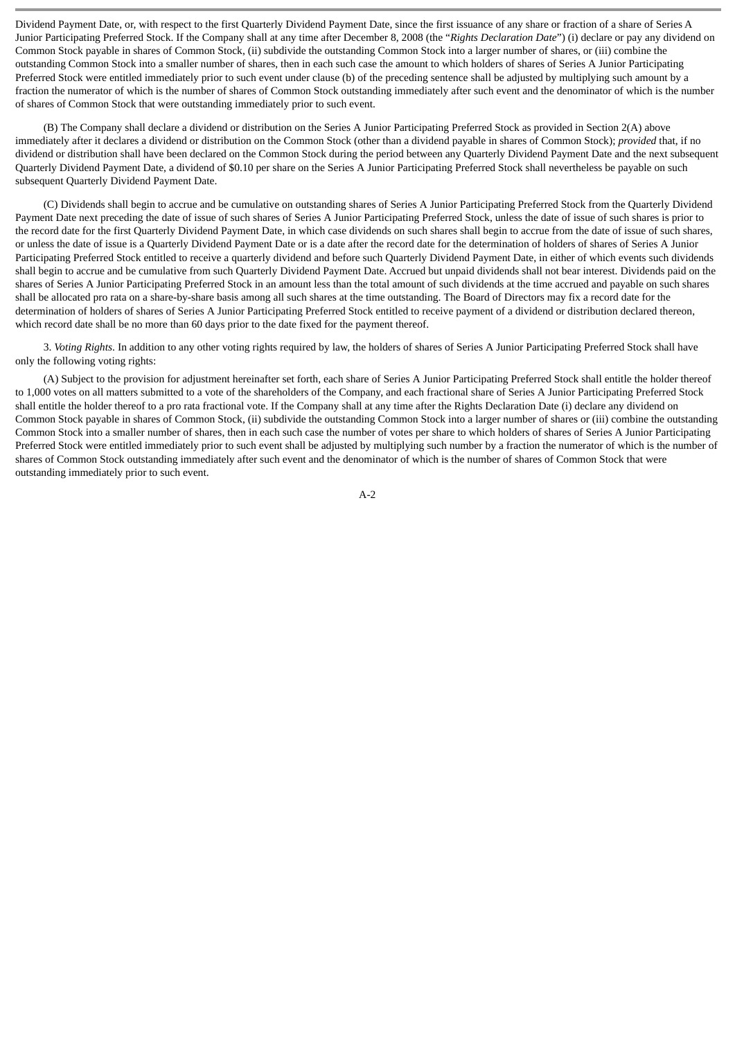Dividend Payment Date, or, with respect to the first Quarterly Dividend Payment Date, since the first issuance of any share or fraction of a share of Series A Junior Participating Preferred Stock. If the Company shall at any time after December 8, 2008 (the "*Rights Declaration Date*") (i) declare or pay any dividend on Common Stock payable in shares of Common Stock, (ii) subdivide the outstanding Common Stock into a larger number of shares, or (iii) combine the outstanding Common Stock into a smaller number of shares, then in each such case the amount to which holders of shares of Series A Junior Participating Preferred Stock were entitled immediately prior to such event under clause (b) of the preceding sentence shall be adjusted by multiplying such amount by a fraction the numerator of which is the number of shares of Common Stock outstanding immediately after such event and the denominator of which is the number of shares of Common Stock that were outstanding immediately prior to such event.

(B) The Company shall declare a dividend or distribution on the Series A Junior Participating Preferred Stock as provided in Section 2(A) above immediately after it declares a dividend or distribution on the Common Stock (other than a dividend payable in shares of Common Stock); *provided* that, if no dividend or distribution shall have been declared on the Common Stock during the period between any Quarterly Dividend Payment Date and the next subsequent Quarterly Dividend Payment Date, a dividend of \$0.10 per share on the Series A Junior Participating Preferred Stock shall nevertheless be payable on such subsequent Quarterly Dividend Payment Date.

(C) Dividends shall begin to accrue and be cumulative on outstanding shares of Series A Junior Participating Preferred Stock from the Quarterly Dividend Payment Date next preceding the date of issue of such shares of Series A Junior Participating Preferred Stock, unless the date of issue of such shares is prior to the record date for the first Quarterly Dividend Payment Date, in which case dividends on such shares shall begin to accrue from the date of issue of such shares, or unless the date of issue is a Quarterly Dividend Payment Date or is a date after the record date for the determination of holders of shares of Series A Junior Participating Preferred Stock entitled to receive a quarterly dividend and before such Quarterly Dividend Payment Date, in either of which events such dividends shall begin to accrue and be cumulative from such Quarterly Dividend Payment Date. Accrued but unpaid dividends shall not bear interest. Dividends paid on the shares of Series A Junior Participating Preferred Stock in an amount less than the total amount of such dividends at the time accrued and payable on such shares shall be allocated pro rata on a share-by-share basis among all such shares at the time outstanding. The Board of Directors may fix a record date for the determination of holders of shares of Series A Junior Participating Preferred Stock entitled to receive payment of a dividend or distribution declared thereon, which record date shall be no more than 60 days prior to the date fixed for the payment thereof.

3. *Voting Rights*. In addition to any other voting rights required by law, the holders of shares of Series A Junior Participating Preferred Stock shall have only the following voting rights:

(A) Subject to the provision for adjustment hereinafter set forth, each share of Series A Junior Participating Preferred Stock shall entitle the holder thereof to 1,000 votes on all matters submitted to a vote of the shareholders of the Company, and each fractional share of Series A Junior Participating Preferred Stock shall entitle the holder thereof to a pro rata fractional vote. If the Company shall at any time after the Rights Declaration Date (i) declare any dividend on Common Stock payable in shares of Common Stock, (ii) subdivide the outstanding Common Stock into a larger number of shares or (iii) combine the outstanding Common Stock into a smaller number of shares, then in each such case the number of votes per share to which holders of shares of Series A Junior Participating Preferred Stock were entitled immediately prior to such event shall be adjusted by multiplying such number by a fraction the numerator of which is the number of shares of Common Stock outstanding immediately after such event and the denominator of which is the number of shares of Common Stock that were outstanding immediately prior to such event.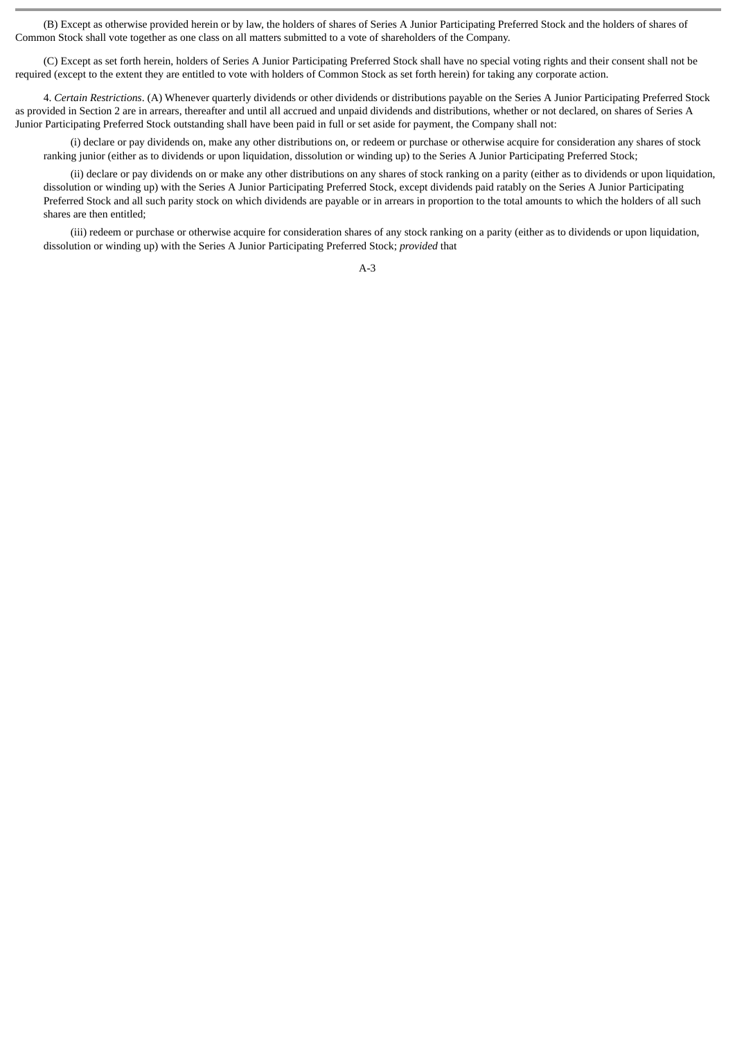(B) Except as otherwise provided herein or by law, the holders of shares of Series A Junior Participating Preferred Stock and the holders of shares of Common Stock shall vote together as one class on all matters submitted to a vote of shareholders of the Company.

(C) Except as set forth herein, holders of Series A Junior Participating Preferred Stock shall have no special voting rights and their consent shall not be required (except to the extent they are entitled to vote with holders of Common Stock as set forth herein) for taking any corporate action.

4. *Certain Restrictions*. (A) Whenever quarterly dividends or other dividends or distributions payable on the Series A Junior Participating Preferred Stock as provided in Section 2 are in arrears, thereafter and until all accrued and unpaid dividends and distributions, whether or not declared, on shares of Series A Junior Participating Preferred Stock outstanding shall have been paid in full or set aside for payment, the Company shall not:

(i) declare or pay dividends on, make any other distributions on, or redeem or purchase or otherwise acquire for consideration any shares of stock ranking junior (either as to dividends or upon liquidation, dissolution or winding up) to the Series A Junior Participating Preferred Stock;

(ii) declare or pay dividends on or make any other distributions on any shares of stock ranking on a parity (either as to dividends or upon liquidation, dissolution or winding up) with the Series A Junior Participating Preferred Stock, except dividends paid ratably on the Series A Junior Participating Preferred Stock and all such parity stock on which dividends are payable or in arrears in proportion to the total amounts to which the holders of all such shares are then entitled;

(iii) redeem or purchase or otherwise acquire for consideration shares of any stock ranking on a parity (either as to dividends or upon liquidation, dissolution or winding up) with the Series A Junior Participating Preferred Stock; *provided* that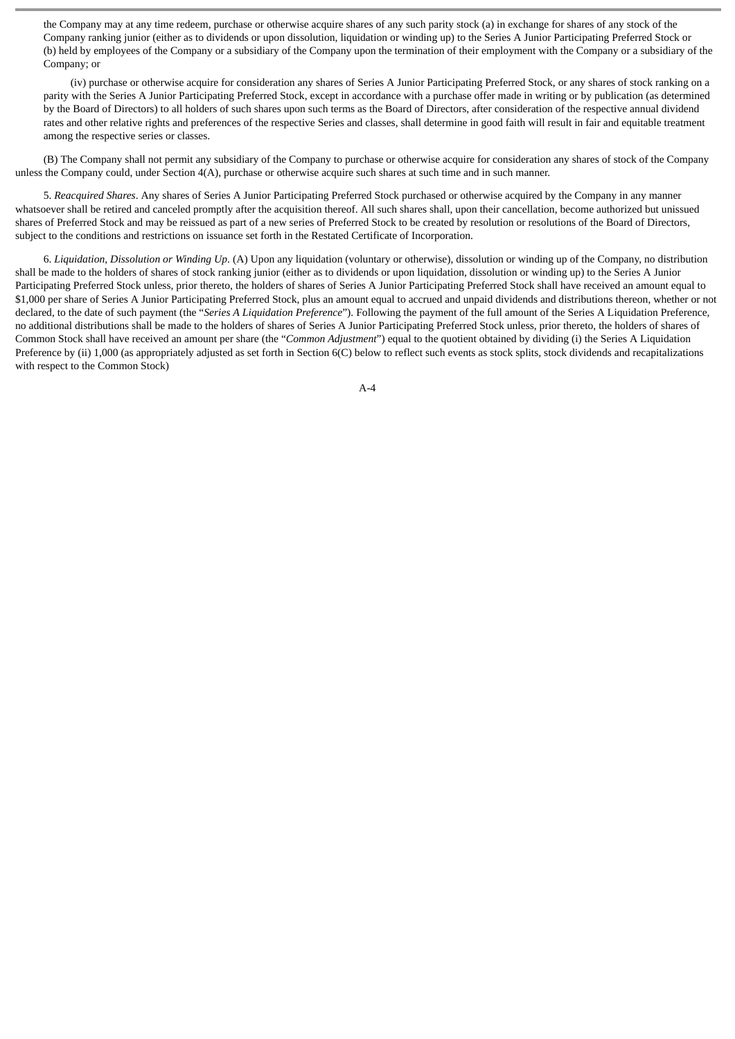the Company may at any time redeem, purchase or otherwise acquire shares of any such parity stock (a) in exchange for shares of any stock of the Company ranking junior (either as to dividends or upon dissolution, liquidation or winding up) to the Series A Junior Participating Preferred Stock or (b) held by employees of the Company or a subsidiary of the Company upon the termination of their employment with the Company or a subsidiary of the Company; or

(iv) purchase or otherwise acquire for consideration any shares of Series A Junior Participating Preferred Stock, or any shares of stock ranking on a parity with the Series A Junior Participating Preferred Stock, except in accordance with a purchase offer made in writing or by publication (as determined by the Board of Directors) to all holders of such shares upon such terms as the Board of Directors, after consideration of the respective annual dividend rates and other relative rights and preferences of the respective Series and classes, shall determine in good faith will result in fair and equitable treatment among the respective series or classes.

(B) The Company shall not permit any subsidiary of the Company to purchase or otherwise acquire for consideration any shares of stock of the Company unless the Company could, under Section 4(A), purchase or otherwise acquire such shares at such time and in such manner.

5. *Reacquired Shares*. Any shares of Series A Junior Participating Preferred Stock purchased or otherwise acquired by the Company in any manner whatsoever shall be retired and canceled promptly after the acquisition thereof. All such shares shall, upon their cancellation, become authorized but unissued shares of Preferred Stock and may be reissued as part of a new series of Preferred Stock to be created by resolution or resolutions of the Board of Directors, subject to the conditions and restrictions on issuance set forth in the Restated Certificate of Incorporation.

6. *Liquidation*, *Dissolution or Winding Up*. (A) Upon any liquidation (voluntary or otherwise), dissolution or winding up of the Company, no distribution shall be made to the holders of shares of stock ranking junior (either as to dividends or upon liquidation, dissolution or winding up) to the Series A Junior Participating Preferred Stock unless, prior thereto, the holders of shares of Series A Junior Participating Preferred Stock shall have received an amount equal to \$1,000 per share of Series A Junior Participating Preferred Stock, plus an amount equal to accrued and unpaid dividends and distributions thereon, whether or not declared, to the date of such payment (the "*Series A Liquidation Preference*"). Following the payment of the full amount of the Series A Liquidation Preference, no additional distributions shall be made to the holders of shares of Series A Junior Participating Preferred Stock unless, prior thereto, the holders of shares of Common Stock shall have received an amount per share (the "*Common Adjustment*") equal to the quotient obtained by dividing (i) the Series A Liquidation Preference by (ii) 1,000 (as appropriately adjusted as set forth in Section 6(C) below to reflect such events as stock splits, stock dividends and recapitalizations with respect to the Common Stock)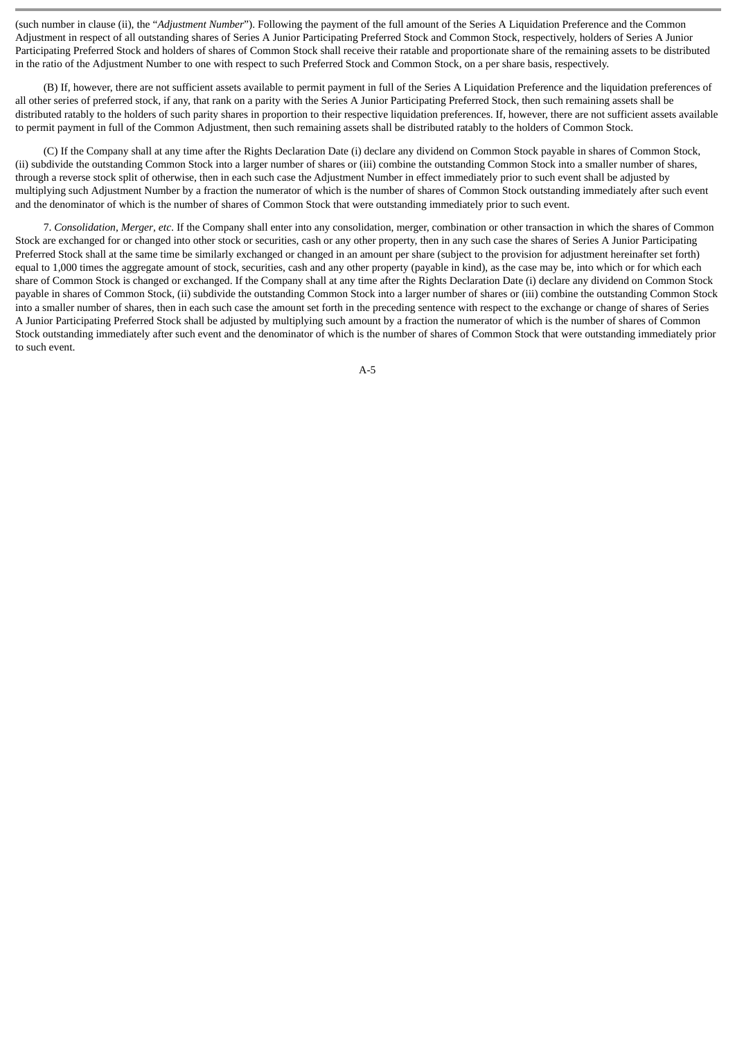(such number in clause (ii), the "*Adjustment Number*"). Following the payment of the full amount of the Series A Liquidation Preference and the Common Adjustment in respect of all outstanding shares of Series A Junior Participating Preferred Stock and Common Stock, respectively, holders of Series A Junior Participating Preferred Stock and holders of shares of Common Stock shall receive their ratable and proportionate share of the remaining assets to be distributed in the ratio of the Adjustment Number to one with respect to such Preferred Stock and Common Stock, on a per share basis, respectively.

(B) If, however, there are not sufficient assets available to permit payment in full of the Series A Liquidation Preference and the liquidation preferences of all other series of preferred stock, if any, that rank on a parity with the Series A Junior Participating Preferred Stock, then such remaining assets shall be distributed ratably to the holders of such parity shares in proportion to their respective liquidation preferences. If, however, there are not sufficient assets available to permit payment in full of the Common Adjustment, then such remaining assets shall be distributed ratably to the holders of Common Stock.

(C) If the Company shall at any time after the Rights Declaration Date (i) declare any dividend on Common Stock payable in shares of Common Stock, (ii) subdivide the outstanding Common Stock into a larger number of shares or (iii) combine the outstanding Common Stock into a smaller number of shares, through a reverse stock split of otherwise, then in each such case the Adjustment Number in effect immediately prior to such event shall be adjusted by multiplying such Adjustment Number by a fraction the numerator of which is the number of shares of Common Stock outstanding immediately after such event and the denominator of which is the number of shares of Common Stock that were outstanding immediately prior to such event.

7. *Consolidation*, *Merger*, *etc*. If the Company shall enter into any consolidation, merger, combination or other transaction in which the shares of Common Stock are exchanged for or changed into other stock or securities, cash or any other property, then in any such case the shares of Series A Junior Participating Preferred Stock shall at the same time be similarly exchanged or changed in an amount per share (subject to the provision for adjustment hereinafter set forth) equal to 1,000 times the aggregate amount of stock, securities, cash and any other property (payable in kind), as the case may be, into which or for which each share of Common Stock is changed or exchanged. If the Company shall at any time after the Rights Declaration Date (i) declare any dividend on Common Stock payable in shares of Common Stock, (ii) subdivide the outstanding Common Stock into a larger number of shares or (iii) combine the outstanding Common Stock into a smaller number of shares, then in each such case the amount set forth in the preceding sentence with respect to the exchange or change of shares of Series A Junior Participating Preferred Stock shall be adjusted by multiplying such amount by a fraction the numerator of which is the number of shares of Common Stock outstanding immediately after such event and the denominator of which is the number of shares of Common Stock that were outstanding immediately prior to such event.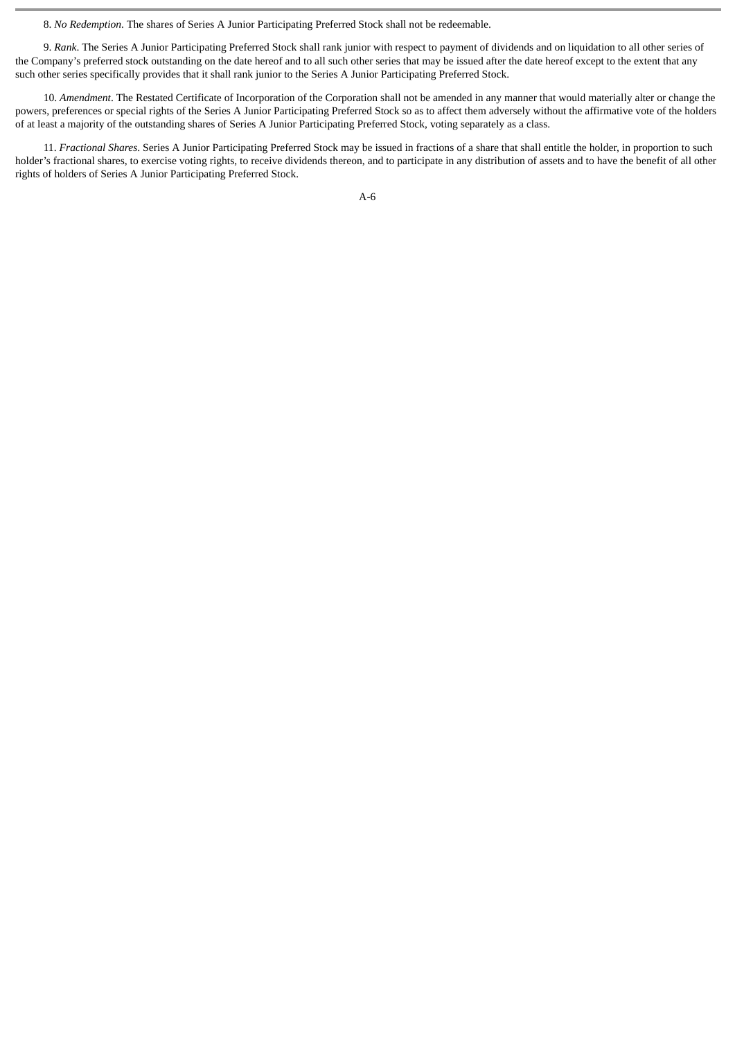8. *No Redemption*. The shares of Series A Junior Participating Preferred Stock shall not be redeemable.

9. *Rank*. The Series A Junior Participating Preferred Stock shall rank junior with respect to payment of dividends and on liquidation to all other series of the Company's preferred stock outstanding on the date hereof and to all such other series that may be issued after the date hereof except to the extent that any such other series specifically provides that it shall rank junior to the Series A Junior Participating Preferred Stock.

10. *Amendment*. The Restated Certificate of Incorporation of the Corporation shall not be amended in any manner that would materially alter or change the powers, preferences or special rights of the Series A Junior Participating Preferred Stock so as to affect them adversely without the affirmative vote of the holders of at least a majority of the outstanding shares of Series A Junior Participating Preferred Stock, voting separately as a class.

11. *Fractional Shares*. Series A Junior Participating Preferred Stock may be issued in fractions of a share that shall entitle the holder, in proportion to such holder's fractional shares, to exercise voting rights, to receive dividends thereon, and to participate in any distribution of assets and to have the benefit of all other rights of holders of Series A Junior Participating Preferred Stock.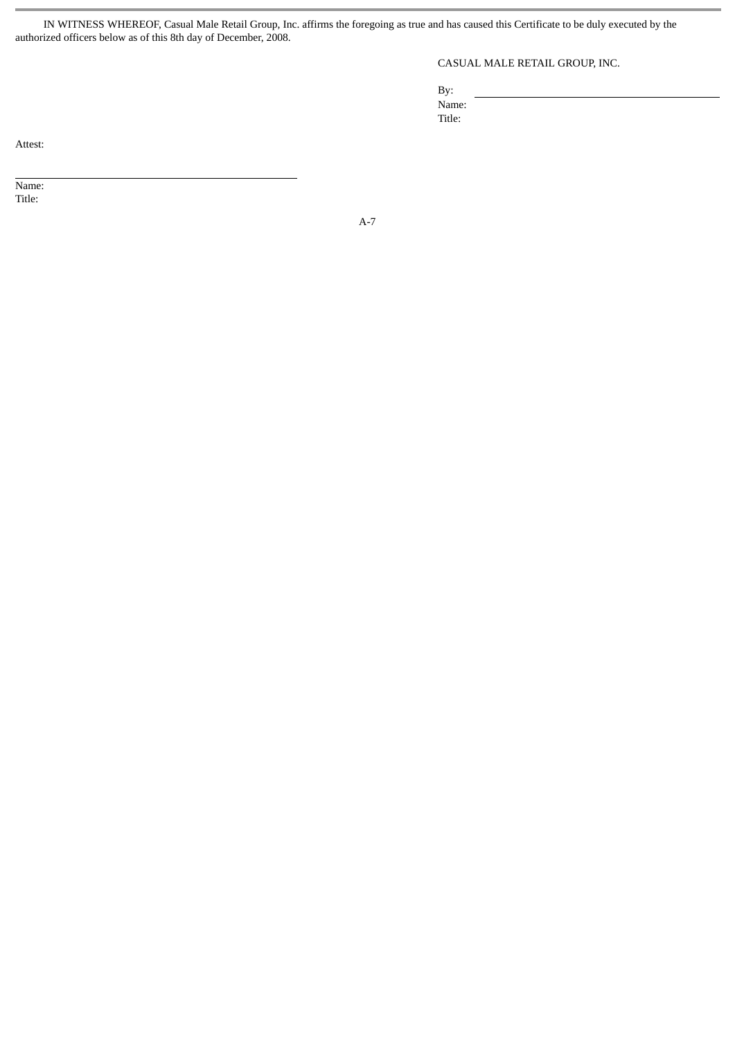IN WITNESS WHEREOF, Casual Male Retail Group, Inc. affirms the foregoing as true and has caused this Certificate to be duly executed by the authorized officers below as of this 8th day of December, 2008.

CASUAL MALE RETAIL GROUP, INC.

| By:    |  |  |  |
|--------|--|--|--|
| Name:  |  |  |  |
| Title: |  |  |  |

Attest:

Name: Title: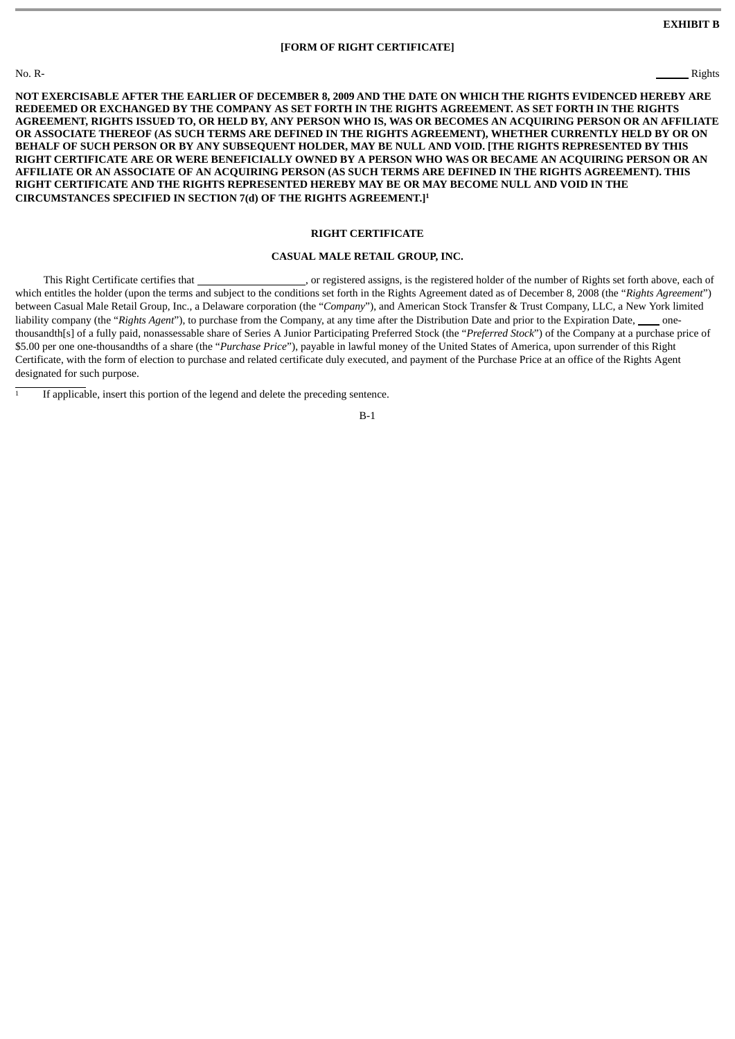## **[FORM OF RIGHT CERTIFICATE]**

**EXHIBIT B**

No. R- Rights

**NOT EXERCISABLE AFTER THE EARLIER OF DECEMBER 8, 2009 AND THE DATE ON WHICH THE RIGHTS EVIDENCED HEREBY ARE REDEEMED OR EXCHANGED BY THE COMPANY AS SET FORTH IN THE RIGHTS AGREEMENT. AS SET FORTH IN THE RIGHTS AGREEMENT, RIGHTS ISSUED TO, OR HELD BY, ANY PERSON WHO IS, WAS OR BECOMES AN ACQUIRING PERSON OR AN AFFILIATE OR ASSOCIATE THEREOF (AS SUCH TERMS ARE DEFINED IN THE RIGHTS AGREEMENT), WHETHER CURRENTLY HELD BY OR ON BEHALF OF SUCH PERSON OR BY ANY SUBSEQUENT HOLDER, MAY BE NULL AND VOID. [THE RIGHTS REPRESENTED BY THIS RIGHT CERTIFICATE ARE OR WERE BENEFICIALLY OWNED BY A PERSON WHO WAS OR BECAME AN ACQUIRING PERSON OR AN AFFILIATE OR AN ASSOCIATE OF AN ACQUIRING PERSON (AS SUCH TERMS ARE DEFINED IN THE RIGHTS AGREEMENT). THIS RIGHT CERTIFICATE AND THE RIGHTS REPRESENTED HEREBY MAY BE OR MAY BECOME NULL AND VOID IN THE CIRCUMSTANCES SPECIFIED IN SECTION 7(d) OF THE RIGHTS AGREEMENT.]<sup>1</sup>**

#### **RIGHT CERTIFICATE**

#### **CASUAL MALE RETAIL GROUP, INC.**

This Right Certificate certifies that  $\qquad \qquad$ , or registered assigns, is the registered holder of the number of Rights set forth above, each of which entitles the holder (upon the terms and subject to the conditions set forth in the Rights Agreement dated as of December 8, 2008 (the "*Rights Agreement*") between Casual Male Retail Group, Inc., a Delaware corporation (the "*Company*"), and American Stock Transfer & Trust Company, LLC, a New York limited liability company (the "*Rights Agent*"), to purchase from the Company, at any time after the Distribution Date and prior to the Expiration Date, onethousandth[s] of a fully paid, nonassessable share of Series A Junior Participating Preferred Stock (the "*Preferred Stock*") of the Company at a purchase price of \$5.00 per one one-thousandths of a share (the "*Purchase Price*"), payable in lawful money of the United States of America, upon surrender of this Right Certificate, with the form of election to purchase and related certificate duly executed, and payment of the Purchase Price at an office of the Rights Agent designated for such purpose.

 $\frac{1}{1}$  If applicable, insert this portion of the legend and delete the preceding sentence.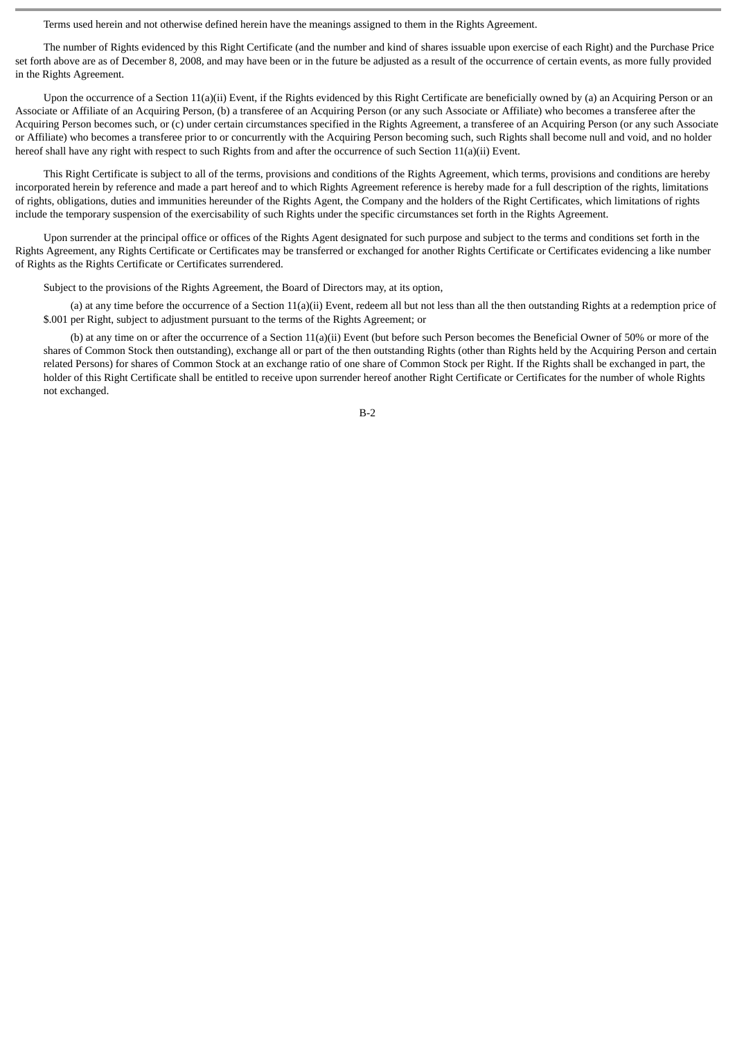Terms used herein and not otherwise defined herein have the meanings assigned to them in the Rights Agreement.

The number of Rights evidenced by this Right Certificate (and the number and kind of shares issuable upon exercise of each Right) and the Purchase Price set forth above are as of December 8, 2008, and may have been or in the future be adjusted as a result of the occurrence of certain events, as more fully provided in the Rights Agreement.

Upon the occurrence of a Section 11(a)(ii) Event, if the Rights evidenced by this Right Certificate are beneficially owned by (a) an Acquiring Person or an Associate or Affiliate of an Acquiring Person, (b) a transferee of an Acquiring Person (or any such Associate or Affiliate) who becomes a transferee after the Acquiring Person becomes such, or (c) under certain circumstances specified in the Rights Agreement, a transferee of an Acquiring Person (or any such Associate or Affiliate) who becomes a transferee prior to or concurrently with the Acquiring Person becoming such, such Rights shall become null and void, and no holder hereof shall have any right with respect to such Rights from and after the occurrence of such Section 11(a)(ii) Event.

This Right Certificate is subject to all of the terms, provisions and conditions of the Rights Agreement, which terms, provisions and conditions are hereby incorporated herein by reference and made a part hereof and to which Rights Agreement reference is hereby made for a full description of the rights, limitations of rights, obligations, duties and immunities hereunder of the Rights Agent, the Company and the holders of the Right Certificates, which limitations of rights include the temporary suspension of the exercisability of such Rights under the specific circumstances set forth in the Rights Agreement.

Upon surrender at the principal office or offices of the Rights Agent designated for such purpose and subject to the terms and conditions set forth in the Rights Agreement, any Rights Certificate or Certificates may be transferred or exchanged for another Rights Certificate or Certificates evidencing a like number of Rights as the Rights Certificate or Certificates surrendered.

Subject to the provisions of the Rights Agreement, the Board of Directors may, at its option,

(a) at any time before the occurrence of a Section 11(a)(ii) Event, redeem all but not less than all the then outstanding Rights at a redemption price of \$.001 per Right, subject to adjustment pursuant to the terms of the Rights Agreement; or

(b) at any time on or after the occurrence of a Section 11(a)(ii) Event (but before such Person becomes the Beneficial Owner of 50% or more of the shares of Common Stock then outstanding), exchange all or part of the then outstanding Rights (other than Rights held by the Acquiring Person and certain related Persons) for shares of Common Stock at an exchange ratio of one share of Common Stock per Right. If the Rights shall be exchanged in part, the holder of this Right Certificate shall be entitled to receive upon surrender hereof another Right Certificate or Certificates for the number of whole Rights not exchanged.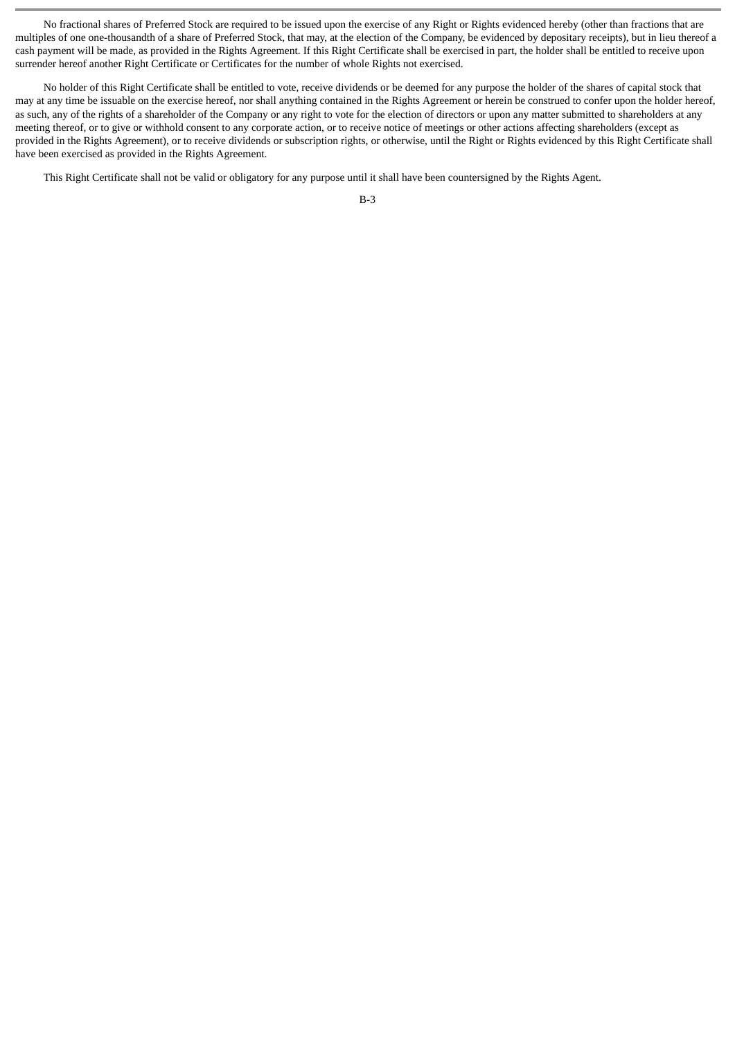No fractional shares of Preferred Stock are required to be issued upon the exercise of any Right or Rights evidenced hereby (other than fractions that are multiples of one one-thousandth of a share of Preferred Stock, that may, at the election of the Company, be evidenced by depositary receipts), but in lieu thereof a cash payment will be made, as provided in the Rights Agreement. If this Right Certificate shall be exercised in part, the holder shall be entitled to receive upon surrender hereof another Right Certificate or Certificates for the number of whole Rights not exercised.

No holder of this Right Certificate shall be entitled to vote, receive dividends or be deemed for any purpose the holder of the shares of capital stock that may at any time be issuable on the exercise hereof, nor shall anything contained in the Rights Agreement or herein be construed to confer upon the holder hereof, as such, any of the rights of a shareholder of the Company or any right to vote for the election of directors or upon any matter submitted to shareholders at any meeting thereof, or to give or withhold consent to any corporate action, or to receive notice of meetings or other actions affecting shareholders (except as provided in the Rights Agreement), or to receive dividends or subscription rights, or otherwise, until the Right or Rights evidenced by this Right Certificate shall have been exercised as provided in the Rights Agreement.

This Right Certificate shall not be valid or obligatory for any purpose until it shall have been countersigned by the Rights Agent.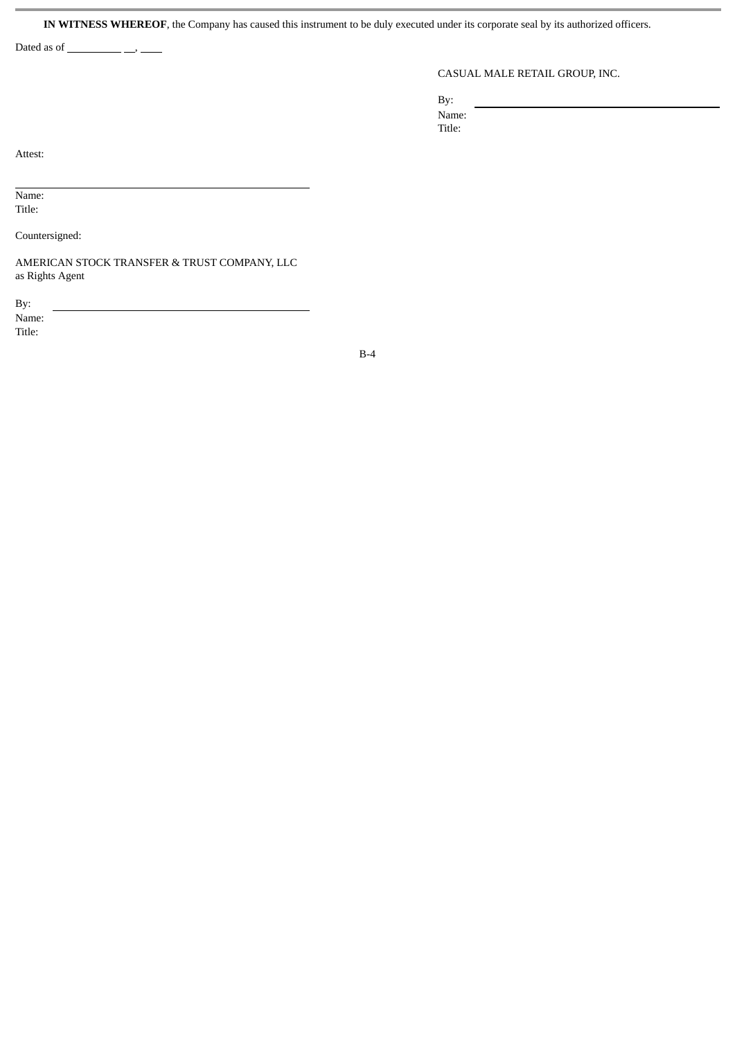**IN WITNESS WHEREOF**, the Company has caused this instrument to be duly executed under its corporate seal by its authorized officers.

Dated as of  $\_\_\_\_\_\_\_\_\_\_\$ 

# CASUAL MALE RETAIL GROUP, INC.

By: Name: Title:

Attest:

Name: Title:

Countersigned:

AMERICAN STOCK TRANSFER & TRUST COMPANY, LLC as Rights Agent

By: Name:

Title: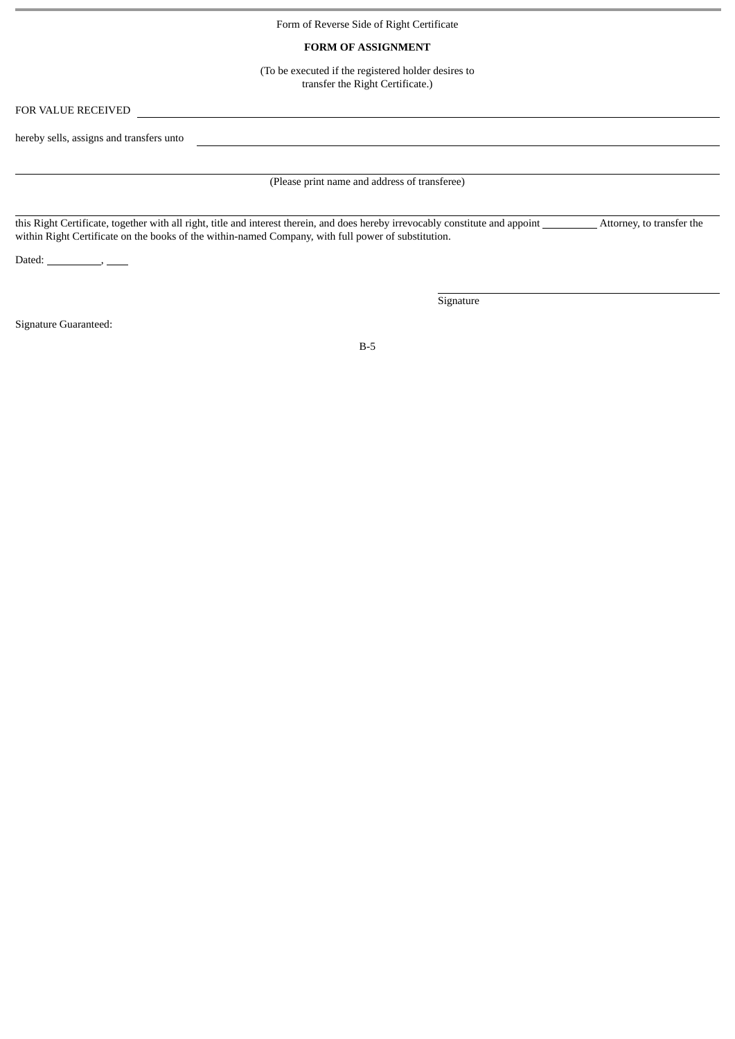Form of Reverse Side of Right Certificate

# **FORM OF ASSIGNMENT**

(To be executed if the registered holder desires to transfer the Right Certificate.)

FOR VALUE RECEIVED

hereby sells, assigns and transfers unto

(Please print name and address of transferee)

this Right Certificate, together with all right, title and interest therein, and does hereby irrevocably constitute and appoint Attorney, to transfer the within Right Certificate on the books of the within-named Company, with full power of substitution.

Dated:  $\_\_\_\_\_\_\_\_\_\_\$ 

Signature Guaranteed:

Signature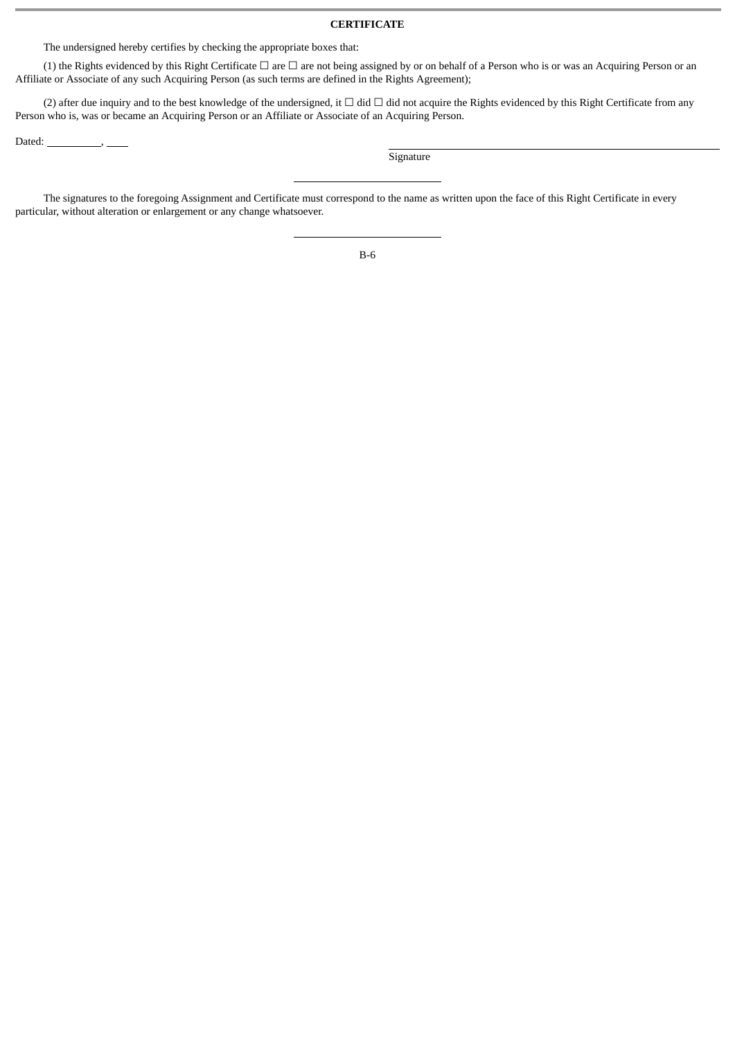### **CERTIFICATE**

The undersigned hereby certifies by checking the appropriate boxes that:

(1) the Rights evidenced by this Right Certificate  $□$  are  $□$  are not being assigned by or on behalf of a Person who is or was an Acquiring Person or an Affiliate or Associate of any such Acquiring Person (as such terms are defined in the Rights Agreement);

(2) after due inquiry and to the best knowledge of the undersigned, it  $\Box$  did  $\Box$  did not acquire the Rights evidenced by this Right Certificate from any Person who is, was or became an Acquiring Person or an Affiliate or Associate of an Acquiring Person.

Dated: ,

**Signature** 

The signatures to the foregoing Assignment and Certificate must correspond to the name as written upon the face of this Right Certificate in every particular, without alteration or enlargement or any change whatsoever.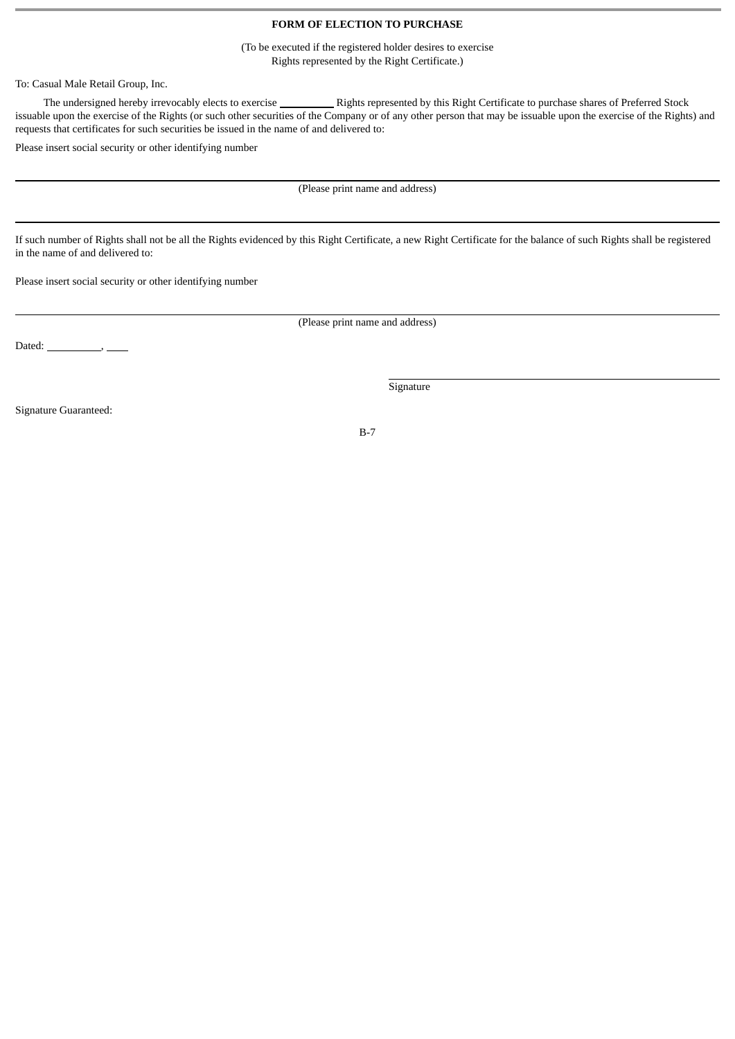## **FORM OF ELECTION TO PURCHASE**

(To be executed if the registered holder desires to exercise Rights represented by the Right Certificate.)

To: Casual Male Retail Group, Inc.

The undersigned hereby irrevocably elects to exercise Rights represented by this Right Certificate to purchase shares of Preferred Stock issuable upon the exercise of the Rights (or such other securities of the Company or of any other person that may be issuable upon the exercise of the Rights) and requests that certificates for such securities be issued in the name of and delivered to:

Please insert social security or other identifying number

(Please print name and address)

If such number of Rights shall not be all the Rights evidenced by this Right Certificate, a new Right Certificate for the balance of such Rights shall be registered in the name of and delivered to:

Please insert social security or other identifying number

(Please print name and address)

Dated:

**Signature** 

Signature Guaranteed: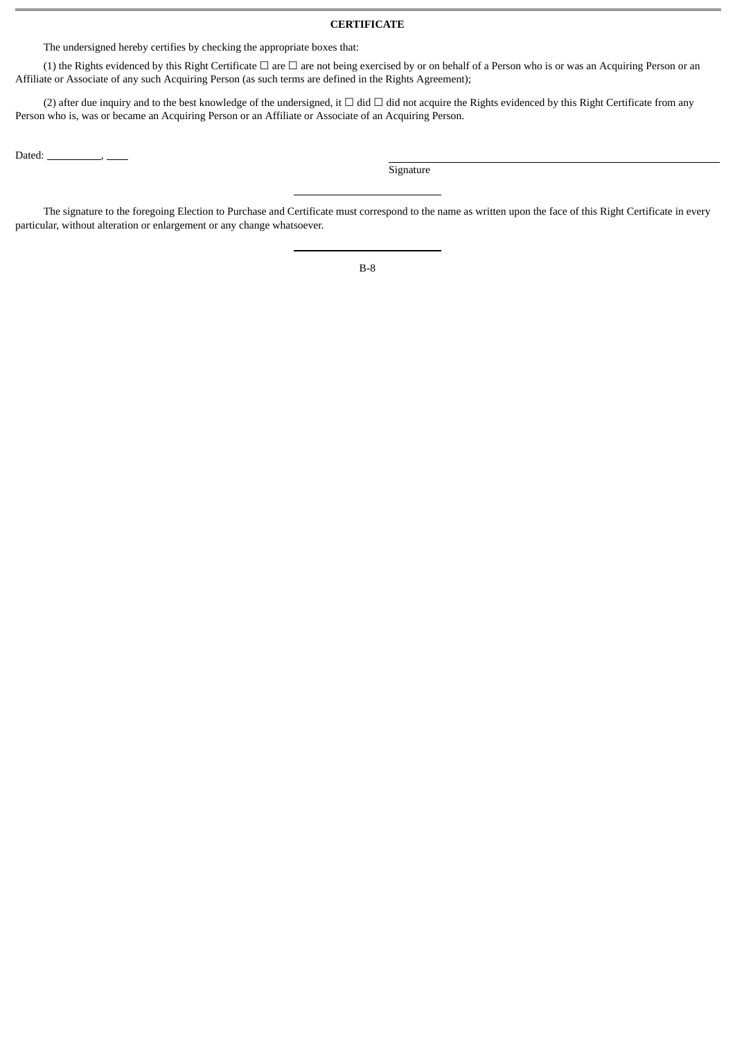### **CERTIFICATE**

The undersigned hereby certifies by checking the appropriate boxes that:

(1) the Rights evidenced by this Right Certificate  $□$  are  $□$  are not being exercised by or on behalf of a Person who is or was an Acquiring Person or an Affiliate or Associate of any such Acquiring Person (as such terms are defined in the Rights Agreement);

(2) after due inquiry and to the best knowledge of the undersigned, it  $\Box$  did  $\Box$  did not acquire the Rights evidenced by this Right Certificate from any Person who is, was or became an Acquiring Person or an Affiliate or Associate of an Acquiring Person.

Dated: ,

**Signature** 

The signature to the foregoing Election to Purchase and Certificate must correspond to the name as written upon the face of this Right Certificate in every particular, without alteration or enlargement or any change whatsoever.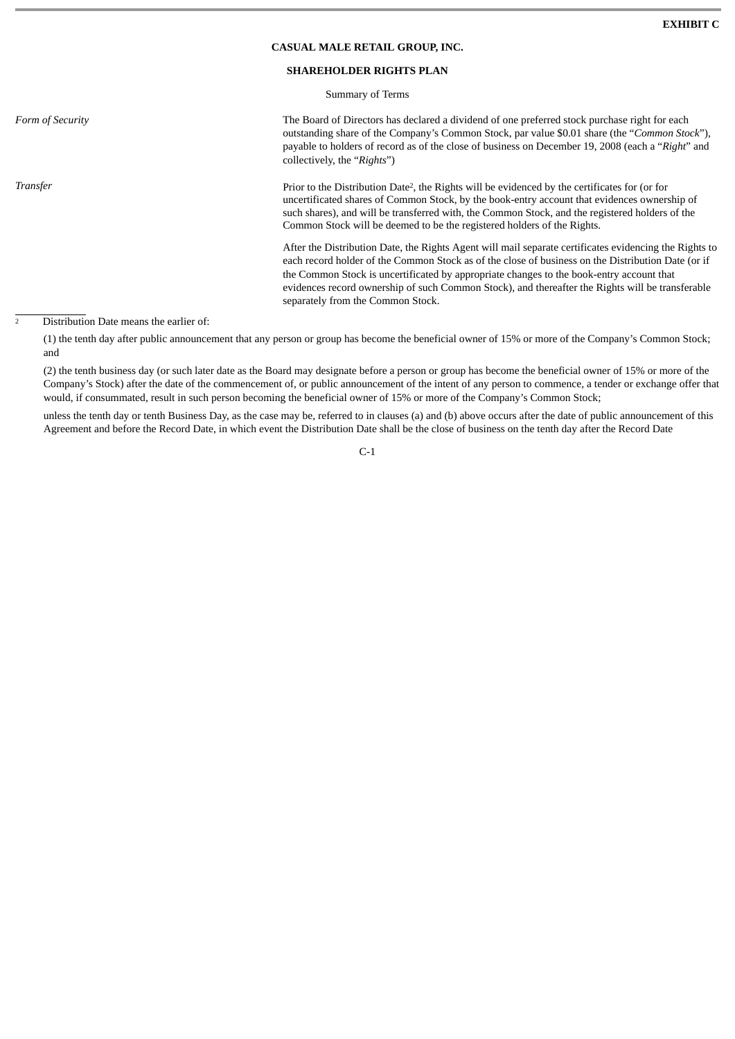## **CASUAL MALE RETAIL GROUP, INC.**

#### **SHAREHOLDER RIGHTS PLAN**

Summary of Terms

| Form of Security | The Board of Directors has declared a dividend of one preferred stock purchase right for each<br>outstanding share of the Company's Common Stock, par value \$0.01 share (the "Common Stock"),<br>payable to holders of record as of the close of business on December 19, 2008 (each a "Right" and<br>collectively, the "Rights")                                                                                                                |
|------------------|---------------------------------------------------------------------------------------------------------------------------------------------------------------------------------------------------------------------------------------------------------------------------------------------------------------------------------------------------------------------------------------------------------------------------------------------------|
| <b>Transfer</b>  | Prior to the Distribution Date <sup>2</sup> , the Rights will be evidenced by the certificates for (or for<br>uncertificated shares of Common Stock, by the book-entry account that evidences ownership of<br>such shares), and will be transferred with, the Common Stock, and the registered holders of the<br>Common Stock will be deemed to be the registered holders of the Rights.                                                          |
|                  | After the Distribution Date, the Rights Agent will mail separate certificates evidencing the Rights to<br>each record holder of the Common Stock as of the close of business on the Distribution Date (or if<br>the Common Stock is uncertificated by appropriate changes to the book-entry account that<br>evidences record ownership of such Common Stock), and thereafter the Rights will be transferable<br>separately from the Common Stock. |

<sup>2</sup> Distribution Date means the earlier of:

(1) the tenth day after public announcement that any person or group has become the beneficial owner of 15% or more of the Company's Common Stock; and

(2) the tenth business day (or such later date as the Board may designate before a person or group has become the beneficial owner of 15% or more of the Company's Stock) after the date of the commencement of, or public announcement of the intent of any person to commence, a tender or exchange offer that would, if consummated, result in such person becoming the beneficial owner of 15% or more of the Company's Common Stock;

unless the tenth day or tenth Business Day, as the case may be, referred to in clauses (a) and (b) above occurs after the date of public announcement of this Agreement and before the Record Date, in which event the Distribution Date shall be the close of business on the tenth day after the Record Date

C-1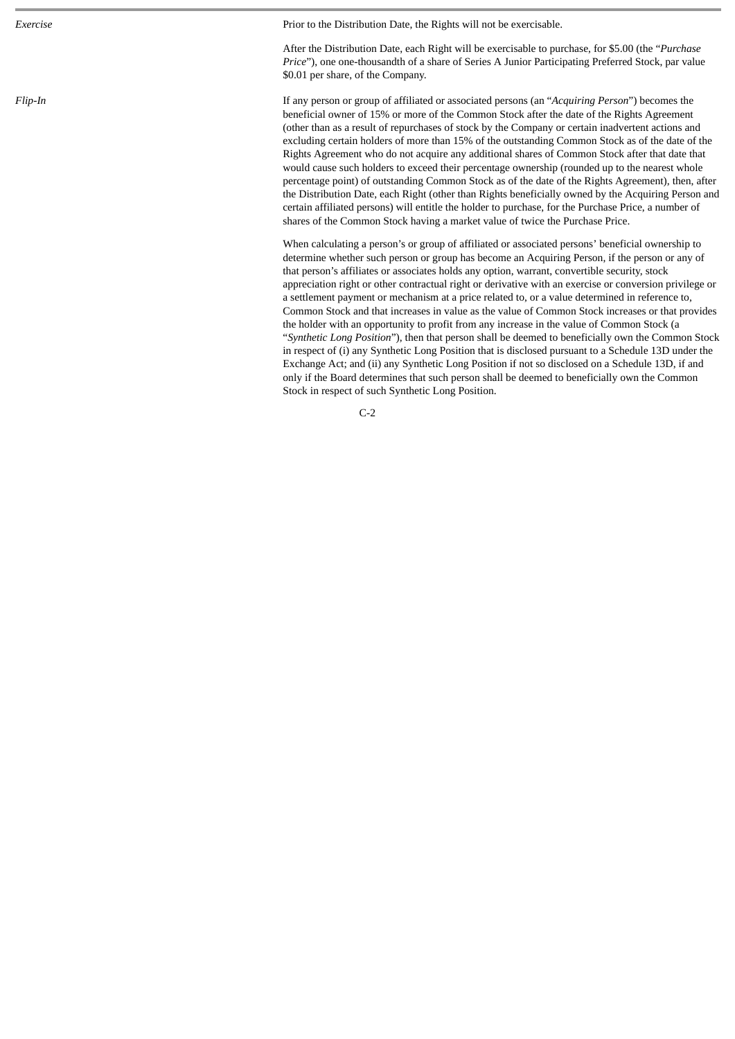**Exercise Prior to the Distribution Date, the Rights will not be exercisable.** 

C-2

After the Distribution Date, each Right will be exercisable to purchase, for \$5.00 (the "*Purchase Price*"), one one-thousandth of a share of Series A Junior Participating Preferred Stock, par value \$0.01 per share, of the Company.

*Flip-In* If any person or group of affiliated or associated persons (an "*Acquiring Person*") becomes the beneficial owner of 15% or more of the Common Stock after the date of the Rights Agreement (other than as a result of repurchases of stock by the Company or certain inadvertent actions and excluding certain holders of more than 15% of the outstanding Common Stock as of the date of the Rights Agreement who do not acquire any additional shares of Common Stock after that date that would cause such holders to exceed their percentage ownership (rounded up to the nearest whole percentage point) of outstanding Common Stock as of the date of the Rights Agreement), then, after the Distribution Date, each Right (other than Rights beneficially owned by the Acquiring Person and certain affiliated persons) will entitle the holder to purchase, for the Purchase Price, a number of shares of the Common Stock having a market value of twice the Purchase Price.

> When calculating a person's or group of affiliated or associated persons' beneficial ownership to determine whether such person or group has become an Acquiring Person, if the person or any of that person's affiliates or associates holds any option, warrant, convertible security, stock appreciation right or other contractual right or derivative with an exercise or conversion privilege or a settlement payment or mechanism at a price related to, or a value determined in reference to, Common Stock and that increases in value as the value of Common Stock increases or that provides the holder with an opportunity to profit from any increase in the value of Common Stock (a "*Synthetic Long Position*"), then that person shall be deemed to beneficially own the Common Stock in respect of (i) any Synthetic Long Position that is disclosed pursuant to a Schedule 13D under the Exchange Act; and (ii) any Synthetic Long Position if not so disclosed on a Schedule 13D, if and only if the Board determines that such person shall be deemed to beneficially own the Common Stock in respect of such Synthetic Long Position.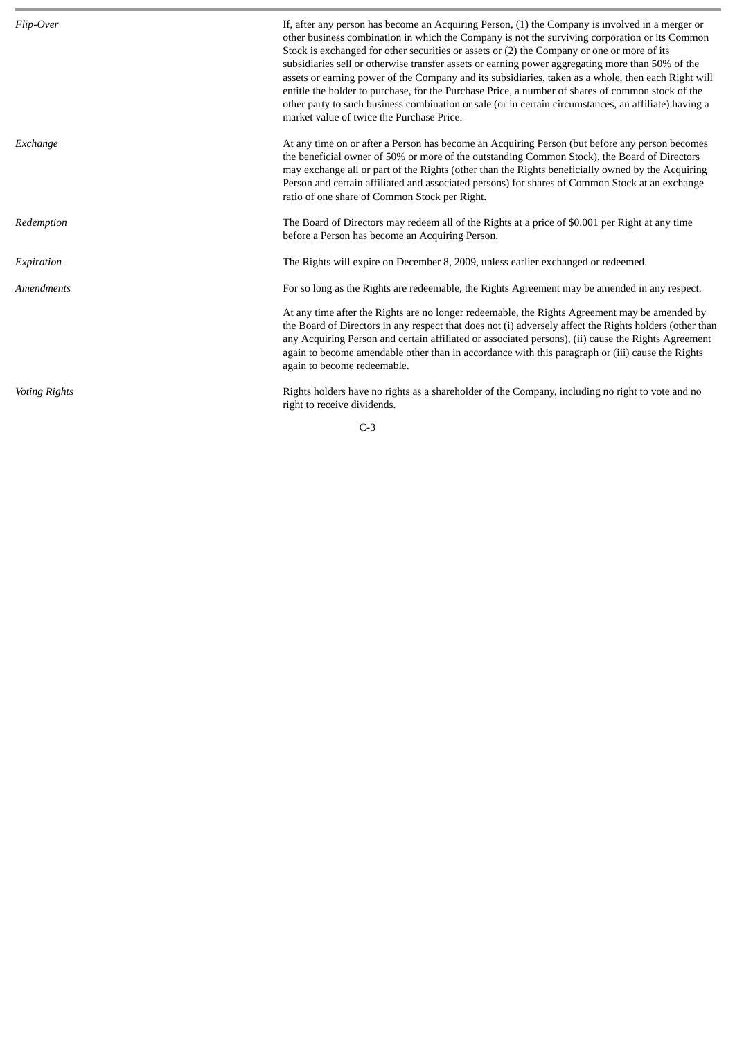| Flip-Over            | If, after any person has become an Acquiring Person, (1) the Company is involved in a merger or<br>other business combination in which the Company is not the surviving corporation or its Common<br>Stock is exchanged for other securities or assets or (2) the Company or one or more of its<br>subsidiaries sell or otherwise transfer assets or earning power aggregating more than 50% of the<br>assets or earning power of the Company and its subsidiaries, taken as a whole, then each Right will<br>entitle the holder to purchase, for the Purchase Price, a number of shares of common stock of the<br>other party to such business combination or sale (or in certain circumstances, an affiliate) having a<br>market value of twice the Purchase Price. |
|----------------------|-----------------------------------------------------------------------------------------------------------------------------------------------------------------------------------------------------------------------------------------------------------------------------------------------------------------------------------------------------------------------------------------------------------------------------------------------------------------------------------------------------------------------------------------------------------------------------------------------------------------------------------------------------------------------------------------------------------------------------------------------------------------------|
| Exchange             | At any time on or after a Person has become an Acquiring Person (but before any person becomes<br>the beneficial owner of 50% or more of the outstanding Common Stock), the Board of Directors<br>may exchange all or part of the Rights (other than the Rights beneficially owned by the Acquiring<br>Person and certain affiliated and associated persons) for shares of Common Stock at an exchange<br>ratio of one share of Common Stock per Right.                                                                                                                                                                                                                                                                                                               |
| Redemption           | The Board of Directors may redeem all of the Rights at a price of \$0.001 per Right at any time<br>before a Person has become an Acquiring Person.                                                                                                                                                                                                                                                                                                                                                                                                                                                                                                                                                                                                                    |
| Expiration           | The Rights will expire on December 8, 2009, unless earlier exchanged or redeemed.                                                                                                                                                                                                                                                                                                                                                                                                                                                                                                                                                                                                                                                                                     |
| <b>Amendments</b>    | For so long as the Rights are redeemable, the Rights Agreement may be amended in any respect.                                                                                                                                                                                                                                                                                                                                                                                                                                                                                                                                                                                                                                                                         |
|                      | At any time after the Rights are no longer redeemable, the Rights Agreement may be amended by<br>the Board of Directors in any respect that does not (i) adversely affect the Rights holders (other than<br>any Acquiring Person and certain affiliated or associated persons), (ii) cause the Rights Agreement<br>again to become amendable other than in accordance with this paragraph or (iii) cause the Rights<br>again to become redeemable.                                                                                                                                                                                                                                                                                                                    |
| <b>Voting Rights</b> | Rights holders have no rights as a shareholder of the Company, including no right to vote and no<br>right to receive dividends.                                                                                                                                                                                                                                                                                                                                                                                                                                                                                                                                                                                                                                       |

C-3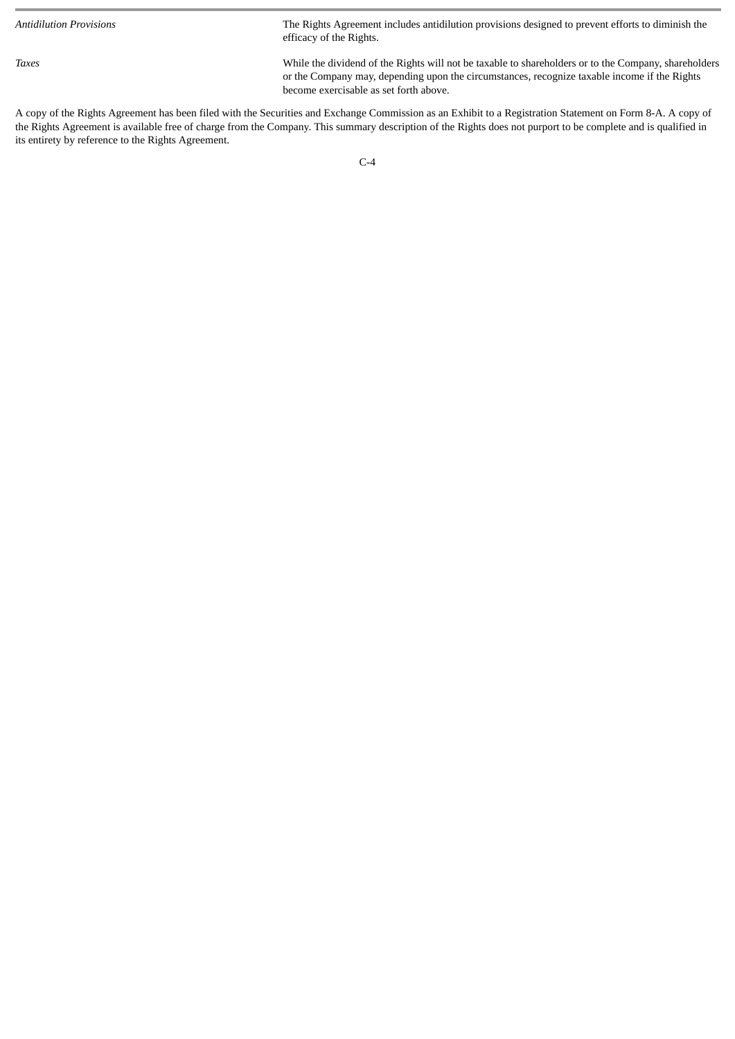*Antidilution Provisions* The Rights Agreement includes antidilution provisions designed to prevent efforts to diminish the efficacy of the Rights.

*Taxes* While the dividend of the Rights will not be taxable to shareholders or to the Company, shareholders or the Company may, depending upon the circumstances, recognize taxable income if the Rights become exercisable as set forth above.

A copy of the Rights Agreement has been filed with the Securities and Exchange Commission as an Exhibit to a Registration Statement on Form 8-A. A copy of the Rights Agreement is available free of charge from the Company. This summary description of the Rights does not purport to be complete and is qualified in its entirety by reference to the Rights Agreement.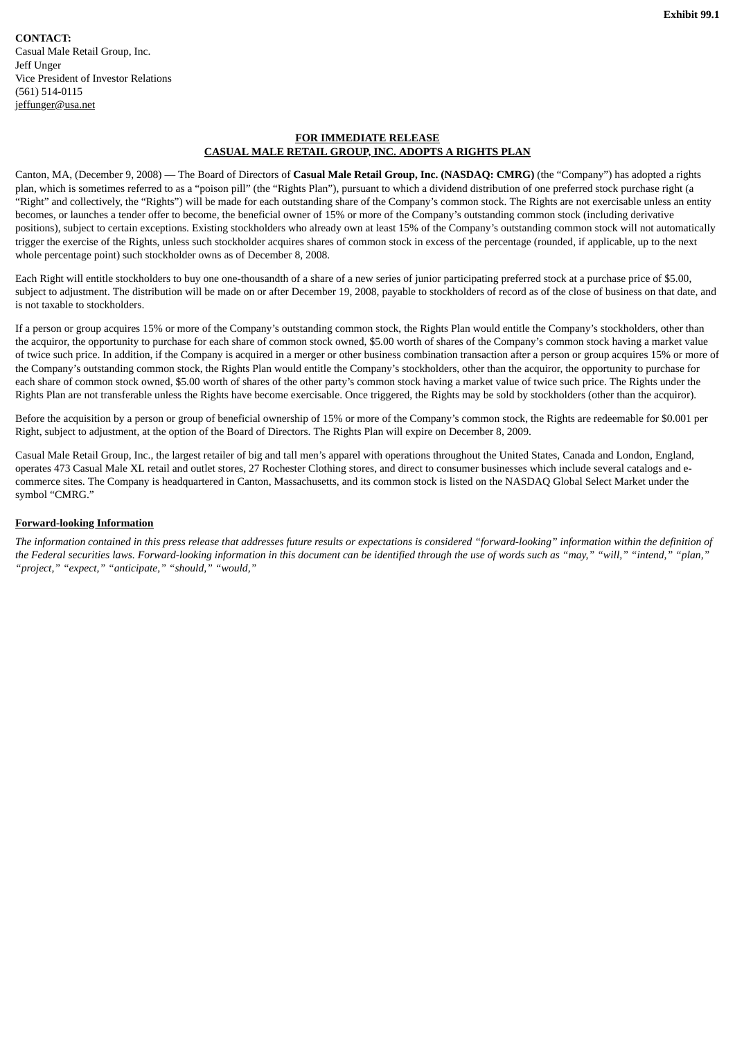## **FOR IMMEDIATE RELEASE CASUAL MALE RETAIL GROUP, INC. ADOPTS A RIGHTS PLAN**

Canton, MA, (December 9, 2008) — The Board of Directors of **Casual Male Retail Group, Inc. (NASDAQ: CMRG)** (the "Company") has adopted a rights plan, which is sometimes referred to as a "poison pill" (the "Rights Plan"), pursuant to which a dividend distribution of one preferred stock purchase right (a "Right" and collectively, the "Rights") will be made for each outstanding share of the Company's common stock. The Rights are not exercisable unless an entity becomes, or launches a tender offer to become, the beneficial owner of 15% or more of the Company's outstanding common stock (including derivative positions), subject to certain exceptions. Existing stockholders who already own at least 15% of the Company's outstanding common stock will not automatically trigger the exercise of the Rights, unless such stockholder acquires shares of common stock in excess of the percentage (rounded, if applicable, up to the next whole percentage point) such stockholder owns as of December 8, 2008.

Each Right will entitle stockholders to buy one one-thousandth of a share of a new series of junior participating preferred stock at a purchase price of \$5.00, subject to adjustment. The distribution will be made on or after December 19, 2008, payable to stockholders of record as of the close of business on that date, and is not taxable to stockholders.

If a person or group acquires 15% or more of the Company's outstanding common stock, the Rights Plan would entitle the Company's stockholders, other than the acquiror, the opportunity to purchase for each share of common stock owned, \$5.00 worth of shares of the Company's common stock having a market value of twice such price. In addition, if the Company is acquired in a merger or other business combination transaction after a person or group acquires 15% or more of the Company's outstanding common stock, the Rights Plan would entitle the Company's stockholders, other than the acquiror, the opportunity to purchase for each share of common stock owned, \$5.00 worth of shares of the other party's common stock having a market value of twice such price. The Rights under the Rights Plan are not transferable unless the Rights have become exercisable. Once triggered, the Rights may be sold by stockholders (other than the acquiror).

Before the acquisition by a person or group of beneficial ownership of 15% or more of the Company's common stock, the Rights are redeemable for \$0.001 per Right, subject to adjustment, at the option of the Board of Directors. The Rights Plan will expire on December 8, 2009.

Casual Male Retail Group, Inc., the largest retailer of big and tall men's apparel with operations throughout the United States, Canada and London, England, operates 473 Casual Male XL retail and outlet stores, 27 Rochester Clothing stores, and direct to consumer businesses which include several catalogs and ecommerce sites. The Company is headquartered in Canton, Massachusetts, and its common stock is listed on the NASDAQ Global Select Market under the symbol "CMRG."

## **Forward-looking Information**

*The information contained in this press release that addresses future results or expectations is considered "forward-looking" information within the definition of the Federal securities laws. Forward-looking information in this document can be identified through the use of words such as "may," "will," "intend," "plan," "project," "expect," "anticipate," "should," "would,"*